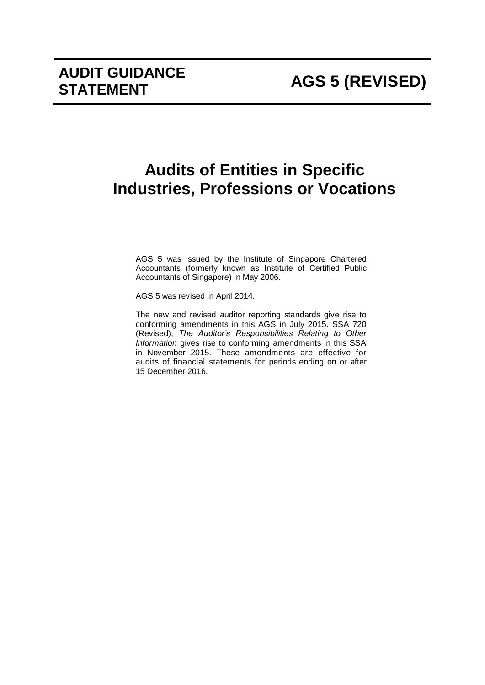# **Audits of Entities in Specific Industries, Professions or Vocations**

AGS 5 was issued by the Institute of Singapore Chartered Accountants (formerly known as Institute of Certified Public Accountants of Singapore) in May 2006.

AGS 5 was revised in April 2014.

The new and revised auditor reporting standards give rise to conforming amendments in this AGS in July 2015. SSA 720 (Revised), *The Auditor's Responsibilities Relating to Other Information* gives rise to conforming amendments in this SSA in November 2015. These amendments are effective for audits of financial statements for periods ending on or after 15 December 2016.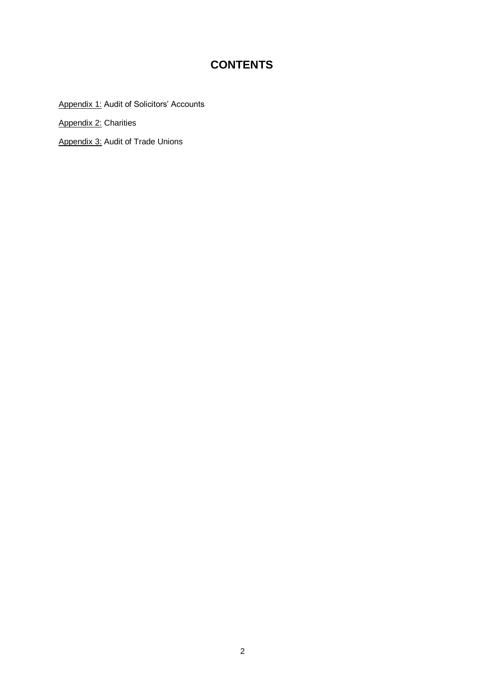## **CONTENTS**

Appendix 1: Audit of Solicitors' Accounts

Appendix 2: Charities

Appendix 3: Audit of Trade Unions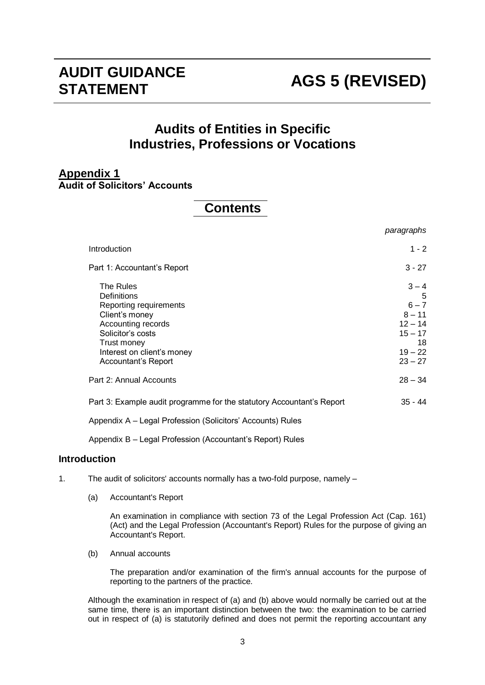## **AUDIT GUIDANCE STATEMENT AGS 5 (REVISED)**

## **Audits of Entities in Specific Industries, Professions or Vocations**

## **Appendix 1 Audit of Solicitors' Accounts**

## **Contents**

|                                                                                                                                                                                            | paragraphs                                                                                    |
|--------------------------------------------------------------------------------------------------------------------------------------------------------------------------------------------|-----------------------------------------------------------------------------------------------|
| Introduction                                                                                                                                                                               | $1 - 2$                                                                                       |
| Part 1: Accountant's Report                                                                                                                                                                | $3 - 27$                                                                                      |
| The Rules<br>Definitions<br>Reporting requirements<br>Client's money<br>Accounting records<br>Solicitor's costs<br>Trust money<br>Interest on client's money<br><b>Accountant's Report</b> | $3 - 4$<br>5<br>$6 - 7$<br>$8 - 11$<br>$12 - 14$<br>$15 - 17$<br>18<br>$19 - 22$<br>$23 - 27$ |
| Part 2: Annual Accounts                                                                                                                                                                    | $28 - 34$                                                                                     |
| Part 3: Example audit programme for the statutory Accountant's Report                                                                                                                      | $35 - 44$                                                                                     |
| Appendix A – Legal Profession (Solicitors' Accounts) Rules                                                                                                                                 |                                                                                               |

Appendix B – Legal Profession (Accountant's Report) Rules

## **Introduction**

- 1. The audit of solicitors' accounts normally has a two-fold purpose, namely
	- (a) Accountant's Report

An examination in compliance with section 73 of the Legal Profession Act (Cap. 161) (Act) and the Legal Profession (Accountant's Report) Rules for the purpose of giving an Accountant's Report.

(b) Annual accounts

The preparation and/or examination of the firm's annual accounts for the purpose of reporting to the partners of the practice.

Although the examination in respect of (a) and (b) above would normally be carried out at the same time, there is an important distinction between the two: the examination to be carried out in respect of (a) is statutorily defined and does not permit the reporting accountant any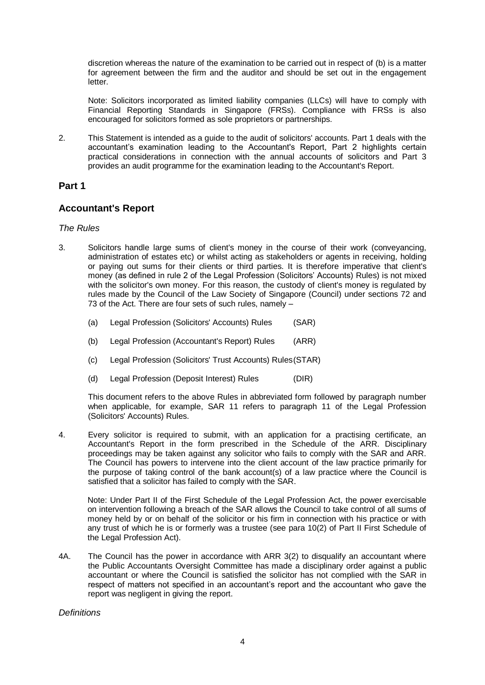discretion whereas the nature of the examination to be carried out in respect of (b) is a matter for agreement between the firm and the auditor and should be set out in the engagement letter.

Note: Solicitors incorporated as limited liability companies (LLCs) will have to comply with Financial Reporting Standards in Singapore (FRSs). Compliance with FRSs is also encouraged for solicitors formed as sole proprietors or partnerships.

2. This Statement is intended as a guide to the audit of solicitors' accounts. Part 1 deals with the accountant's examination leading to the Accountant's Report, Part 2 highlights certain practical considerations in connection with the annual accounts of solicitors and Part 3 provides an audit programme for the examination leading to the Accountant's Report.

## **Part 1**

## **Accountant's Report**

#### *The Rules*

- 3. Solicitors handle large sums of client's money in the course of their work (conveyancing, administration of estates etc) or whilst acting as stakeholders or agents in receiving, holding or paying out sums for their clients or third parties. It is therefore imperative that client's money (as defined in rule 2 of the Legal Profession (Solicitors' Accounts) Rules) is not mixed with the solicitor's own money. For this reason, the custody of client's money is regulated by rules made by the Council of the Law Society of Singapore (Council) under sections 72 and 73 of the Act. There are four sets of such rules, namely –
	- (a) Legal Profession (Solicitors' Accounts) Rules (SAR)
	- (b) Legal Profession (Accountant's Report) Rules (ARR)
	- (c) Legal Profession (Solicitors' Trust Accounts) Rules(STAR)
	- (d) Legal Profession (Deposit Interest) Rules (DIR)

This document refers to the above Rules in abbreviated form followed by paragraph number when applicable, for example, SAR 11 refers to paragraph 11 of the Legal Profession (Solicitors' Accounts) Rules.

4. Every solicitor is required to submit, with an application for a practising certificate, an Accountant's Report in the form prescribed in the Schedule of the ARR. Disciplinary proceedings may be taken against any solicitor who fails to comply with the SAR and ARR. The Council has powers to intervene into the client account of the law practice primarily for the purpose of taking control of the bank account(s) of a law practice where the Council is satisfied that a solicitor has failed to comply with the SAR.

Note: Under Part II of the First Schedule of the Legal Profession Act, the power exercisable on intervention following a breach of the SAR allows the Council to take control of all sums of money held by or on behalf of the solicitor or his firm in connection with his practice or with any trust of which he is or formerly was a trustee (see para 10(2) of Part II First Schedule of the Legal Profession Act).

4A. The Council has the power in accordance with ARR 3(2) to disqualify an accountant where the Public Accountants Oversight Committee has made a disciplinary order against a public accountant or where the Council is satisfied the solicitor has not complied with the SAR in respect of matters not specified in an accountant's report and the accountant who gave the report was negligent in giving the report.

*Definitions*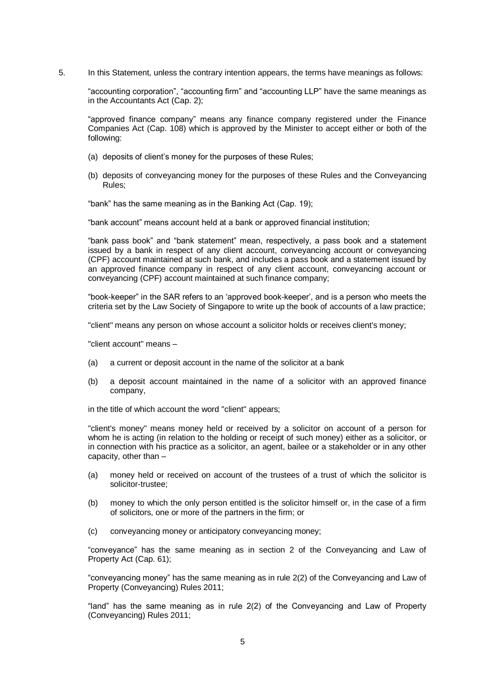5. In this Statement, unless the contrary intention appears, the terms have meanings as follows:

"accounting corporation", "accounting firm" and "accounting LLP" have the same meanings as in the Accountants Act (Cap. 2);

"approved finance company" means any finance company registered under the Finance Companies Act (Cap. 108) which is approved by the Minister to accept either or both of the following:

- (a) deposits of client's money for the purposes of these Rules;
- (b) deposits of conveyancing money for the purposes of these Rules and the Conveyancing Rules;

"bank" has the same meaning as in the Banking Act (Cap. 19);

"bank account" means account held at a bank or approved financial institution;

"bank pass book" and "bank statement" mean, respectively, a pass book and a statement issued by a bank in respect of any client account, conveyancing account or conveyancing (CPF) account maintained at such bank, and includes a pass book and a statement issued by an approved finance company in respect of any client account, conveyancing account or conveyancing (CPF) account maintained at such finance company;

"book-keeper" in the SAR refers to an 'approved book-keeper', and is a person who meets the criteria set by the Law Society of Singapore to write up the book of accounts of a law practice;

"client" means any person on whose account a solicitor holds or receives client's money;

"client account" means –

- (a) a current or deposit account in the name of the solicitor at a bank
- (b) a deposit account maintained in the name of a solicitor with an approved finance company,

in the title of which account the word "client" appears;

"client's money" means money held or received by a solicitor on account of a person for whom he is acting (in relation to the holding or receipt of such money) either as a solicitor, or in connection with his practice as a solicitor, an agent, bailee or a stakeholder or in any other capacity, other than –

- (a) money held or received on account of the trustees of a trust of which the solicitor is solicitor-trustee;
- (b) money to which the only person entitled is the solicitor himself or, in the case of a firm of solicitors, one or more of the partners in the firm; or
- (c) conveyancing money or anticipatory conveyancing money;

"conveyance" has the same meaning as in section 2 of the Conveyancing and Law of Property Act (Cap. 61);

"conveyancing money" has the same meaning as in rule 2(2) of the Conveyancing and Law of Property (Conveyancing) Rules 2011;

"land" has the same meaning as in rule 2(2) of the Conveyancing and Law of Property (Conveyancing) Rules 2011;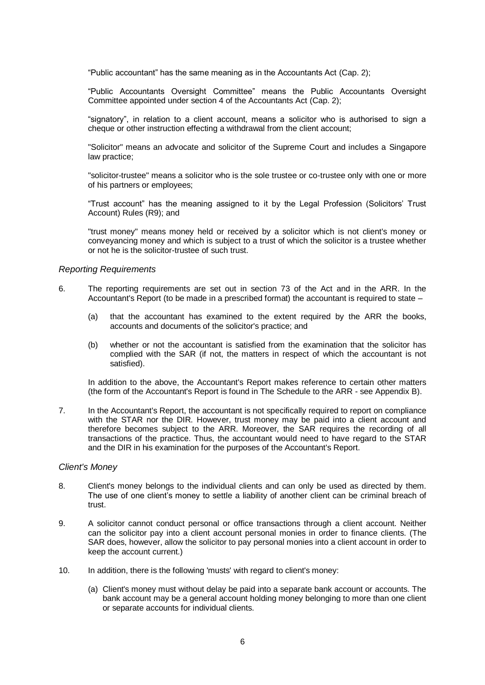"Public accountant" has the same meaning as in the Accountants Act (Cap. 2);

"Public Accountants Oversight Committee" means the Public Accountants Oversight Committee appointed under section 4 of the Accountants Act (Cap. 2);

"signatory", in relation to a client account, means a solicitor who is authorised to sign a cheque or other instruction effecting a withdrawal from the client account;

"Solicitor" means an advocate and solicitor of the Supreme Court and includes a Singapore law practice;

"solicitor-trustee" means a solicitor who is the sole trustee or co-trustee only with one or more of his partners or employees;

"Trust account" has the meaning assigned to it by the Legal Profession (Solicitors' Trust Account) Rules (R9); and

"trust money" means money held or received by a solicitor which is not client's money or conveyancing money and which is subject to a trust of which the solicitor is a trustee whether or not he is the solicitor-trustee of such trust.

#### *Reporting Requirements*

- 6. The reporting requirements are set out in section 73 of the Act and in the ARR. In the Accountant's Report (to be made in a prescribed format) the accountant is required to state –
	- (a) that the accountant has examined to the extent required by the ARR the books, accounts and documents of the solicitor's practice; and
	- (b) whether or not the accountant is satisfied from the examination that the solicitor has complied with the SAR (if not, the matters in respect of which the accountant is not satisfied).

In addition to the above, the Accountant's Report makes reference to certain other matters (the form of the Accountant's Report is found in The Schedule to the ARR - see Appendix B).

7. In the Accountant's Report, the accountant is not specifically required to report on compliance with the STAR nor the DIR. However, trust money may be paid into a client account and therefore becomes subject to the ARR. Moreover, the SAR requires the recording of all transactions of the practice. Thus, the accountant would need to have regard to the STAR and the DIR in his examination for the purposes of the Accountant's Report.

#### *Client's Money*

- 8. Client's money belongs to the individual clients and can only be used as directed by them. The use of one client's money to settle a liability of another client can be criminal breach of trust.
- 9. A solicitor cannot conduct personal or office transactions through a client account. Neither can the solicitor pay into a client account personal monies in order to finance clients. (The SAR does, however, allow the solicitor to pay personal monies into a client account in order to keep the account current.)
- 10. In addition, there is the following 'musts' with regard to client's money:
	- (a) Client's money must without delay be paid into a separate bank account or accounts. The bank account may be a general account holding money belonging to more than one client or separate accounts for individual clients.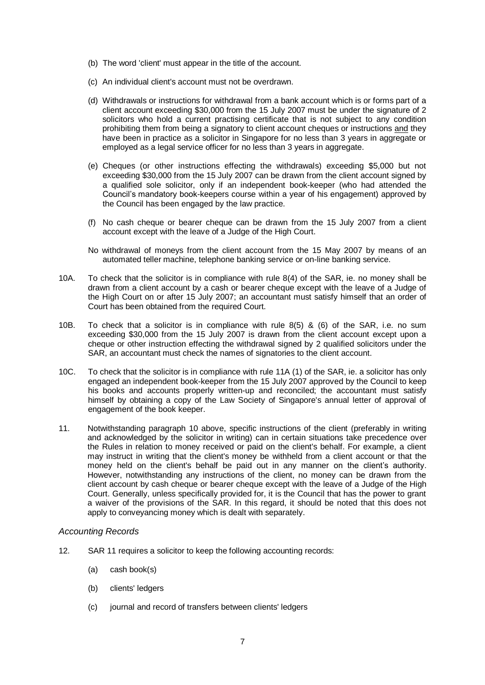- (b) The word 'client' must appear in the title of the account.
- (c) An individual client's account must not be overdrawn.
- (d) Withdrawals or instructions for withdrawal from a bank account which is or forms part of a client account exceeding \$30,000 from the 15 July 2007 must be under the signature of 2 solicitors who hold a current practising certificate that is not subject to any condition prohibiting them from being a signatory to client account cheques or instructions and they have been in practice as a solicitor in Singapore for no less than 3 years in aggregate or employed as a legal service officer for no less than 3 years in aggregate.
- (e) Cheques (or other instructions effecting the withdrawals) exceeding \$5,000 but not exceeding \$30,000 from the 15 July 2007 can be drawn from the client account signed by a qualified sole solicitor, only if an independent book-keeper (who had attended the Council's mandatory book-keepers course within a year of his engagement) approved by the Council has been engaged by the law practice.
- (f) No cash cheque or bearer cheque can be drawn from the 15 July 2007 from a client account except with the leave of a Judge of the High Court.
- No withdrawal of moneys from the client account from the 15 May 2007 by means of an automated teller machine, telephone banking service or on-line banking service.
- 10A. To check that the solicitor is in compliance with rule 8(4) of the SAR, ie. no money shall be drawn from a client account by a cash or bearer cheque except with the leave of a Judge of the High Court on or after 15 July 2007; an accountant must satisfy himself that an order of Court has been obtained from the required Court.
- 10B. To check that a solicitor is in compliance with rule 8(5) & (6) of the SAR, i.e. no sum exceeding \$30,000 from the 15 July 2007 is drawn from the client account except upon a cheque or other instruction effecting the withdrawal signed by 2 qualified solicitors under the SAR, an accountant must check the names of signatories to the client account.
- 10C. To check that the solicitor is in compliance with rule 11A (1) of the SAR, ie. a solicitor has only engaged an independent book-keeper from the 15 July 2007 approved by the Council to keep his books and accounts properly written-up and reconciled; the accountant must satisfy himself by obtaining a copy of the Law Society of Singapore's annual letter of approval of engagement of the book keeper.
- 11. Notwithstanding paragraph 10 above, specific instructions of the client (preferably in writing and acknowledged by the solicitor in writing) can in certain situations take precedence over the Rules in relation to money received or paid on the client's behalf. For example, a client may instruct in writing that the client's money be withheld from a client account or that the money held on the client's behalf be paid out in any manner on the client's authority. However, notwithstanding any instructions of the client, no money can be drawn from the client account by cash cheque or bearer cheque except with the leave of a Judge of the High Court. Generally, unless specifically provided for, it is the Council that has the power to grant a waiver of the provisions of the SAR. In this regard, it should be noted that this does not apply to conveyancing money which is dealt with separately.

#### *Accounting Records*

- 12. SAR 11 requires a solicitor to keep the following accounting records:
	- (a) cash book(s)
	- (b) clients' ledgers
	- (c) journal and record of transfers between clients' ledgers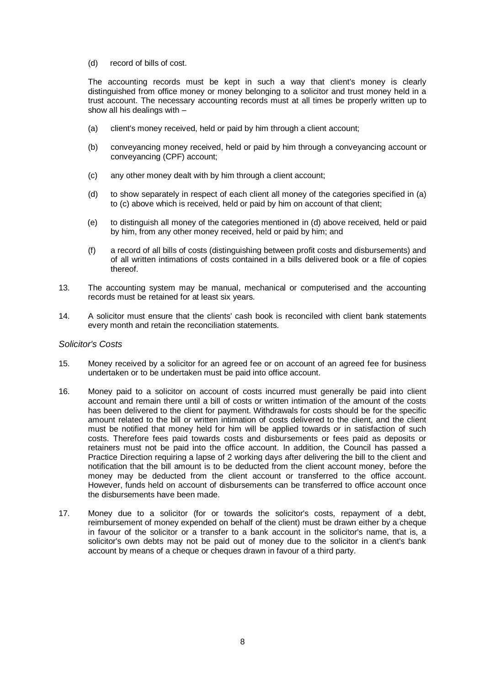(d) record of bills of cost.

The accounting records must be kept in such a way that client's money is clearly distinguished from office money or money belonging to a solicitor and trust money held in a trust account. The necessary accounting records must at all times be properly written up to show all his dealings with –

- (a) client's money received, held or paid by him through a client account;
- (b) conveyancing money received, held or paid by him through a conveyancing account or conveyancing (CPF) account;
- (c) any other money dealt with by him through a client account;
- (d) to show separately in respect of each client all money of the categories specified in (a) to (c) above which is received, held or paid by him on account of that client;
- (e) to distinguish all money of the categories mentioned in (d) above received, held or paid by him, from any other money received, held or paid by him; and
- (f) a record of all bills of costs (distinguishing between profit costs and disbursements) and of all written intimations of costs contained in a bills delivered book or a file of copies thereof.
- 13. The accounting system may be manual, mechanical or computerised and the accounting records must be retained for at least six years.
- 14. A solicitor must ensure that the clients' cash book is reconciled with client bank statements every month and retain the reconciliation statements.

#### *Solicitor's Costs*

- 15. Money received by a solicitor for an agreed fee or on account of an agreed fee for business undertaken or to be undertaken must be paid into office account.
- 16. Money paid to a solicitor on account of costs incurred must generally be paid into client account and remain there until a bill of costs or written intimation of the amount of the costs has been delivered to the client for payment. Withdrawals for costs should be for the specific amount related to the bill or written intimation of costs delivered to the client, and the client must be notified that money held for him will be applied towards or in satisfaction of such costs. Therefore fees paid towards costs and disbursements or fees paid as deposits or retainers must not be paid into the office account. In addition, the Council has passed a Practice Direction requiring a lapse of 2 working days after delivering the bill to the client and notification that the bill amount is to be deducted from the client account money, before the money may be deducted from the client account or transferred to the office account. However, funds held on account of disbursements can be transferred to office account once the disbursements have been made.
- 17. Money due to a solicitor (for or towards the solicitor's costs, repayment of a debt, reimbursement of money expended on behalf of the client) must be drawn either by a cheque in favour of the solicitor or a transfer to a bank account in the solicitor's name, that is, a solicitor's own debts may not be paid out of money due to the solicitor in a client's bank account by means of a cheque or cheques drawn in favour of a third party.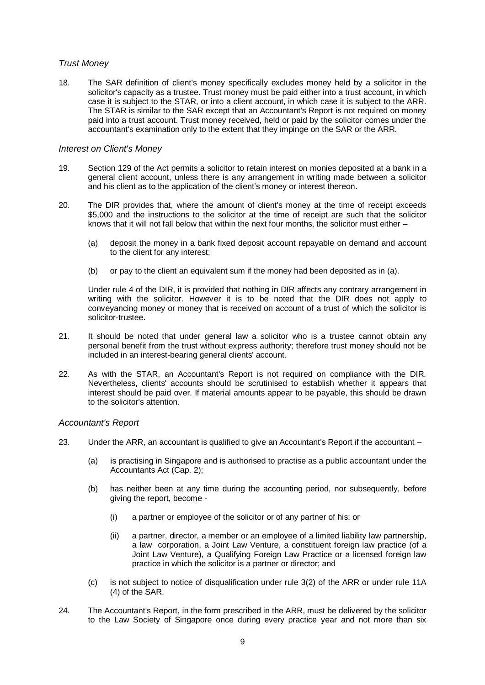## *Trust Money*

18. The SAR definition of client's money specifically excludes money held by a solicitor in the solicitor's capacity as a trustee. Trust money must be paid either into a trust account, in which case it is subject to the STAR, or into a client account, in which case it is subject to the ARR. The STAR is similar to the SAR except that an Accountant's Report is not required on money paid into a trust account. Trust money received, held or paid by the solicitor comes under the accountant's examination only to the extent that they impinge on the SAR or the ARR.

#### *Interest on Client's Money*

- 19. Section 129 of the Act permits a solicitor to retain interest on monies deposited at a bank in a general client account, unless there is any arrangement in writing made between a solicitor and his client as to the application of the client's money or interest thereon.
- 20. The DIR provides that, where the amount of client's money at the time of receipt exceeds \$5,000 and the instructions to the solicitor at the time of receipt are such that the solicitor knows that it will not fall below that within the next four months, the solicitor must either –
	- (a) deposit the money in a bank fixed deposit account repayable on demand and account to the client for any interest;
	- (b) or pay to the client an equivalent sum if the money had been deposited as in (a).

Under rule 4 of the DIR, it is provided that nothing in DIR affects any contrary arrangement in writing with the solicitor. However it is to be noted that the DIR does not apply to conveyancing money or money that is received on account of a trust of which the solicitor is solicitor-trustee.

- 21. It should be noted that under general law a solicitor who is a trustee cannot obtain any personal benefit from the trust without express authority; therefore trust money should not be included in an interest-bearing general clients' account.
- 22. As with the STAR, an Accountant's Report is not required on compliance with the DIR. Nevertheless, clients' accounts should be scrutinised to establish whether it appears that interest should be paid over. If material amounts appear to be payable, this should be drawn to the solicitor's attention.

#### *Accountant's Report*

- 23. Under the ARR, an accountant is qualified to give an Accountant's Report if the accountant
	- (a) is practising in Singapore and is authorised to practise as a public accountant under the Accountants Act (Cap. 2);
	- (b) has neither been at any time during the accounting period, nor subsequently, before giving the report, become -
		- (i) a partner or employee of the solicitor or of any partner of his; or
		- (ii) a partner, director, a member or an employee of a limited liability law partnership, a law corporation, a Joint Law Venture, a constituent foreign law practice (of a Joint Law Venture), a Qualifying Foreign Law Practice or a licensed foreign law practice in which the solicitor is a partner or director; and
	- (c) is not subject to notice of disqualification under rule 3(2) of the ARR or under rule 11A (4) of the SAR.
- 24. The Accountant's Report, in the form prescribed in the ARR, must be delivered by the solicitor to the Law Society of Singapore once during every practice year and not more than six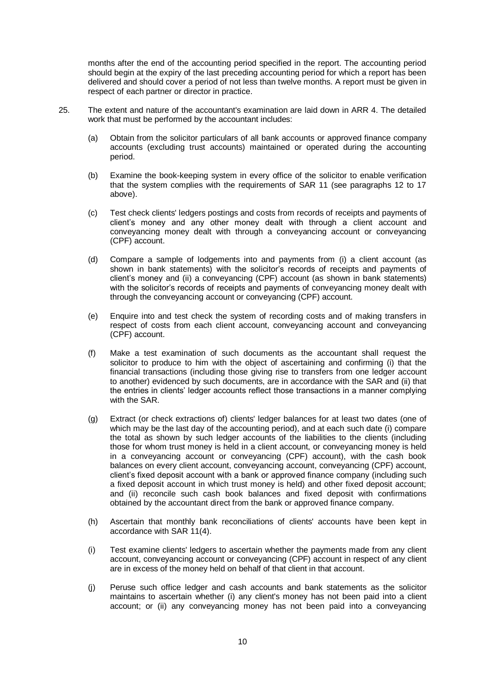months after the end of the accounting period specified in the report. The accounting period should begin at the expiry of the last preceding accounting period for which a report has been delivered and should cover a period of not less than twelve months. A report must be given in respect of each partner or director in practice.

- 25. The extent and nature of the accountant's examination are laid down in ARR 4. The detailed work that must be performed by the accountant includes:
	- (a) Obtain from the solicitor particulars of all bank accounts or approved finance company accounts (excluding trust accounts) maintained or operated during the accounting period.
	- (b) Examine the book-keeping system in every office of the solicitor to enable verification that the system complies with the requirements of SAR 11 (see paragraphs 12 to 17 above).
	- (c) Test check clients' ledgers postings and costs from records of receipts and payments of client's money and any other money dealt with through a client account and conveyancing money dealt with through a conveyancing account or conveyancing (CPF) account.
	- (d) Compare a sample of lodgements into and payments from (i) a client account (as shown in bank statements) with the solicitor's records of receipts and payments of client's money and (ii) a conveyancing (CPF) account (as shown in bank statements) with the solicitor's records of receipts and payments of conveyancing money dealt with through the conveyancing account or conveyancing (CPF) account.
	- (e) Enquire into and test check the system of recording costs and of making transfers in respect of costs from each client account, conveyancing account and conveyancing (CPF) account.
	- (f) Make a test examination of such documents as the accountant shall request the solicitor to produce to him with the object of ascertaining and confirming (i) that the financial transactions (including those giving rise to transfers from one ledger account to another) evidenced by such documents, are in accordance with the SAR and (ii) that the entries in clients' ledger accounts reflect those transactions in a manner complying with the SAR.
	- (g) Extract (or check extractions of) clients' ledger balances for at least two dates (one of which may be the last day of the accounting period), and at each such date (i) compare the total as shown by such ledger accounts of the liabilities to the clients (including those for whom trust money is held in a client account, or conveyancing money is held in a conveyancing account or conveyancing (CPF) account), with the cash book balances on every client account, conveyancing account, conveyancing (CPF) account, client's fixed deposit account with a bank or approved finance company (including such a fixed deposit account in which trust money is held) and other fixed deposit account; and (ii) reconcile such cash book balances and fixed deposit with confirmations obtained by the accountant direct from the bank or approved finance company.
	- (h) Ascertain that monthly bank reconciliations of clients' accounts have been kept in accordance with SAR 11(4).
	- (i) Test examine clients' ledgers to ascertain whether the payments made from any client account, conveyancing account or conveyancing (CPF) account in respect of any client are in excess of the money held on behalf of that client in that account.
	- (j) Peruse such office ledger and cash accounts and bank statements as the solicitor maintains to ascertain whether (i) any client's money has not been paid into a client account; or (ii) any conveyancing money has not been paid into a conveyancing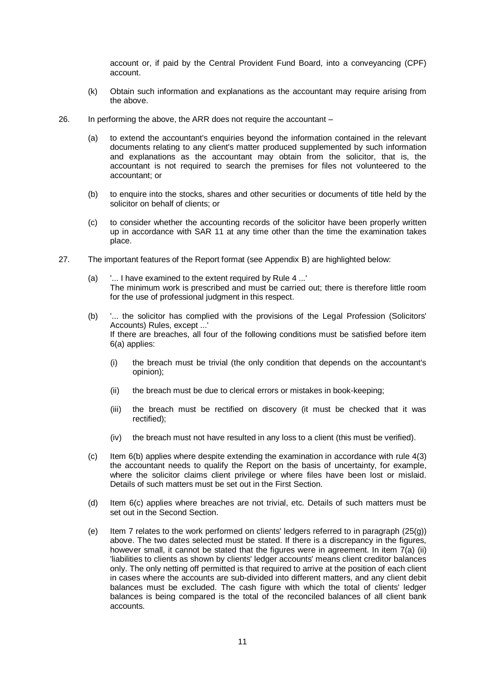account or, if paid by the Central Provident Fund Board, into a conveyancing (CPF) account.

- (k) Obtain such information and explanations as the accountant may require arising from the above.
- 26. In performing the above, the ARR does not require the accountant
	- (a) to extend the accountant's enquiries beyond the information contained in the relevant documents relating to any client's matter produced supplemented by such information and explanations as the accountant may obtain from the solicitor, that is, the accountant is not required to search the premises for files not volunteered to the accountant; or
	- (b) to enquire into the stocks, shares and other securities or documents of title held by the solicitor on behalf of clients; or
	- (c) to consider whether the accounting records of the solicitor have been properly written up in accordance with SAR 11 at any time other than the time the examination takes place.
- 27. The important features of the Report format (see Appendix B) are highlighted below:
	- (a) '... I have examined to the extent required by Rule 4 ...' The minimum work is prescribed and must be carried out; there is therefore little room for the use of professional judgment in this respect.
	- (b) '... the solicitor has complied with the provisions of the Legal Profession (Solicitors' Accounts) Rules, except ...' If there are breaches, all four of the following conditions must be satisfied before item 6(a) applies:
		- (i) the breach must be trivial (the only condition that depends on the accountant's opinion);
		- (ii) the breach must be due to clerical errors or mistakes in book-keeping;
		- (iii) the breach must be rectified on discovery (it must be checked that it was rectified);
		- (iv) the breach must not have resulted in any loss to a client (this must be verified).
	- (c) Item 6(b) applies where despite extending the examination in accordance with rule 4(3) the accountant needs to qualify the Report on the basis of uncertainty, for example, where the solicitor claims client privilege or where files have been lost or mislaid. Details of such matters must be set out in the First Section.
	- (d) Item 6(c) applies where breaches are not trivial, etc. Details of such matters must be set out in the Second Section.
	- (e) Item 7 relates to the work performed on clients' ledgers referred to in paragraph (25(g)) above. The two dates selected must be stated. If there is a discrepancy in the figures, however small, it cannot be stated that the figures were in agreement. In item 7(a) (ii) 'liabilities to clients as shown by clients' ledger accounts' means client creditor balances only. The only netting off permitted is that required to arrive at the position of each client in cases where the accounts are sub-divided into different matters, and any client debit balances must be excluded. The cash figure with which the total of clients' ledger balances is being compared is the total of the reconciled balances of all client bank accounts.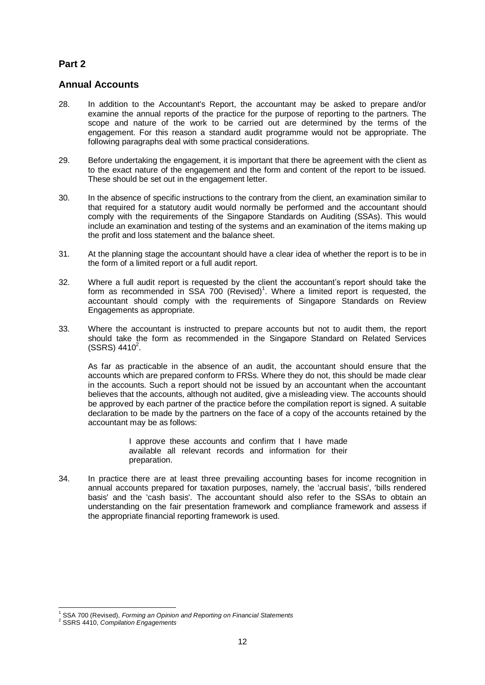## **Part 2**

## **Annual Accounts**

- 28. In addition to the Accountant's Report, the accountant may be asked to prepare and/or examine the annual reports of the practice for the purpose of reporting to the partners. The scope and nature of the work to be carried out are determined by the terms of the engagement. For this reason a standard audit programme would not be appropriate. The following paragraphs deal with some practical considerations.
- 29. Before undertaking the engagement, it is important that there be agreement with the client as to the exact nature of the engagement and the form and content of the report to be issued. These should be set out in the engagement letter.
- 30. In the absence of specific instructions to the contrary from the client, an examination similar to that required for a statutory audit would normally be performed and the accountant should comply with the requirements of the Singapore Standards on Auditing (SSAs). This would include an examination and testing of the systems and an examination of the items making up the profit and loss statement and the balance sheet.
- 31. At the planning stage the accountant should have a clear idea of whether the report is to be in the form of a limited report or a full audit report.
- 32. Where a full audit report is requested by the client the accountant's report should take the form as recommended in SSA 700  $(Revised)^1$ . Where a limited report is requested, the accountant should comply with the requirements of Singapore Standards on Review Engagements as appropriate.
- 33. Where the accountant is instructed to prepare accounts but not to audit them, the report should take the form as recommended in the Singapore Standard on Related Services  $(SSRS) 4410^2$ .

As far as practicable in the absence of an audit, the accountant should ensure that the accounts which are prepared conform to FRSs. Where they do not, this should be made clear in the accounts. Such a report should not be issued by an accountant when the accountant believes that the accounts, although not audited, give a misleading view. The accounts should be approved by each partner of the practice before the compilation report is signed. A suitable declaration to be made by the partners on the face of a copy of the accounts retained by the accountant may be as follows:

> I approve these accounts and confirm that I have made available all relevant records and information for their preparation.

34. In practice there are at least three prevailing accounting bases for income recognition in annual accounts prepared for taxation purposes, namely, the 'accrual basis', 'bills rendered basis' and the 'cash basis'. The accountant should also refer to the SSAs to obtain an understanding on the fair presentation framework and compliance framework and assess if the appropriate financial reporting framework is used.

-

<sup>&</sup>lt;sup>1</sup> SSA 700 (Revised), *Forming an Opinion and Reporting on Financial Statements* 

<sup>2</sup> SSRS 4410, *Compilation Engagements*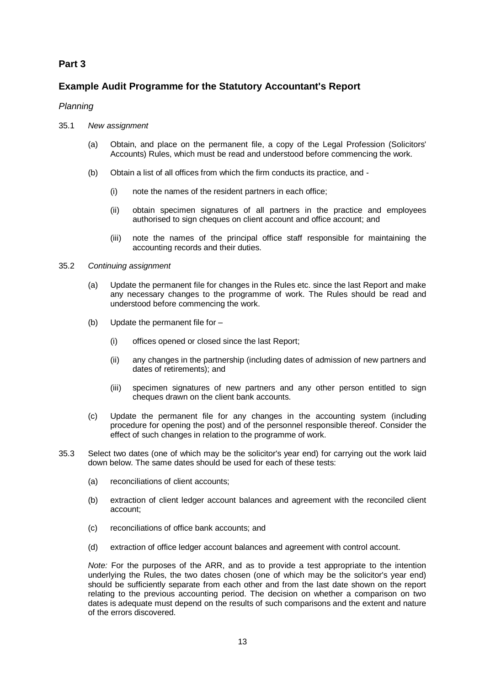## **Part 3**

## **Example Audit Programme for the Statutory Accountant's Report**

#### *Planning*

- 35.1 *New assignment* 
	- (a) Obtain, and place on the permanent file, a copy of the Legal Profession (Solicitors' Accounts) Rules, which must be read and understood before commencing the work.
	- (b) Obtain a list of all offices from which the firm conducts its practice, and
		- (i) note the names of the resident partners in each office;
		- (ii) obtain specimen signatures of all partners in the practice and employees authorised to sign cheques on client account and office account; and
		- (iii) note the names of the principal office staff responsible for maintaining the accounting records and their duties.

#### 35.2 *Continuing assignment*

- (a) Update the permanent file for changes in the Rules etc. since the last Report and make any necessary changes to the programme of work. The Rules should be read and understood before commencing the work.
- (b) Update the permanent file for
	- (i) offices opened or closed since the last Report;
	- (ii) any changes in the partnership (including dates of admission of new partners and dates of retirements); and
	- (iii) specimen signatures of new partners and any other person entitled to sign cheques drawn on the client bank accounts.
- (c) Update the permanent file for any changes in the accounting system (including procedure for opening the post) and of the personnel responsible thereof. Consider the effect of such changes in relation to the programme of work.
- 35.3 Select two dates (one of which may be the solicitor's year end) for carrying out the work laid down below. The same dates should be used for each of these tests:
	- (a) reconciliations of client accounts;
	- (b) extraction of client ledger account balances and agreement with the reconciled client account;
	- (c) reconciliations of office bank accounts; and
	- (d) extraction of office ledger account balances and agreement with control account.

*Note:* For the purposes of the ARR, and as to provide a test appropriate to the intention underlying the Rules, the two dates chosen (one of which may be the solicitor's year end) should be sufficiently separate from each other and from the last date shown on the report relating to the previous accounting period. The decision on whether a comparison on two dates is adequate must depend on the results of such comparisons and the extent and nature of the errors discovered.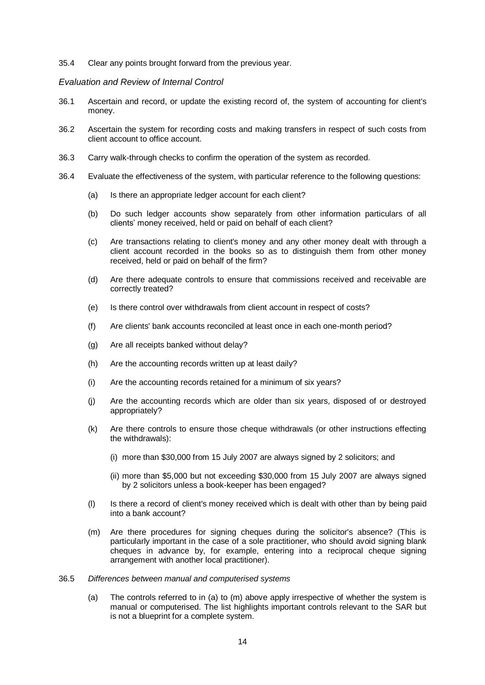#### 35.4 Clear any points brought forward from the previous year.

#### *Evaluation and Review of Internal Control*

- 36.1 Ascertain and record, or update the existing record of, the system of accounting for client's money.
- 36.2 Ascertain the system for recording costs and making transfers in respect of such costs from client account to office account.
- 36.3 Carry walk-through checks to confirm the operation of the system as recorded.
- 36.4 Evaluate the effectiveness of the system, with particular reference to the following questions:
	- (a) Is there an appropriate ledger account for each client?
	- (b) Do such ledger accounts show separately from other information particulars of all clients' money received, held or paid on behalf of each client?
	- (c) Are transactions relating to client's money and any other money dealt with through a client account recorded in the books so as to distinguish them from other money received, held or paid on behalf of the firm?
	- (d) Are there adequate controls to ensure that commissions received and receivable are correctly treated?
	- (e) Is there control over withdrawals from client account in respect of costs?
	- (f) Are clients' bank accounts reconciled at least once in each one-month period?
	- (g) Are all receipts banked without delay?
	- (h) Are the accounting records written up at least daily?
	- (i) Are the accounting records retained for a minimum of six years?
	- (j) Are the accounting records which are older than six years, disposed of or destroyed appropriately?
	- (k) Are there controls to ensure those cheque withdrawals (or other instructions effecting the withdrawals):
		- (i) more than \$30,000 from 15 July 2007 are always signed by 2 solicitors; and
		- (ii) more than \$5,000 but not exceeding \$30,000 from 15 July 2007 are always signed by 2 solicitors unless a book-keeper has been engaged?
	- (l) Is there a record of client's money received which is dealt with other than by being paid into a bank account?
	- (m) Are there procedures for signing cheques during the solicitor's absence? (This is particularly important in the case of a sole practitioner, who should avoid signing blank cheques in advance by, for example, entering into a reciprocal cheque signing arrangement with another local practitioner).
- 36.5 *Differences between manual and computerised systems*
	- (a) The controls referred to in (a) to (m) above apply irrespective of whether the system is manual or computerised. The list highlights important controls relevant to the SAR but is not a blueprint for a complete system.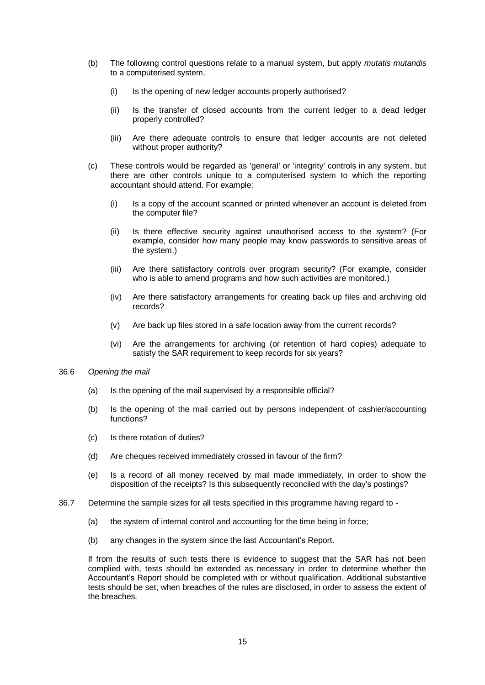- (b) The following control questions relate to a manual system, but apply *mutatis mutandis* to a computerised system.
	- (i) Is the opening of new ledger accounts properly authorised?
	- (ii) Is the transfer of closed accounts from the current ledger to a dead ledger properly controlled?
	- (iii) Are there adequate controls to ensure that ledger accounts are not deleted without proper authority?
- (c) These controls would be regarded as 'general' or 'integrity' controls in any system, but there are other controls unique to a computerised system to which the reporting accountant should attend. For example:
	- (i) Is a copy of the account scanned or printed whenever an account is deleted from the computer file?
	- (ii) Is there effective security against unauthorised access to the system? (For example, consider how many people may know passwords to sensitive areas of the system.)
	- (iii) Are there satisfactory controls over program security? (For example, consider who is able to amend programs and how such activities are monitored.)
	- (iv) Are there satisfactory arrangements for creating back up files and archiving old records?
	- (v) Are back up files stored in a safe location away from the current records?
	- (vi) Are the arrangements for archiving (or retention of hard copies) adequate to satisfy the SAR requirement to keep records for six years?
- 36.6 *Opening the mail*
	- (a) Is the opening of the mail supervised by a responsible official?
	- (b) Is the opening of the mail carried out by persons independent of cashier/accounting functions?
	- (c) Is there rotation of duties?
	- (d) Are cheques received immediately crossed in favour of the firm?
	- (e) Is a record of all money received by mail made immediately, in order to show the disposition of the receipts? Is this subsequently reconciled with the day's postings?
- 36.7 Determine the sample sizes for all tests specified in this programme having regard to
	- (a) the system of internal control and accounting for the time being in force;
	- (b) any changes in the system since the last Accountant's Report.

If from the results of such tests there is evidence to suggest that the SAR has not been complied with, tests should be extended as necessary in order to determine whether the Accountant's Report should be completed with or without qualification. Additional substantive tests should be set, when breaches of the rules are disclosed, in order to assess the extent of the breaches.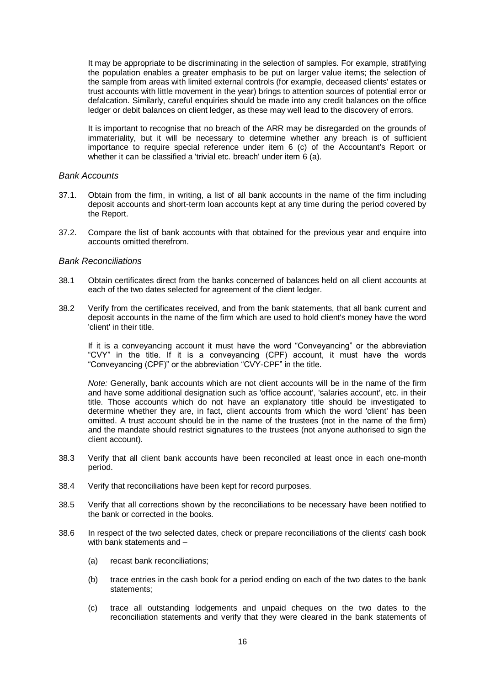It may be appropriate to be discriminating in the selection of samples. For example, stratifying the population enables a greater emphasis to be put on larger value items; the selection of the sample from areas with limited external controls (for example, deceased clients' estates or trust accounts with little movement in the year) brings to attention sources of potential error or defalcation. Similarly, careful enquiries should be made into any credit balances on the office ledger or debit balances on client ledger, as these may well lead to the discovery of errors.

It is important to recognise that no breach of the ARR may be disregarded on the grounds of immateriality, but it will be necessary to determine whether any breach is of sufficient importance to require special reference under item 6 (c) of the Accountant's Report or whether it can be classified a 'trivial etc. breach' under item 6 (a).

#### *Bank Accounts*

- 37.1. Obtain from the firm, in writing, a list of all bank accounts in the name of the firm including deposit accounts and short-term loan accounts kept at any time during the period covered by the Report.
- 37.2. Compare the list of bank accounts with that obtained for the previous year and enquire into accounts omitted therefrom.

#### *Bank Reconciliations*

- 38.1 Obtain certificates direct from the banks concerned of balances held on all client accounts at each of the two dates selected for agreement of the client ledger.
- 38.2 Verify from the certificates received, and from the bank statements, that all bank current and deposit accounts in the name of the firm which are used to hold client's money have the word 'client' in their title.

If it is a conveyancing account it must have the word "Conveyancing" or the abbreviation "CVY" in the title. If it is a conveyancing (CPF) account, it must have the words "Conveyancing (CPF)" or the abbreviation "CVY-CPF" in the title.

*Note:* Generally, bank accounts which are not client accounts will be in the name of the firm and have some additional designation such as 'office account', 'salaries account', etc. in their title. Those accounts which do not have an explanatory title should be investigated to determine whether they are, in fact, client accounts from which the word 'client' has been omitted. A trust account should be in the name of the trustees (not in the name of the firm) and the mandate should restrict signatures to the trustees (not anyone authorised to sign the client account).

- 38.3 Verify that all client bank accounts have been reconciled at least once in each one-month period.
- 38.4 Verify that reconciliations have been kept for record purposes.
- 38.5 Verify that all corrections shown by the reconciliations to be necessary have been notified to the bank or corrected in the books.
- 38.6 In respect of the two selected dates, check or prepare reconciliations of the clients' cash book with bank statements and –
	- (a) recast bank reconciliations;
	- (b) trace entries in the cash book for a period ending on each of the two dates to the bank statements;
	- (c) trace all outstanding lodgements and unpaid cheques on the two dates to the reconciliation statements and verify that they were cleared in the bank statements of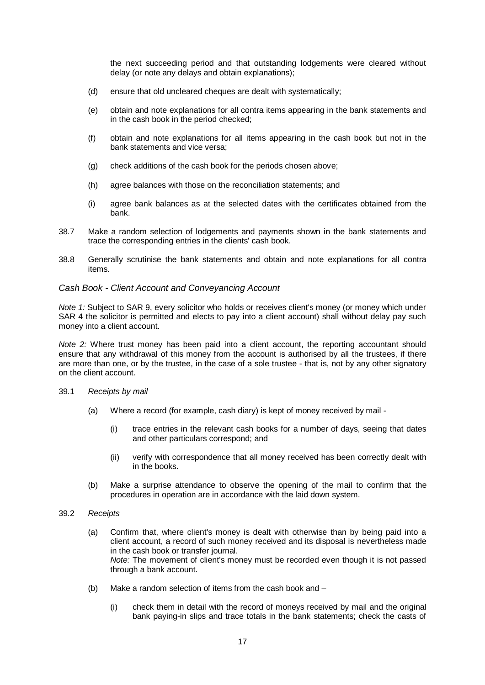the next succeeding period and that outstanding lodgements were cleared without delay (or note any delays and obtain explanations);

- (d) ensure that old uncleared cheques are dealt with systematically;
- (e) obtain and note explanations for all contra items appearing in the bank statements and in the cash book in the period checked;
- (f) obtain and note explanations for all items appearing in the cash book but not in the bank statements and vice versa;
- (g) check additions of the cash book for the periods chosen above;
- (h) agree balances with those on the reconciliation statements; and
- (i) agree bank balances as at the selected dates with the certificates obtained from the bank.
- 38.7 Make a random selection of lodgements and payments shown in the bank statements and trace the corresponding entries in the clients' cash book.
- 38.8 Generally scrutinise the bank statements and obtain and note explanations for all contra items.

#### *Cash Book - Client Account and Conveyancing Account*

*Note 1:* Subject to SAR 9, every solicitor who holds or receives client's money (or money which under SAR 4 the solicitor is permitted and elects to pay into a client account) shall without delay pay such money into a client account.

*Note 2:* Where trust money has been paid into a client account, the reporting accountant should ensure that any withdrawal of this money from the account is authorised by all the trustees, if there are more than one, or by the trustee, in the case of a sole trustee - that is, not by any other signatory on the client account.

- 39.1 *Receipts by mail*
	- (a) Where a record (for example, cash diary) is kept of money received by mail
		- (i) trace entries in the relevant cash books for a number of days, seeing that dates and other particulars correspond; and
		- (ii) verify with correspondence that all money received has been correctly dealt with in the books.
	- (b) Make a surprise attendance to observe the opening of the mail to confirm that the procedures in operation are in accordance with the laid down system.

#### 39.2 *Receipts*

- (a) Confirm that, where client's money is dealt with otherwise than by being paid into a client account, a record of such money received and its disposal is nevertheless made in the cash book or transfer journal. *Note:* The movement of client's money must be recorded even though it is not passed through a bank account.
- (b) Make a random selection of items from the cash book and
	- (i) check them in detail with the record of moneys received by mail and the original bank paying-in slips and trace totals in the bank statements; check the casts of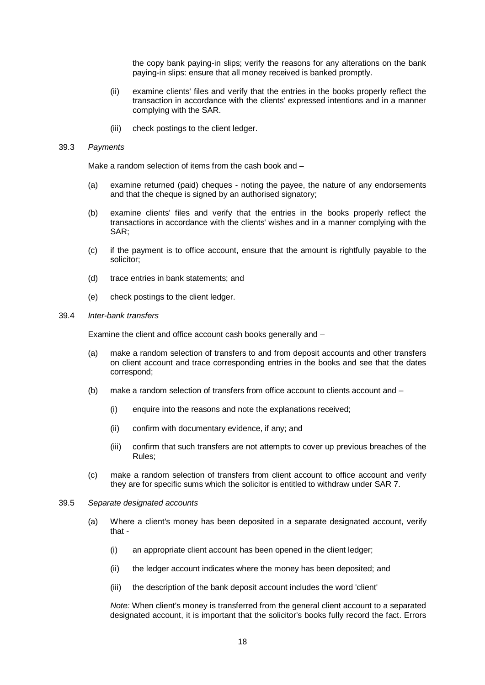the copy bank paying-in slips; verify the reasons for any alterations on the bank paying-in slips: ensure that all money received is banked promptly.

- (ii) examine clients' files and verify that the entries in the books properly reflect the transaction in accordance with the clients' expressed intentions and in a manner complying with the SAR.
- (iii) check postings to the client ledger.

#### 39.3 *Payments*

Make a random selection of items from the cash book and –

- (a) examine returned (paid) cheques noting the payee, the nature of any endorsements and that the cheque is signed by an authorised signatory;
- (b) examine clients' files and verify that the entries in the books properly reflect the transactions in accordance with the clients' wishes and in a manner complying with the SAR;
- (c) if the payment is to office account, ensure that the amount is rightfully payable to the solicitor;
- (d) trace entries in bank statements; and
- (e) check postings to the client ledger.

#### 39.4 *Inter-bank transfers*

Examine the client and office account cash books generally and –

- (a) make a random selection of transfers to and from deposit accounts and other transfers on client account and trace corresponding entries in the books and see that the dates correspond;
- (b) make a random selection of transfers from office account to clients account and
	- (i) enquire into the reasons and note the explanations received;
	- (ii) confirm with documentary evidence, if any; and
	- (iii) confirm that such transfers are not attempts to cover up previous breaches of the Rules;
- (c) make a random selection of transfers from client account to office account and verify they are for specific sums which the solicitor is entitled to withdraw under SAR 7.
- 39.5 *Separate designated accounts*
	- (a) Where a client's money has been deposited in a separate designated account, verify that -
		- (i) an appropriate client account has been opened in the client ledger;
		- (ii) the ledger account indicates where the money has been deposited; and
		- (iii) the description of the bank deposit account includes the word 'client'

*Note:* When client's money is transferred from the general client account to a separated designated account, it is important that the solicitor's books fully record the fact. Errors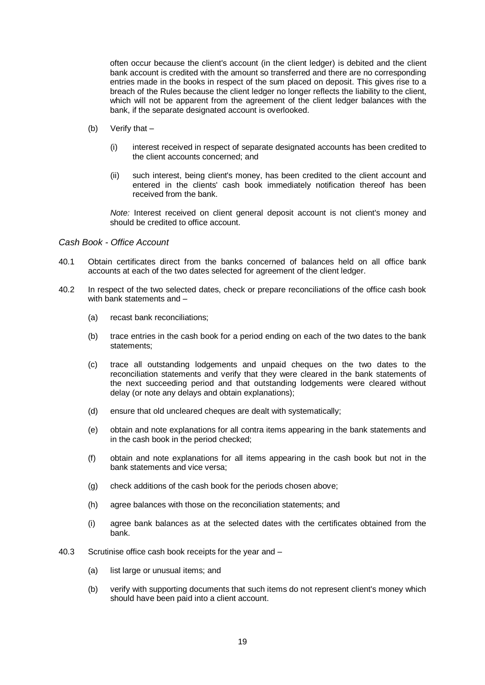often occur because the client's account (in the client ledger) is debited and the client bank account is credited with the amount so transferred and there are no corresponding entries made in the books in respect of the sum placed on deposit. This gives rise to a breach of the Rules because the client ledger no longer reflects the liability to the client, which will not be apparent from the agreement of the client ledger balances with the bank, if the separate designated account is overlooked.

- (b) Verify that
	- (i) interest received in respect of separate designated accounts has been credited to the client accounts concerned; and
	- (ii) such interest, being client's money, has been credited to the client account and entered in the clients' cash book immediately notification thereof has been received from the bank.

*Note:* Interest received on client general deposit account is not client's money and should be credited to office account.

### *Cash Book - Office Account*

- 40.1 Obtain certificates direct from the banks concerned of balances held on all office bank accounts at each of the two dates selected for agreement of the client ledger.
- 40.2 In respect of the two selected dates, check or prepare reconciliations of the office cash book with bank statements and –
	- (a) recast bank reconciliations;
	- (b) trace entries in the cash book for a period ending on each of the two dates to the bank statements;
	- (c) trace all outstanding lodgements and unpaid cheques on the two dates to the reconciliation statements and verify that they were cleared in the bank statements of the next succeeding period and that outstanding lodgements were cleared without delay (or note any delays and obtain explanations);
	- (d) ensure that old uncleared cheques are dealt with systematically;
	- (e) obtain and note explanations for all contra items appearing in the bank statements and in the cash book in the period checked;
	- (f) obtain and note explanations for all items appearing in the cash book but not in the bank statements and vice versa;
	- (g) check additions of the cash book for the periods chosen above;
	- (h) agree balances with those on the reconciliation statements; and
	- (i) agree bank balances as at the selected dates with the certificates obtained from the bank.
- 40.3 Scrutinise office cash book receipts for the year and
	- (a) list large or unusual items; and
	- (b) verify with supporting documents that such items do not represent client's money which should have been paid into a client account.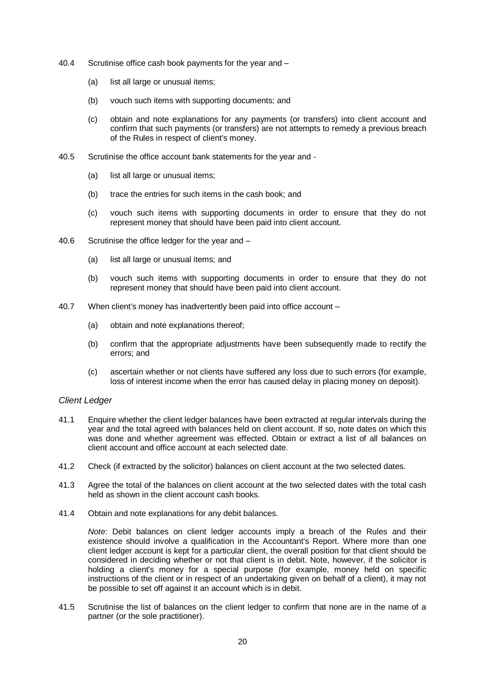- 40.4 Scrutinise office cash book payments for the year and
	- (a) list all large or unusual items;
	- (b) vouch such items with supporting documents; and
	- (c) obtain and note explanations for any payments (or transfers) into client account and confirm that such payments (or transfers) are not attempts to remedy a previous breach of the Rules in respect of client's money.
- 40.5 Scrutinise the office account bank statements for the year and
	- (a) list all large or unusual items:
	- (b) trace the entries for such items in the cash book; and
	- (c) vouch such items with supporting documents in order to ensure that they do not represent money that should have been paid into client account.
- 40.6 Scrutinise the office ledger for the year and
	- (a) list all large or unusual items; and
	- (b) vouch such items with supporting documents in order to ensure that they do not represent money that should have been paid into client account.
- 40.7 When client's money has inadvertently been paid into office account
	- (a) obtain and note explanations thereof;
	- (b) confirm that the appropriate adjustments have been subsequently made to rectify the errors; and
	- (c) ascertain whether or not clients have suffered any loss due to such errors (for example, loss of interest income when the error has caused delay in placing money on deposit).

#### *Client Ledger*

- 41.1 Enquire whether the client ledger balances have been extracted at regular intervals during the year and the total agreed with balances held on client account. If so, note dates on which this was done and whether agreement was effected. Obtain or extract a list of all balances on client account and office account at each selected date.
- 41.2 Check (if extracted by the solicitor) balances on client account at the two selected dates.
- 41.3 Agree the total of the balances on client account at the two selected dates with the total cash held as shown in the client account cash books.
- 41.4 Obtain and note explanations for any debit balances.

*Note:* Debit balances on client ledger accounts imply a breach of the Rules and their existence should involve a qualification in the Accountant's Report. Where more than one client ledger account is kept for a particular client, the overall position for that client should be considered in deciding whether or not that client is in debit. Note, however, if the solicitor is holding a client's money for a special purpose (for example, money held on specific instructions of the client or in respect of an undertaking given on behalf of a client), it may not be possible to set off against it an account which is in debit.

41.5 Scrutinise the list of balances on the client ledger to confirm that none are in the name of a partner (or the sole practitioner).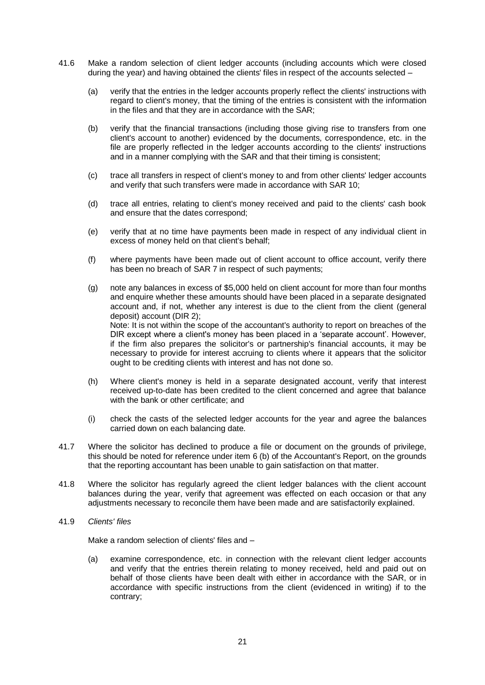- 41.6 Make a random selection of client ledger accounts (including accounts which were closed during the year) and having obtained the clients' files in respect of the accounts selected –
	- (a) verify that the entries in the ledger accounts properly reflect the clients' instructions with regard to client's money, that the timing of the entries is consistent with the information in the files and that they are in accordance with the SAR;
	- (b) verify that the financial transactions (including those giving rise to transfers from one client's account to another) evidenced by the documents, correspondence, etc. in the file are properly reflected in the ledger accounts according to the clients' instructions and in a manner complying with the SAR and that their timing is consistent;
	- (c) trace all transfers in respect of client's money to and from other clients' ledger accounts and verify that such transfers were made in accordance with SAR 10;
	- (d) trace all entries, relating to client's money received and paid to the clients' cash book and ensure that the dates correspond;
	- (e) verify that at no time have payments been made in respect of any individual client in excess of money held on that client's behalf;
	- (f) where payments have been made out of client account to office account, verify there has been no breach of SAR 7 in respect of such payments;
	- (g) note any balances in excess of \$5,000 held on client account for more than four months and enquire whether these amounts should have been placed in a separate designated account and, if not, whether any interest is due to the client from the client (general deposit) account (DIR 2); Note: It is not within the scope of the accountant's authority to report on breaches of the DIR except where a client's money has been placed in a 'separate account'. However, if the firm also prepares the solicitor's or partnership's financial accounts, it may be necessary to provide for interest accruing to clients where it appears that the solicitor ought to be crediting clients with interest and has not done so.
	- (h) Where client's money is held in a separate designated account, verify that interest received up-to-date has been credited to the client concerned and agree that balance with the bank or other certificate; and
	- (i) check the casts of the selected ledger accounts for the year and agree the balances carried down on each balancing date.
- 41.7 Where the solicitor has declined to produce a file or document on the grounds of privilege, this should be noted for reference under item 6 (b) of the Accountant's Report, on the grounds that the reporting accountant has been unable to gain satisfaction on that matter.
- 41.8 Where the solicitor has regularly agreed the client ledger balances with the client account balances during the year, verify that agreement was effected on each occasion or that any adjustments necessary to reconcile them have been made and are satisfactorily explained.
- 41.9 *Clients' files*

Make a random selection of clients' files and -

(a) examine correspondence, etc. in connection with the relevant client ledger accounts and verify that the entries therein relating to money received, held and paid out on behalf of those clients have been dealt with either in accordance with the SAR, or in accordance with specific instructions from the client (evidenced in writing) if to the contrary;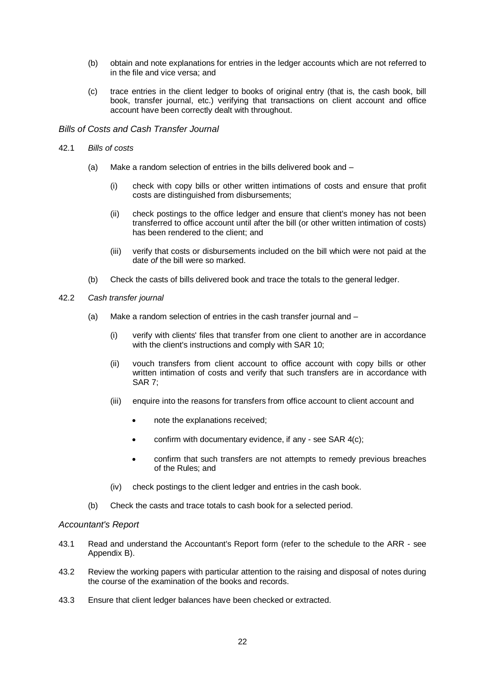- (b) obtain and note explanations for entries in the ledger accounts which are not referred to in the file and vice versa; and
- (c) trace entries in the client ledger to books of original entry (that is, the cash book, bill book, transfer journal, etc.) verifying that transactions on client account and office account have been correctly dealt with throughout.

#### *Bills of Costs and Cash Transfer Journal*

- 42.1 *Bills of costs*
	- (a) Make a random selection of entries in the bills delivered book and
		- (i) check with copy bills or other written intimations of costs and ensure that profit costs are distinguished from disbursements;
		- (ii) check postings to the office ledger and ensure that client's money has not been transferred to office account until after the bill (or other written intimation of costs) has been rendered to the client; and
		- (iii) verify that costs or disbursements included on the bill which were not paid at the date *of* the bill were so marked.
	- (b) Check the casts of bills delivered book and trace the totals to the general ledger.
- 42.2 *Cash transfer journal*
	- (a) Make a random selection of entries in the cash transfer journal and
		- (i) verify with clients' files that transfer from one client to another are in accordance with the client's instructions and comply with SAR 10;
		- (ii) vouch transfers from client account to office account with copy bills or other written intimation of costs and verify that such transfers are in accordance with SAR 7;
		- (iii) enquire into the reasons for transfers from office account to client account and
			- note the explanations received;
			- confirm with documentary evidence, if any see SAR 4(c);
			- confirm that such transfers are not attempts to remedy previous breaches of the Rules; and
		- (iv) check postings to the client ledger and entries in the cash book.
	- (b) Check the casts and trace totals to cash book for a selected period.

#### *Accountant's Report*

- 43.1 Read and understand the Accountant's Report form (refer to the schedule to the ARR see Appendix B).
- 43.2 Review the working papers with particular attention to the raising and disposal of notes during the course of the examination of the books and records.
- 43.3 Ensure that client ledger balances have been checked or extracted.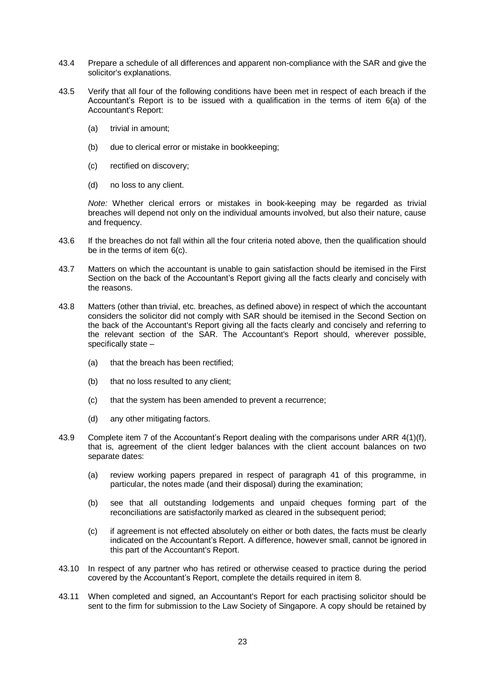- 43.4 Prepare a schedule of all differences and apparent non-compliance with the SAR and give the solicitor's explanations.
- 43.5 Verify that all four of the following conditions have been met in respect of each breach if the Accountant's Report is to be issued with a qualification in the terms of item 6(a) of the Accountant's Report:
	- (a) trivial in amount;
	- (b) due to clerical error or mistake in bookkeeping;
	- (c) rectified on discovery;
	- (d) no loss to any client.

*Note:* Whether clerical errors or mistakes in book-keeping may be regarded as trivial breaches will depend not only on the individual amounts involved, but also their nature, cause and frequency.

- 43.6 If the breaches do not fall within all the four criteria noted above, then the qualification should be in the terms of item 6(c).
- 43.7 Matters on which the accountant is unable to gain satisfaction should be itemised in the First Section on the back of the Accountant's Report giving all the facts clearly and concisely with the reasons.
- 43.8 Matters (other than trivial, etc. breaches, as defined above) in respect of which the accountant considers the solicitor did not comply with SAR should be itemised in the Second Section on the back of the Accountant's Report giving all the facts clearly and concisely and referring to the relevant section of the SAR. The Accountant's Report should, wherever possible, specifically state –
	- (a) that the breach has been rectified;
	- (b) that no loss resulted to any client;
	- (c) that the system has been amended to prevent a recurrence;
	- (d) any other mitigating factors.
- 43.9 Complete item 7 of the Accountant's Report dealing with the comparisons under ARR 4(1)(f), that is, agreement of the client ledger balances with the client account balances on two separate dates:
	- (a) review working papers prepared in respect of paragraph 41 of this programme, in particular, the notes made (and their disposal) during the examination;
	- (b) see that all outstanding lodgements and unpaid cheques forming part of the reconciliations are satisfactorily marked as cleared in the subsequent period;
	- (c) if agreement is not effected absolutely on either or both dates, the facts must be clearly indicated on the Accountant's Report. A difference, however small, cannot be ignored in this part of the Accountant's Report.
- 43.10 In respect of any partner who has retired or otherwise ceased to practice during the period covered by the Accountant's Report, complete the details required in item 8.
- 43.11 When completed and signed, an Accountant's Report for each practising solicitor should be sent to the firm for submission to the Law Society of Singapore. A copy should be retained by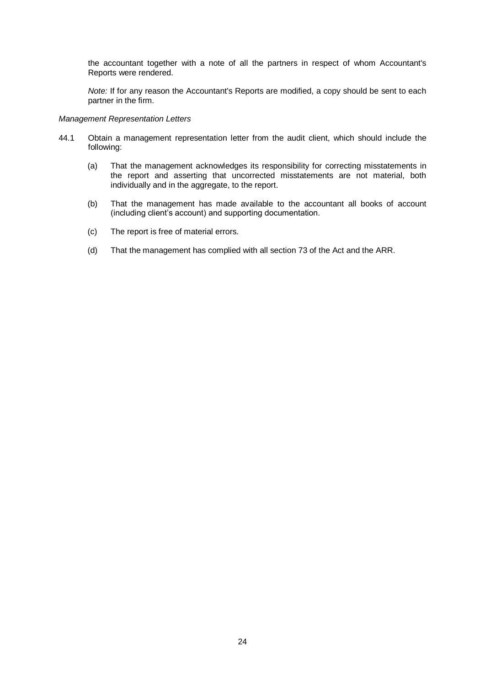the accountant together with a note of all the partners in respect of whom Accountant's Reports were rendered.

*Note:* If for any reason the Accountant's Reports are modified, a copy should be sent to each partner in the firm.

#### *Management Representation Letters*

- 44.1 Obtain a management representation letter from the audit client, which should include the following:
	- (a) That the management acknowledges its responsibility for correcting misstatements in the report and asserting that uncorrected misstatements are not material, both individually and in the aggregate, to the report.
	- (b) That the management has made available to the accountant all books of account (including client's account) and supporting documentation.
	- (c) The report is free of material errors.
	- (d) That the management has complied with all section 73 of the Act and the ARR.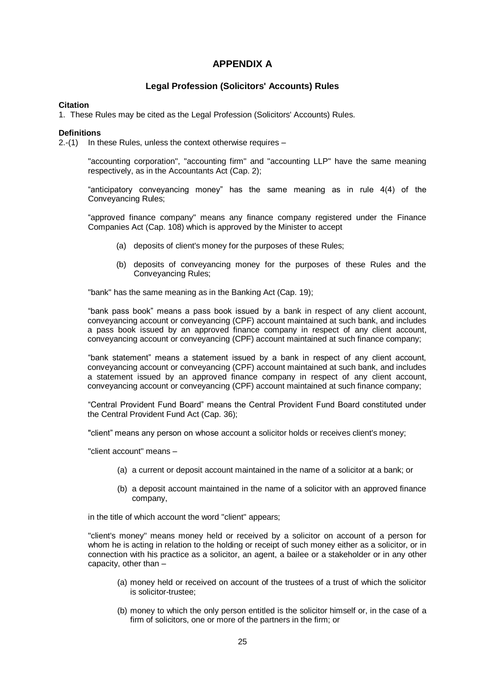## **APPENDIX A**

## **Legal Profession (Solicitors' Accounts) Rules**

#### **Citation**

1. These Rules may be cited as the Legal Profession (Solicitors' Accounts) Rules.

#### **Definitions**

2.-(1) In these Rules, unless the context otherwise requires –

"accounting corporation", "accounting firm" and "accounting LLP" have the same meaning respectively, as in the Accountants Act (Cap. 2);

"anticipatory conveyancing money" has the same meaning as in rule 4(4) of the Conveyancing Rules;

"approved finance company" means any finance company registered under the Finance Companies Act (Cap. 108) which is approved by the Minister to accept

- (a) deposits of client's money for the purposes of these Rules;
- (b) deposits of conveyancing money for the purposes of these Rules and the Conveyancing Rules;

"bank" has the same meaning as in the Banking Act (Cap. 19);

"bank pass book" means a pass book issued by a bank in respect of any client account, conveyancing account or conveyancing (CPF) account maintained at such bank, and includes a pass book issued by an approved finance company in respect of any client account, conveyancing account or conveyancing (CPF) account maintained at such finance company;

"bank statement" means a statement issued by a bank in respect of any client account, conveyancing account or conveyancing (CPF) account maintained at such bank, and includes a statement issued by an approved finance company in respect of any client account, conveyancing account or conveyancing (CPF) account maintained at such finance company;

"Central Provident Fund Board" means the Central Provident Fund Board constituted under the Central Provident Fund Act (Cap. 36);

"client" means any person on whose account a solicitor holds or receives client's money;

"client account" means –

- (a) a current or deposit account maintained in the name of a solicitor at a bank; or
- (b) a deposit account maintained in the name of a solicitor with an approved finance company,

in the title of which account the word "client" appears;

"client's money" means money held or received by a solicitor on account of a person for whom he is acting in relation to the holding or receipt of such money either as a solicitor, or in connection with his practice as a solicitor, an agent, a bailee or a stakeholder or in any other capacity, other than –

- (a) money held or received on account of the trustees of a trust of which the solicitor is solicitor-trustee;
- (b) money to which the only person entitled is the solicitor himself or, in the case of a firm of solicitors, one or more of the partners in the firm; or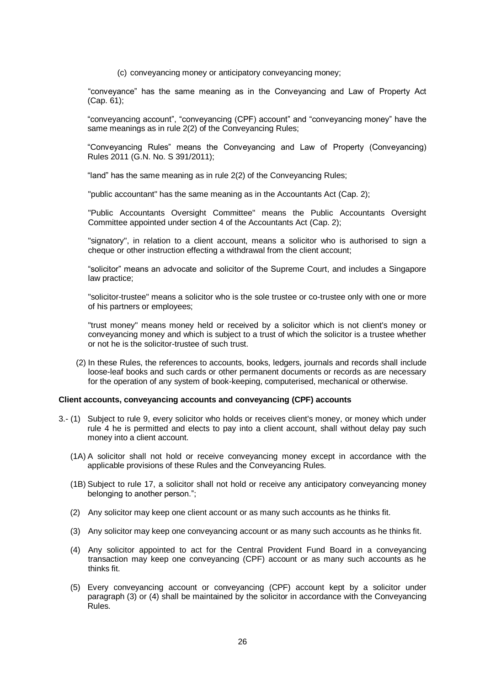(c) conveyancing money or anticipatory conveyancing money;

"conveyance" has the same meaning as in the Conveyancing and Law of Property Act (Cap. 61);

"conveyancing account", "conveyancing (CPF) account" and "conveyancing money" have the same meanings as in rule 2(2) of the Conveyancing Rules;

"Conveyancing Rules" means the Conveyancing and Law of Property (Conveyancing) Rules 2011 (G.N. No. S 391/2011);

"land" has the same meaning as in rule 2(2) of the Conveyancing Rules;

"public accountant" has the same meaning as in the Accountants Act (Cap. 2);

"Public Accountants Oversight Committee" means the Public Accountants Oversight Committee appointed under section 4 of the Accountants Act (Cap. 2);

"signatory", in relation to a client account, means a solicitor who is authorised to sign a cheque or other instruction effecting a withdrawal from the client account;

"solicitor" means an advocate and solicitor of the Supreme Court, and includes a Singapore law practice;

"solicitor-trustee" means a solicitor who is the sole trustee or co-trustee only with one or more of his partners or employees;

"trust money" means money held or received by a solicitor which is not client's money or conveyancing money and which is subject to a trust of which the solicitor is a trustee whether or not he is the solicitor-trustee of such trust.

(2) In these Rules, the references to accounts, books, ledgers, journals and records shall include loose-leaf books and such cards or other permanent documents or records as are necessary for the operation of any system of book-keeping, computerised, mechanical or otherwise.

#### **Client accounts, conveyancing accounts and conveyancing (CPF) accounts**

- 3.- (1) Subject to rule 9, every solicitor who holds or receives client's money, or money which under rule 4 he is permitted and elects to pay into a client account, shall without delay pay such money into a client account.
	- (1A) A solicitor shall not hold or receive conveyancing money except in accordance with the applicable provisions of these Rules and the Conveyancing Rules.
	- (1B) Subject to rule 17, a solicitor shall not hold or receive any anticipatory conveyancing money belonging to another person.";
	- (2) Any solicitor may keep one client account or as many such accounts as he thinks fit.
	- (3) Any solicitor may keep one conveyancing account or as many such accounts as he thinks fit.
	- (4) Any solicitor appointed to act for the Central Provident Fund Board in a conveyancing transaction may keep one conveyancing (CPF) account or as many such accounts as he thinks fit.
	- (5) Every conveyancing account or conveyancing (CPF) account kept by a solicitor under paragraph (3) or (4) shall be maintained by the solicitor in accordance with the Conveyancing Rules.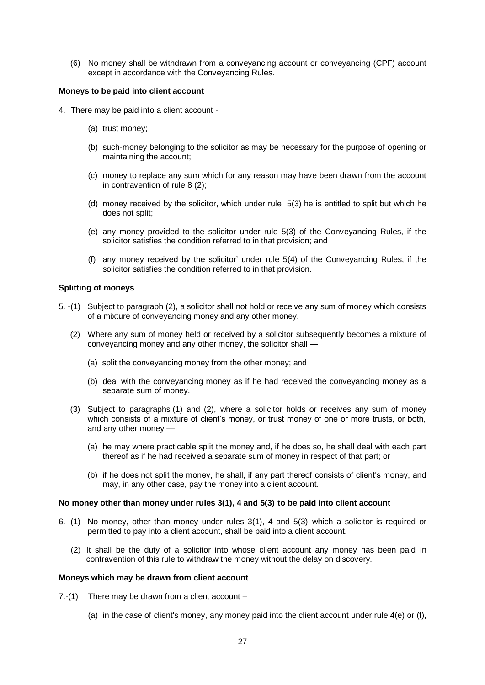(6) No money shall be withdrawn from a conveyancing account or conveyancing (CPF) account except in accordance with the Conveyancing Rules.

#### **Moneys to be paid into client account**

- 4. There may be paid into a client account
	- (a) trust money;
	- (b) such-money belonging to the solicitor as may be necessary for the purpose of opening or maintaining the account;
	- (c) money to replace any sum which for any reason may have been drawn from the account in contravention of rule 8 (2);
	- (d) money received by the solicitor, which under rule 5(3) he is entitled to split but which he does not split;
	- (e) any money provided to the solicitor under rule 5(3) of the Conveyancing Rules, if the solicitor satisfies the condition referred to in that provision; and
	- (f) any money received by the solicitor' under rule 5(4) of the Conveyancing Rules, if the solicitor satisfies the condition referred to in that provision.

#### **Splitting of moneys**

- 5. -(1) Subject to paragraph (2), a solicitor shall not hold or receive any sum of money which consists of a mixture of conveyancing money and any other money.
	- (2) Where any sum of money held or received by a solicitor subsequently becomes a mixture of conveyancing money and any other money, the solicitor shall —
		- (a) split the conveyancing money from the other money; and
		- (b) deal with the conveyancing money as if he had received the conveyancing money as a separate sum of money.
	- (3) Subject to paragraphs (1) and (2), where a solicitor holds or receives any sum of money which consists of a mixture of client's money, or trust money of one or more trusts, or both, and any other money —
		- (a) he may where practicable split the money and, if he does so, he shall deal with each part thereof as if he had received a separate sum of money in respect of that part; or
		- (b) if he does not split the money, he shall, if any part thereof consists of client's money, and may, in any other case, pay the money into a client account.

#### **No money other than money under rules 3(1), 4 and 5(3) to be paid into client account**

- 6.- (1) No money, other than money under rules 3(1), 4 and 5(3) which a solicitor is required or permitted to pay into a client account, shall be paid into a client account.
	- (2) It shall be the duty of a solicitor into whose client account any money has been paid in contravention of this rule to withdraw the money without the delay on discovery.

#### **Moneys which may be drawn from client account**

- 7.-(1) There may be drawn from a client account
	- (a) in the case of client's money, any money paid into the client account under rule  $4(e)$  or (f),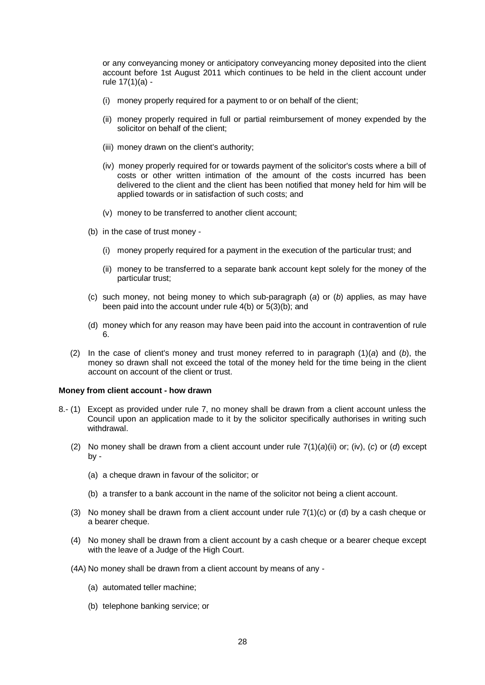or any conveyancing money or anticipatory conveyancing money deposited into the client account before 1st August 2011 which continues to be held in the client account under rule 17(1)(a) -

- (i) money properly required for a payment to or on behalf of the client;
- (ii) money properly required in full or partial reimbursement of money expended by the solicitor on behalf of the client;
- (iii) money drawn on the client's authority;
- (iv) money properly required for or towards payment of the solicitor's costs where a bill of costs or other written intimation of the amount of the costs incurred has been delivered to the client and the client has been notified that money held for him will be applied towards or in satisfaction of such costs; and
- (v) money to be transferred to another client account;
- (b) in the case of trust money
	- (i) money properly required for a payment in the execution of the particular trust; and
	- (ii) money to be transferred to a separate bank account kept solely for the money of the particular trust;
- (c) such money, not being money to which sub-paragraph (*a*) or (*b*) applies, as may have been paid into the account under rule 4(b) or 5(3)(b); and
- (d) money which for any reason may have been paid into the account in contravention of rule 6.
- (2) In the case of client's money and trust money referred to in paragraph (1)(*a*) and (*b*), the money so drawn shall not exceed the total of the money held for the time being in the client account on account of the client or trust.

#### **Money from client account - how drawn**

- 8.- (1) Except as provided under rule 7, no money shall be drawn from a client account unless the Council upon an application made to it by the solicitor specifically authorises in writing such withdrawal.
	- (2) No money shall be drawn from a client account under rule 7(1)(*a*)(ii) or; (iv), (*c*) or (*d*) except by -
		- (a) a cheque drawn in favour of the solicitor; or
		- (b) a transfer to a bank account in the name of the solicitor not being a client account.
	- (3) No money shall be drawn from a client account under rule 7(1)(c) or (d) by a cash cheque or a bearer cheque.
	- (4) No money shall be drawn from a client account by a cash cheque or a bearer cheque except with the leave of a Judge of the High Court.
	- (4A) No money shall be drawn from a client account by means of any
		- (a) automated teller machine;
		- (b) telephone banking service; or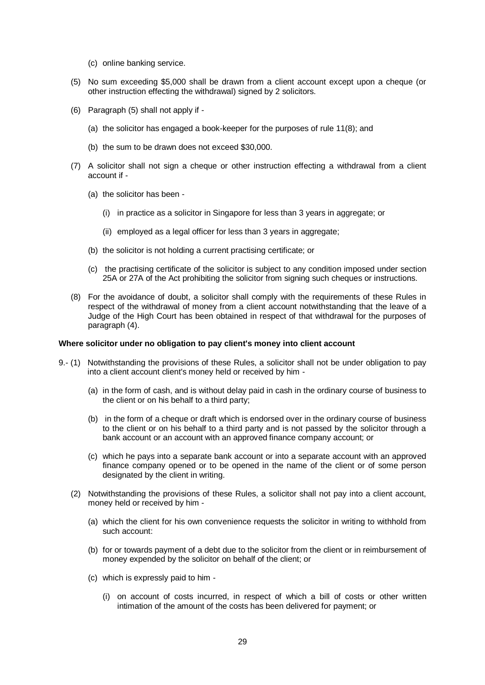- (c) online banking service.
- (5) No sum exceeding \$5,000 shall be drawn from a client account except upon a cheque (or other instruction effecting the withdrawal) signed by 2 solicitors.
- (6) Paragraph (5) shall not apply if
	- (a) the solicitor has engaged a book-keeper for the purposes of rule 11(8); and
	- (b) the sum to be drawn does not exceed \$30,000.
- (7) A solicitor shall not sign a cheque or other instruction effecting a withdrawal from a client account if -
	- (a) the solicitor has been
		- (i) in practice as a solicitor in Singapore for less than 3 years in aggregate; or
		- (ii) employed as a legal officer for less than 3 years in aggregate;
	- (b) the solicitor is not holding a current practising certificate; or
	- (c) the practising certificate of the solicitor is subject to any condition imposed under section 25A or 27A of the Act prohibiting the solicitor from signing such cheques or instructions.
- (8) For the avoidance of doubt, a solicitor shall comply with the requirements of these Rules in respect of the withdrawal of money from a client account notwithstanding that the leave of a Judge of the High Court has been obtained in respect of that withdrawal for the purposes of paragraph (4).

#### **Where solicitor under no obligation to pay client's money into client account**

- 9.- (1) Notwithstanding the provisions of these Rules, a solicitor shall not be under obligation to pay into a client account client's money held or received by him -
	- (a) in the form of cash, and is without delay paid in cash in the ordinary course of business to the client or on his behalf to a third party;
	- (b) in the form of a cheque or draft which is endorsed over in the ordinary course of business to the client or on his behalf to a third party and is not passed by the solicitor through a bank account or an account with an approved finance company account; or
	- (c) which he pays into a separate bank account or into a separate account with an approved finance company opened or to be opened in the name of the client or of some person designated by the client in writing.
	- (2) Notwithstanding the provisions of these Rules, a solicitor shall not pay into a client account, money held or received by him -
		- (a) which the client for his own convenience requests the solicitor in writing to withhold from such account:
		- (b) for or towards payment of a debt due to the solicitor from the client or in reimbursement of money expended by the solicitor on behalf of the client; or
		- (c) which is expressly paid to him
			- (i) on account of costs incurred, in respect of which a bill of costs or other written intimation of the amount of the costs has been delivered for payment; or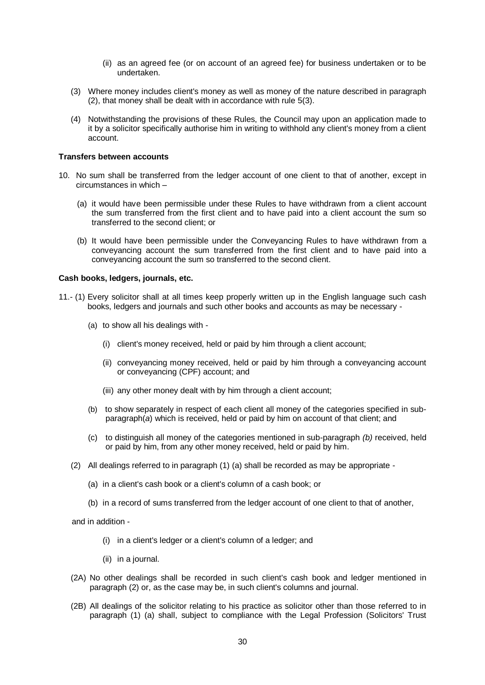- (ii) as an agreed fee (or on account of an agreed fee) for business undertaken or to be undertaken.
- (3) Where money includes client's money as well as money of the nature described in paragraph (2), that money shall be dealt with in accordance with rule 5(3).
- (4) Notwithstanding the provisions of these Rules, the Council may upon an application made to it by a solicitor specifically authorise him in writing to withhold any client's money from a client account.

#### **Transfers between accounts**

- 10. No sum shall be transferred from the ledger account of one client to that of another, except in circumstances in which –
	- (a) it would have been permissible under these Rules to have withdrawn from a client account the sum transferred from the first client and to have paid into a client account the sum so transferred to the second client; or
	- (b) It would have been permissible under the Conveyancing Rules to have withdrawn from a conveyancing account the sum transferred from the first client and to have paid into a conveyancing account the sum so transferred to the second client.

#### **Cash books, ledgers, journals, etc.**

- 11.- (1) Every solicitor shall at all times keep properly written up in the English language such cash books, ledgers and journals and such other books and accounts as may be necessary -
	- (a) to show all his dealings with
		- (i) client's money received, held or paid by him through a client account;
		- (ii) conveyancing money received, held or paid by him through a conveyancing account or conveyancing (CPF) account; and
		- (iii) any other money dealt with by him through a client account;
	- (b) to show separately in respect of each client all money of the categories specified in subparagraph(*a*) which is received, held or paid by him on account of that client; and
	- (c) to distinguish all money of the categories mentioned in sub-paragraph *(b)* received, held or paid by him, from any other money received, held or paid by him.
	- (2) All dealings referred to in paragraph (1) (a) shall be recorded as may be appropriate
		- (a) in a client's cash book or a client's column of a cash book; or
		- (b) in a record of sums transferred from the ledger account of one client to that of another,

and in addition -

- (i) in a client's ledger or a client's column of a ledger; and
- (ii) in a journal.
- (2A) No other dealings shall be recorded in such client's cash book and ledger mentioned in paragraph (2) or, as the case may be, in such client's columns and journal.
- (2B) All dealings of the solicitor relating to his practice as solicitor other than those referred to in paragraph (1) (a) shall, subject to compliance with the Legal Profession (Solicitors' Trust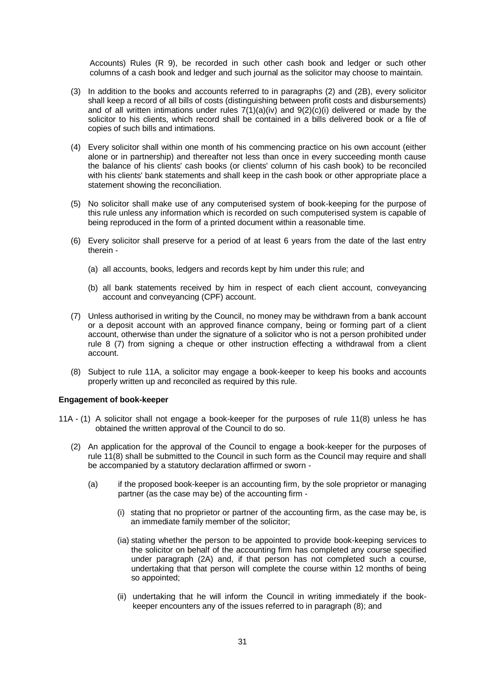Accounts) Rules (R 9), be recorded in such other cash book and ledger or such other columns of a cash book and ledger and such journal as the solicitor may choose to maintain.

- (3) In addition to the books and accounts referred to in paragraphs (2) and (2B), every solicitor shall keep a record of all bills of costs (distinguishing between profit costs and disbursements) and of all written intimations under rules  $7(1)(a)(iv)$  and  $9(2)(c)(i)$  delivered or made by the solicitor to his clients, which record shall be contained in a bills delivered book or a file of copies of such bills and intimations.
- (4) Every solicitor shall within one month of his commencing practice on his own account (either alone or in partnership) and thereafter not less than once in every succeeding month cause the balance of his clients' cash books (or clients' column of his cash book) to be reconciled with his clients' bank statements and shall keep in the cash book or other appropriate place a statement showing the reconciliation.
- (5) No solicitor shall make use of any computerised system of book-keeping for the purpose of this rule unless any information which is recorded on such computerised system is capable of being reproduced in the form of a printed document within a reasonable time.
- (6) Every solicitor shall preserve for a period of at least 6 years from the date of the last entry therein -
	- (a) all accounts, books, ledgers and records kept by him under this rule; and
	- (b) all bank statements received by him in respect of each client account, conveyancing account and conveyancing (CPF) account.
- (7) Unless authorised in writing by the Council, no money may be withdrawn from a bank account or a deposit account with an approved finance company, being or forming part of a client account, otherwise than under the signature of a solicitor who is not a person prohibited under rule 8 (7) from signing a cheque or other instruction effecting a withdrawal from a client account.
- (8) Subject to rule 11A, a solicitor may engage a book-keeper to keep his books and accounts properly written up and reconciled as required by this rule.

#### **Engagement of book-keeper**

- 11A (1) A solicitor shall not engage a book-keeper for the purposes of rule 11(8) unless he has obtained the written approval of the Council to do so.
	- (2) An application for the approval of the Council to engage a book-keeper for the purposes of rule 11(8) shall be submitted to the Council in such form as the Council may require and shall be accompanied by a statutory declaration affirmed or sworn -
		- (a) if the proposed book-keeper is an accounting firm, by the sole proprietor or managing partner (as the case may be) of the accounting firm -
			- (i) stating that no proprietor or partner of the accounting firm, as the case may be, is an immediate family member of the solicitor;
			- (ia) stating whether the person to be appointed to provide book-keeping services to the solicitor on behalf of the accounting firm has completed any course specified under paragraph (2A) and, if that person has not completed such a course, undertaking that that person will complete the course within 12 months of being so appointed;
			- (ii) undertaking that he will inform the Council in writing immediately if the bookkeeper encounters any of the issues referred to in paragraph (8); and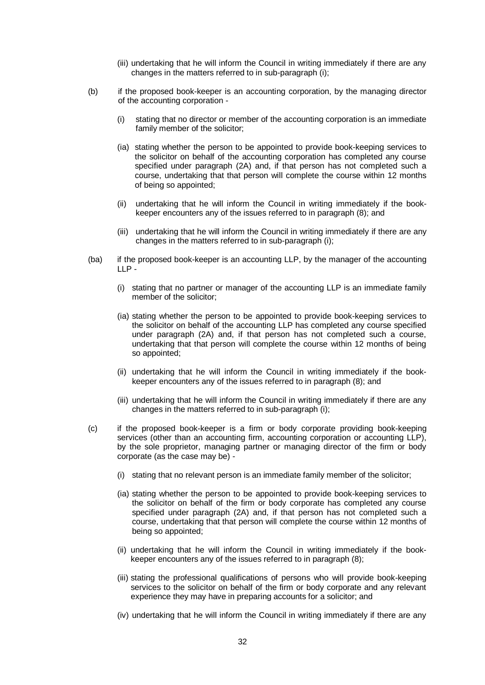- (iii) undertaking that he will inform the Council in writing immediately if there are any changes in the matters referred to in sub-paragraph (i);
- (b) if the proposed book-keeper is an accounting corporation, by the managing director of the accounting corporation -
	- (i) stating that no director or member of the accounting corporation is an immediate family member of the solicitor;
	- (ia) stating whether the person to be appointed to provide book-keeping services to the solicitor on behalf of the accounting corporation has completed any course specified under paragraph (2A) and, if that person has not completed such a course, undertaking that that person will complete the course within 12 months of being so appointed;
	- (ii) undertaking that he will inform the Council in writing immediately if the bookkeeper encounters any of the issues referred to in paragraph (8); and
	- (iii) undertaking that he will inform the Council in writing immediately if there are any changes in the matters referred to in sub-paragraph (i);
- (ba) if the proposed book-keeper is an accounting LLP, by the manager of the accounting LLP -
	- (i) stating that no partner or manager of the accounting LLP is an immediate family member of the solicitor;
	- (ia) stating whether the person to be appointed to provide book-keeping services to the solicitor on behalf of the accounting LLP has completed any course specified under paragraph (2A) and, if that person has not completed such a course, undertaking that that person will complete the course within 12 months of being so appointed;
	- (ii) undertaking that he will inform the Council in writing immediately if the bookkeeper encounters any of the issues referred to in paragraph (8); and
	- (iii) undertaking that he will inform the Council in writing immediately if there are any changes in the matters referred to in sub-paragraph (i);
- (c) if the proposed book-keeper is a firm or body corporate providing book-keeping services (other than an accounting firm, accounting corporation or accounting LLP), by the sole proprietor, managing partner or managing director of the firm or body corporate (as the case may be) -
	- (i) stating that no relevant person is an immediate family member of the solicitor;
	- (ia) stating whether the person to be appointed to provide book-keeping services to the solicitor on behalf of the firm or body corporate has completed any course specified under paragraph (2A) and, if that person has not completed such a course, undertaking that that person will complete the course within 12 months of being so appointed;
	- (ii) undertaking that he will inform the Council in writing immediately if the bookkeeper encounters any of the issues referred to in paragraph (8);
	- (iii) stating the professional qualifications of persons who will provide book-keeping services to the solicitor on behalf of the firm or body corporate and any relevant experience they may have in preparing accounts for a solicitor; and
	- (iv) undertaking that he will inform the Council in writing immediately if there are any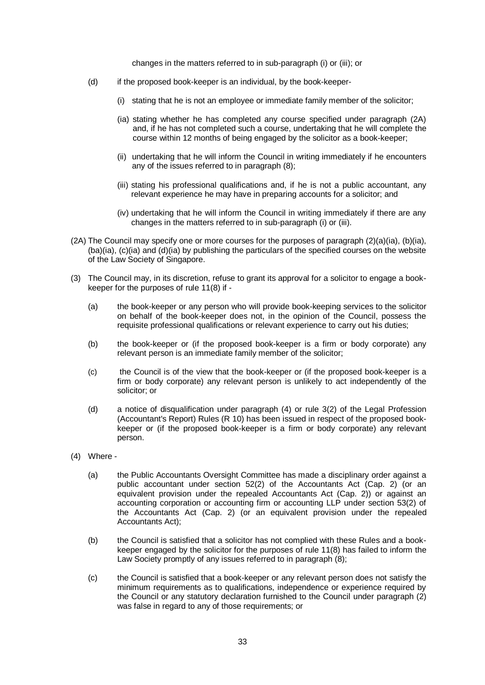changes in the matters referred to in sub-paragraph (i) or (iii); or

- (d) if the proposed book-keeper is an individual, by the book-keeper-
	- (i) stating that he is not an employee or immediate family member of the solicitor;
	- (ia) stating whether he has completed any course specified under paragraph (2A) and, if he has not completed such a course, undertaking that he will complete the course within 12 months of being engaged by the solicitor as a book-keeper;
	- (ii) undertaking that he will inform the Council in writing immediately if he encounters any of the issues referred to in paragraph (8);
	- (iii) stating his professional qualifications and, if he is not a public accountant, any relevant experience he may have in preparing accounts for a solicitor; and
	- (iv) undertaking that he will inform the Council in writing immediately if there are any changes in the matters referred to in sub-paragraph (i) or (iii).
- $(2)$  The Council may specify one or more courses for the purposes of paragraph  $(2)(a)(ia)$ ,  $(b)(ia)$ ,  $(ba)(ia)$ ,  $(c)(ia)$  and  $(d)(ia)$  by publishing the particulars of the specified courses on the website of the Law Society of Singapore.
- (3) The Council may, in its discretion, refuse to grant its approval for a solicitor to engage a bookkeeper for the purposes of rule 11(8) if -
	- (a) the book-keeper or any person who will provide book-keeping services to the solicitor on behalf of the book-keeper does not, in the opinion of the Council, possess the requisite professional qualifications or relevant experience to carry out his duties;
	- (b) the book-keeper or (if the proposed book-keeper is a firm or body corporate) any relevant person is an immediate family member of the solicitor;
	- (c) the Council is of the view that the book-keeper or (if the proposed book-keeper is a firm or body corporate) any relevant person is unlikely to act independently of the solicitor; or
	- (d) a notice of disqualification under paragraph (4) or rule 3(2) of the Legal Profession (Accountant's Report) Rules (R 10) has been issued in respect of the proposed bookkeeper or (if the proposed book-keeper is a firm or body corporate) any relevant person.
- (4) Where
	- (a) the Public Accountants Oversight Committee has made a disciplinary order against a public accountant under section 52(2) of the Accountants Act (Cap. 2) (or an equivalent provision under the repealed Accountants Act (Cap. 2)) or against an accounting corporation or accounting firm or accounting LLP under section 53(2) of the Accountants Act (Cap. 2) (or an equivalent provision under the repealed Accountants Act);
	- (b) the Council is satisfied that a solicitor has not complied with these Rules and a bookkeeper engaged by the solicitor for the purposes of rule 11(8) has failed to inform the Law Society promptly of any issues referred to in paragraph (8);
	- (c) the Council is satisfied that a book-keeper or any relevant person does not satisfy the minimum requirements as to qualifications, independence or experience required by the Council or any statutory declaration furnished to the Council under paragraph (2) was false in regard to any of those requirements; or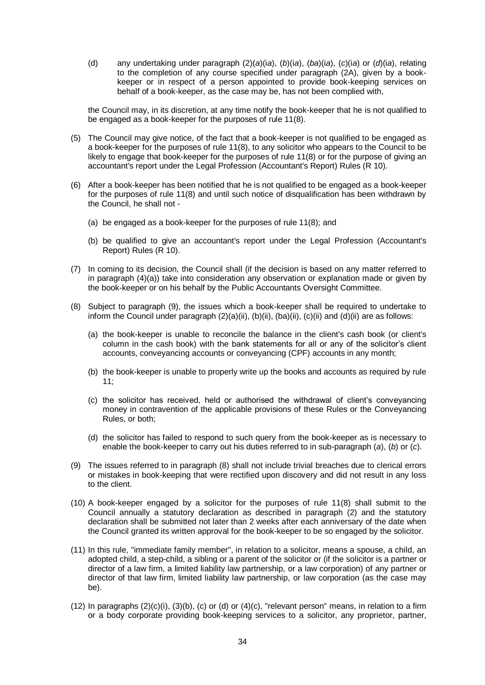(d) any undertaking under paragraph (2)(*a*)(i*a*), (*b*)(i*a*), (*ba*)(i*a*), (*c*)(i*a*) or (*d*)(i*a*), relating to the completion of any course specified under paragraph (2A), given by a bookkeeper or in respect of a person appointed to provide book-keeping services on behalf of a book-keeper, as the case may be, has not been complied with,

the Council may, in its discretion, at any time notify the book-keeper that he is not qualified to be engaged as a book-keeper for the purposes of rule 11(8).

- (5) The Council may give notice, of the fact that a book-keeper is not qualified to be engaged as a book-keeper for the purposes of rule 11(8), to any solicitor who appears to the Council to be likely to engage that book-keeper for the purposes of rule 11(8) or for the purpose of giving an accountant's report under the Legal Profession (Accountant's Report) Rules (R 10).
- (6) After a book-keeper has been notified that he is not qualified to be engaged as a book-keeper for the purposes of rule 11(8) and until such notice of disqualification has been withdrawn by the Council, he shall not -
	- (a) be engaged as a book-keeper for the purposes of rule 11(8); and
	- (b) be qualified to give an accountant's report under the Legal Profession (Accountant's Report) Rules (R 10).
- (7) In coming to its decision, the Council shall (if the decision is based on any matter referred to in paragraph (4)(a)) take into consideration any observation or explanation made or given by the book-keeper or on his behalf by the Public Accountants Oversight Committee.
- (8) Subject to paragraph (9), the issues which a book-keeper shall be required to undertake to inform the Council under paragraph (2)(a)(ii), (b)(ii), (ba)(ii), (c)(ii) and (d)(ii) are as follows:
	- (a) the book-keeper is unable to reconcile the balance in the client's cash book (or client's column in the cash book) with the bank statements for all or any of the solicitor's client accounts, conveyancing accounts or conveyancing (CPF) accounts in any month;
	- (b) the book-keeper is unable to properly write up the books and accounts as required by rule 11;
	- (c) the solicitor has received, held or authorised the withdrawal of client's conveyancing money in contravention of the applicable provisions of these Rules or the Conveyancing Rules, or both;
	- (d) the solicitor has failed to respond to such query from the book-keeper as is necessary to enable the book-keeper to carry out his duties referred to in sub-paragraph (*a*), (*b*) or (*c*).
- (9) The issues referred to in paragraph (8) shall not include trivial breaches due to clerical errors or mistakes in book-keeping that were rectified upon discovery and did not result in any loss to the client.
- (10) A book-keeper engaged by a solicitor for the purposes of rule 11(8) shall submit to the Council annually a statutory declaration as described in paragraph (2) and the statutory declaration shall be submitted not later than 2 weeks after each anniversary of the date when the Council granted its written approval for the book-keeper to be so engaged by the solicitor.
- (11) In this rule, "immediate family member", in relation to a solicitor, means a spouse, a child, an adopted child, a step-child, a sibling or a parent of the solicitor or (if the solicitor is a partner or director of a law firm, a limited liability law partnership, or a law corporation) of any partner or director of that law firm, limited liability law partnership, or law corporation (as the case may be).
- $(12)$  In paragraphs  $(2)(c)(i)$ ,  $(3)(b)$ ,  $(c)$  or  $(d)$  or  $(4)(c)$ , "relevant person" means, in relation to a firm or a body corporate providing book-keeping services to a solicitor, any proprietor, partner,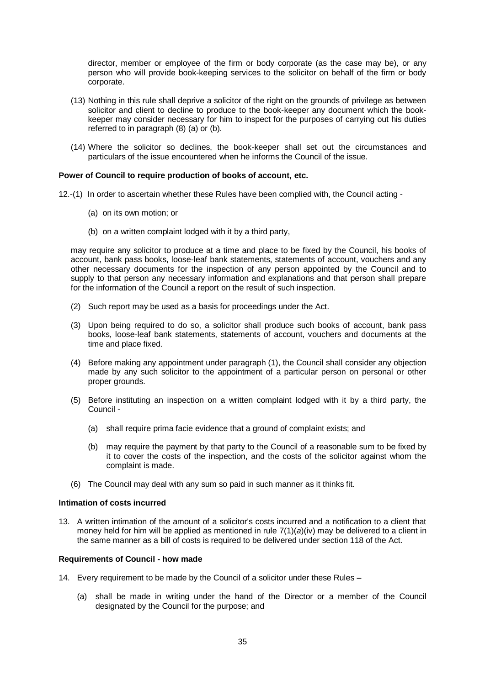director, member or employee of the firm or body corporate (as the case may be), or any person who will provide book-keeping services to the solicitor on behalf of the firm or body corporate.

- (13) Nothing in this rule shall deprive a solicitor of the right on the grounds of privilege as between solicitor and client to decline to produce to the book-keeper any document which the bookkeeper may consider necessary for him to inspect for the purposes of carrying out his duties referred to in paragraph (8) (a) or (b).
- (14) Where the solicitor so declines, the book-keeper shall set out the circumstances and particulars of the issue encountered when he informs the Council of the issue.

#### **Power of Council to require production of books of account, etc.**

- 12.-(1) In order to ascertain whether these Rules have been complied with, the Council acting
	- (a) on its own motion; or
	- (b) on a written complaint lodged with it by a third party,

may require any solicitor to produce at a time and place to be fixed by the Council, his books of account, bank pass books, loose-leaf bank statements, statements of account, vouchers and any other necessary documents for the inspection of any person appointed by the Council and to supply to that person any necessary information and explanations and that person shall prepare for the information of the Council a report on the result of such inspection.

- (2) Such report may be used as a basis for proceedings under the Act.
- (3) Upon being required to do so, a solicitor shall produce such books of account, bank pass books, loose-leaf bank statements, statements of account, vouchers and documents at the time and place fixed.
- (4) Before making any appointment under paragraph (1), the Council shall consider any objection made by any such solicitor to the appointment of a particular person on personal or other proper grounds.
- (5) Before instituting an inspection on a written complaint lodged with it by a third party, the Council -
	- (a) shall require prima facie evidence that a ground of complaint exists; and
	- (b) may require the payment by that party to the Council of a reasonable sum to be fixed by it to cover the costs of the inspection, and the costs of the solicitor against whom the complaint is made.
- (6) The Council may deal with any sum so paid in such manner as it thinks fit.

#### **Intimation of costs incurred**

13. A written intimation of the amount of a solicitor's costs incurred and a notification to a client that money held for him will be applied as mentioned in rule 7(1)(*a*)(iv) may be delivered to a client in the same manner as a bill of costs is required to be delivered under section 118 of the Act.

#### **Requirements of Council - how made**

- 14. Every requirement to be made by the Council of a solicitor under these Rules
	- (a) shall be made in writing under the hand of the Director or a member of the Council designated by the Council for the purpose; and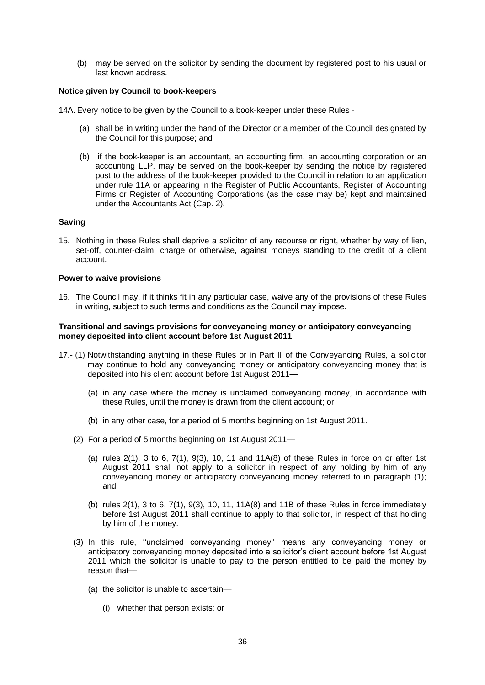(b) may be served on the solicitor by sending the document by registered post to his usual or last known address.

#### **Notice given by Council to book-keepers**

14A. Every notice to be given by the Council to a book-keeper under these Rules -

- (a) shall be in writing under the hand of the Director or a member of the Council designated by the Council for this purpose; and
- (b) if the book-keeper is an accountant, an accounting firm, an accounting corporation or an accounting LLP, may be served on the book-keeper by sending the notice by registered post to the address of the book-keeper provided to the Council in relation to an application under rule 11A or appearing in the Register of Public Accountants, Register of Accounting Firms or Register of Accounting Corporations (as the case may be) kept and maintained under the Accountants Act (Cap. 2).

#### **Saving**

15. Nothing in these Rules shall deprive a solicitor of any recourse or right, whether by way of lien, set-off, counter-claim, charge or otherwise, against moneys standing to the credit of a client account.

#### **Power to waive provisions**

16. The Council may, if it thinks fit in any particular case, waive any of the provisions of these Rules in writing, subject to such terms and conditions as the Council may impose.

#### **Transitional and savings provisions for conveyancing money or anticipatory conveyancing money deposited into client account before 1st August 2011**

- 17.- (1) Notwithstanding anything in these Rules or in Part II of the Conveyancing Rules, a solicitor may continue to hold any conveyancing money or anticipatory conveyancing money that is deposited into his client account before 1st August 2011—
	- (a) in any case where the money is unclaimed conveyancing money, in accordance with these Rules, until the money is drawn from the client account; or
	- (b) in any other case, for a period of 5 months beginning on 1st August 2011.
	- (2) For a period of 5 months beginning on 1st August 2011—
		- (a) rules 2(1), 3 to 6, 7(1), 9(3), 10, 11 and 11A(8) of these Rules in force on or after 1st August 2011 shall not apply to a solicitor in respect of any holding by him of any conveyancing money or anticipatory conveyancing money referred to in paragraph (1); and
		- (b) rules 2(1), 3 to 6, 7(1), 9(3), 10, 11, 11A(8) and 11B of these Rules in force immediately before 1st August 2011 shall continue to apply to that solicitor, in respect of that holding by him of the money.
	- (3) In this rule, ''unclaimed conveyancing money'' means any conveyancing money or anticipatory conveyancing money deposited into a solicitor's client account before 1st August 2011 which the solicitor is unable to pay to the person entitled to be paid the money by reason that—
		- (a) the solicitor is unable to ascertain—
			- (i) whether that person exists; or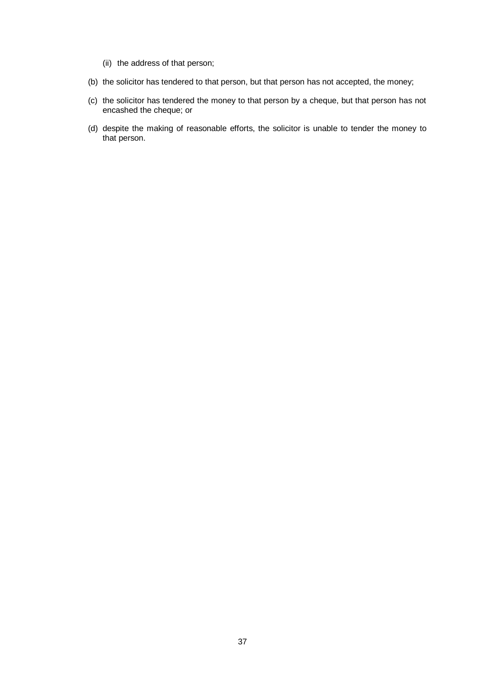- (ii) the address of that person;
- (b) the solicitor has tendered to that person, but that person has not accepted, the money;
- (c) the solicitor has tendered the money to that person by a cheque, but that person has not encashed the cheque; or
- (d) despite the making of reasonable efforts, the solicitor is unable to tender the money to that person.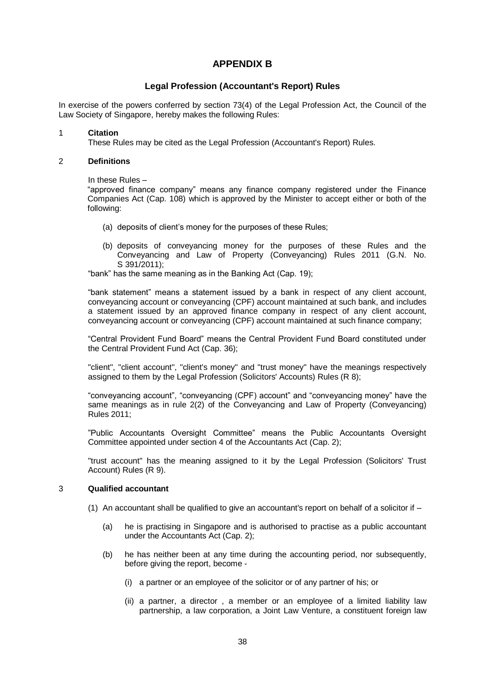## **APPENDIX B**

### **Legal Profession (Accountant's Report) Rules**

In exercise of the powers conferred by section 73(4) of the Legal Profession Act, the Council of the Law Society of Singapore, hereby makes the following Rules:

#### 1 **Citation**

These Rules may be cited as the Legal Profession (Accountant's Report) Rules.

#### 2 **Definitions**

In these Rules –

"approved finance company" means any finance company registered under the Finance Companies Act (Cap. 108) which is approved by the Minister to accept either or both of the following:

- (a) deposits of client's money for the purposes of these Rules;
- (b) deposits of conveyancing money for the purposes of these Rules and the Conveyancing and Law of Property (Conveyancing) Rules 2011 (G.N. No. S 391/2011);

"bank" has the same meaning as in the Banking Act (Cap. 19);

"bank statement" means a statement issued by a bank in respect of any client account, conveyancing account or conveyancing (CPF) account maintained at such bank, and includes a statement issued by an approved finance company in respect of any client account, conveyancing account or conveyancing (CPF) account maintained at such finance company;

"Central Provident Fund Board" means the Central Provident Fund Board constituted under the Central Provident Fund Act (Cap. 36);

"client", "client account", "client's money" and "trust money" have the meanings respectively assigned to them by the Legal Profession (Solicitors' Accounts) Rules (R 8);

"conveyancing account", "conveyancing (CPF) account" and "conveyancing money" have the same meanings as in rule 2(2) of the Conveyancing and Law of Property (Conveyancing) Rules 2011;

"Public Accountants Oversight Committee" means the Public Accountants Oversight Committee appointed under section 4 of the Accountants Act (Cap. 2);

"trust account" has the meaning assigned to it by the Legal Profession (Solicitors' Trust Account) Rules (R 9).

#### 3 **Qualified accountant**

- (1) An accountant shall be qualified to give an accountant's report on behalf of a solicitor if  $-$ 
	- (a) he is practising in Singapore and is authorised to practise as a public accountant under the Accountants Act (Cap. 2);
	- (b) he has neither been at any time during the accounting period, nor subsequently, before giving the report, become -
		- (i) a partner or an employee of the solicitor or of any partner of his; or
		- (ii) a partner, a director , a member or an employee of a limited liability law partnership, a law corporation, a Joint Law Venture, a constituent foreign law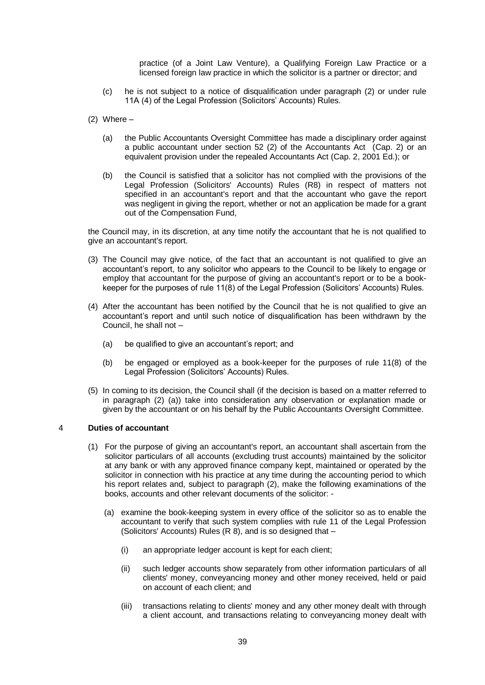practice (of a Joint Law Venture), a Qualifying Foreign Law Practice or a licensed foreign law practice in which the solicitor is a partner or director; and

- (c) he is not subject to a notice of disqualification under paragraph (2) or under rule 11A (4) of the Legal Profession (Solicitors' Accounts) Rules.
- (2) Where
	- (a) the Public Accountants Oversight Committee has made a disciplinary order against a public accountant under section 52 (2) of the Accountants Act (Cap. 2) or an equivalent provision under the repealed Accountants Act (Cap. 2, 2001 Ed.); or
	- (b) the Council is satisfied that a solicitor has not complied with the provisions of the Legal Profession (Solicitors' Accounts) Rules (R8) in respect of matters not specified in an accountant's report and that the accountant who gave the report was negligent in giving the report, whether or not an application be made for a grant out of the Compensation Fund,

the Council may, in its discretion, at any time notify the accountant that he is not qualified to give an accountant's report.

- (3) The Council may give notice, of the fact that an accountant is not qualified to give an accountant's report, to any solicitor who appears to the Council to be likely to engage or employ that accountant for the purpose of giving an accountant's report or to be a bookkeeper for the purposes of rule 11(8) of the Legal Profession (Solicitors' Accounts) Rules.
- (4) After the accountant has been notified by the Council that he is not qualified to give an accountant's report and until such notice of disqualification has been withdrawn by the Council, he shall not –
	- (a) be qualified to give an accountant's report; and
	- (b) be engaged or employed as a book-keeper for the purposes of rule 11(8) of the Legal Profession (Solicitors' Accounts) Rules.
- (5) In coming to its decision, the Council shall (if the decision is based on a matter referred to in paragraph (2) (a)) take into consideration any observation or explanation made or given by the accountant or on his behalf by the Public Accountants Oversight Committee.

#### 4 **Duties of accountant**

- (1) For the purpose of giving an accountant's report, an accountant shall ascertain from the solicitor particulars of all accounts (excluding trust accounts) maintained by the solicitor at any bank or with any approved finance company kept, maintained or operated by the solicitor in connection with his practice at any time during the accounting period to which his report relates and, subject to paragraph (2), make the following examinations of the books, accounts and other relevant documents of the solicitor: -
	- (a) examine the book-keeping system in every office of the solicitor so as to enable the accountant to verify that such system complies with rule 11 of the Legal Profession (Solicitors' Accounts) Rules  $(R 8)$ , and is so designed that –
		- (i) an appropriate ledger account is kept for each client;
		- (ii) such ledger accounts show separately from other information particulars of all clients' money, conveyancing money and other money received, held or paid on account of each client; and
		- (iii) transactions relating to clients' money and any other money dealt with through a client account, and transactions relating to conveyancing money dealt with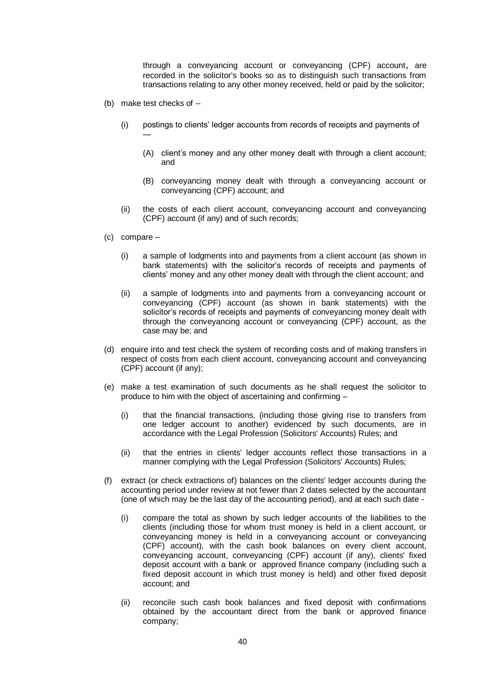through a conveyancing account or conveyancing (CPF) account, are recorded in the solicitor's books so as to distinguish such transactions from transactions relating to any other money received, held or paid by the solicitor;

(b) make test checks of --

—

- (i) postings to clients' ledger accounts from records of receipts and payments of
	- (A) client's money and any other money dealt with through a client account; and
	- (B) conveyancing money dealt with through a conveyancing account or conveyancing (CPF) account; and
- (ii) the costs of each client account, conveyancing account and conveyancing (CPF) account (if any) and of such records;
- (c) compare
	- (i) a sample of lodgments into and payments from a client account (as shown in bank statements) with the solicitor's records of receipts and payments of clients' money and any other money dealt with through the client account; and
	- (ii) a sample of lodgments into and payments from a conveyancing account or conveyancing (CPF) account (as shown in bank statements) with the solicitor's records of receipts and payments of conveyancing money dealt with through the conveyancing account or conveyancing (CPF) account, as the case may be; and
- (d) enquire into and test check the system of recording costs and of making transfers in respect of costs from each client account, conveyancing account and conveyancing (CPF) account (if any);
- (e) make a test examination of such documents as he shall request the solicitor to produce to him with the object of ascertaining and confirming –
	- (i) that the financial transactions, (including those giving rise to transfers from one ledger account to another) evidenced by such documents, are in accordance with the Legal Profession (Solicitors' Accounts) Rules; and
	- (ii) that the entries in clients' ledger accounts reflect those transactions in a manner complying with the Legal Profession (Solicitors' Accounts) Rules;
- (f) extract (or check extractions of) balances on the clients' ledger accounts during the accounting period under review at not fewer than 2 dates selected by the accountant (one of which may be the last day of the accounting period), and at each such date -
	- (i) compare the total as shown by such ledger accounts of the liabilities to the clients (including those for whom trust money is held in a client account, or conveyancing money is held in a conveyancing account or conveyancing (CPF) account), with the cash book balances on every client account, conveyancing account, conveyancing (CPF) account (if any), clients' fixed deposit account with a bank or approved finance company (including such a fixed deposit account in which trust money is held) and other fixed deposit account; and
	- (ii) reconcile such cash book balances and fixed deposit with confirmations obtained by the accountant direct from the bank or approved finance company;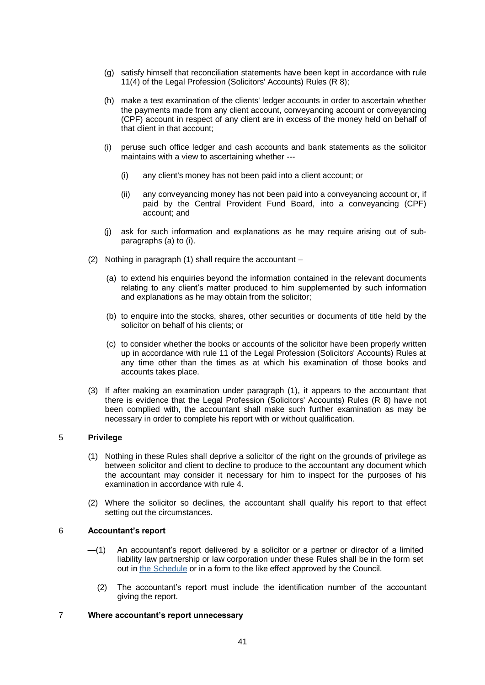- (g) satisfy himself that reconciliation statements have been kept in accordance with rule 11(4) of the Legal Profession (Solicitors' Accounts) Rules (R 8);
- (h) make a test examination of the clients' ledger accounts in order to ascertain whether the payments made from any client account, conveyancing account or conveyancing (CPF) account in respect of any client are in excess of the money held on behalf of that client in that account;
- (i) peruse such office ledger and cash accounts and bank statements as the solicitor maintains with a view to ascertaining whether ---
	- (i) any client's money has not been paid into a client account; or
	- (ii) any conveyancing money has not been paid into a conveyancing account or, if paid by the Central Provident Fund Board, into a conveyancing (CPF) account; and
- (j) ask for such information and explanations as he may require arising out of subparagraphs (a) to (i).
- (2) Nothing in paragraph (1) shall require the accountant
	- (a) to extend his enquiries beyond the information contained in the relevant documents relating to any client's matter produced to him supplemented by such information and explanations as he may obtain from the solicitor;
	- (b) to enquire into the stocks, shares, other securities or documents of title held by the solicitor on behalf of his clients; or
	- (c) to consider whether the books or accounts of the solicitor have been properly written up in accordance with rule 11 of the Legal Profession (Solicitors' Accounts) Rules at any time other than the times as at which his examination of those books and accounts takes place.
- (3) If after making an examination under paragraph (1), it appears to the accountant that there is evidence that the Legal Profession (Solicitors' Accounts) Rules (R 8) have not been complied with, the accountant shall make such further examination as may be necessary in order to complete his report with or without qualification.

#### 5 **Privilege**

- (1) Nothing in these Rules shall deprive a solicitor of the right on the grounds of privilege as between solicitor and client to decline to produce to the accountant any document which the accountant may consider it necessary for him to inspect for the purposes of his examination in accordance with rule 4.
- (2) Where the solicitor so declines, the accountant shall qualify his report to that effect setting out the circumstances.

#### 6 **Accountant's report**

- —(1) An accountant's report delivered by a solicitor or a partner or director of a limited liability law partnership or law corporation under these Rules shall be in the form set out in the Schedule or in a form to the like effect approved by the Council.
	- (2) The accountant's report must include the identification number of the accountant giving the report.

#### 7 **Where accountant's report unnecessary**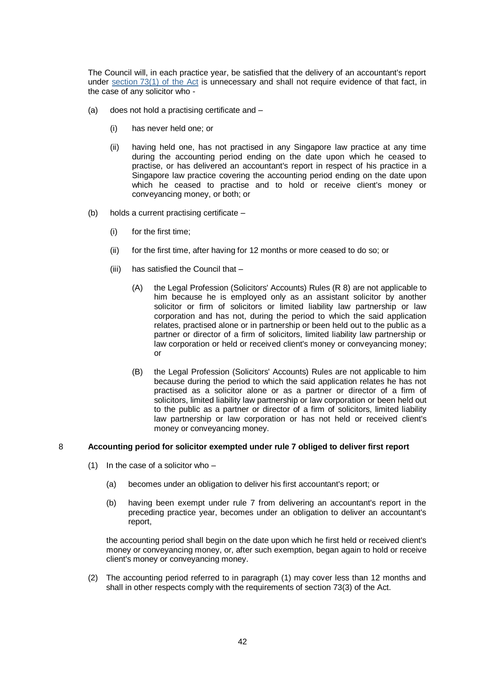The Council will, in each practice year, be satisfied that the delivery of an accountant's report under section 73(1) of the Act is unnecessary and shall not require evidence of that fact, in the case of any solicitor who -

- (a) does not hold a practising certificate and
	- (i) has never held one; or
	- (ii) having held one, has not practised in any Singapore law practice at any time during the accounting period ending on the date upon which he ceased to practise, or has delivered an accountant's report in respect of his practice in a Singapore law practice covering the accounting period ending on the date upon which he ceased to practise and to hold or receive client's money or conveyancing money, or both; or
- (b) holds a current practising certificate
	- (i) for the first time;
	- (ii) for the first time, after having for 12 months or more ceased to do so; or
	- (iii) has satisfied the Council that
		- (A) the Legal Profession (Solicitors' Accounts) Rules (R 8) are not applicable to him because he is employed only as an assistant solicitor by another solicitor or firm of solicitors or limited liability law partnership or law corporation and has not, during the period to which the said application relates, practised alone or in partnership or been held out to the public as a partner or director of a firm of solicitors, limited liability law partnership or law corporation or held or received client's money or conveyancing money; or
		- (B) the Legal Profession (Solicitors' Accounts) Rules are not applicable to him because during the period to which the said application relates he has not practised as a solicitor alone or as a partner or director of a firm of solicitors, limited liability law partnership or law corporation or been held out to the public as a partner or director of a firm of solicitors, limited liability law partnership or law corporation or has not held or received client's money or conveyancing money.

#### 8 **Accounting period for solicitor exempted under rule 7 obliged to deliver first report**

- (1) In the case of a solicitor who
	- (a) becomes under an obligation to deliver his first accountant's report; or
	- (b) having been exempt under rule 7 from delivering an accountant's report in the preceding practice year, becomes under an obligation to deliver an accountant's report,

the accounting period shall begin on the date upon which he first held or received client's money or conveyancing money, or, after such exemption, began again to hold or receive client's money or conveyancing money.

(2) The accounting period referred to in paragraph (1) may cover less than 12 months and shall in other respects comply with the requirements of section 73(3) of the Act.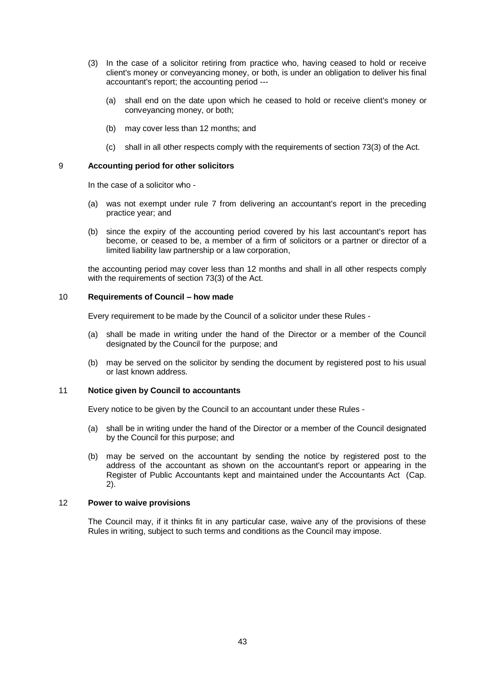- (3) In the case of a solicitor retiring from practice who, having ceased to hold or receive client's money or conveyancing money, or both, is under an obligation to deliver his final accountant's report; the accounting period ---
	- (a) shall end on the date upon which he ceased to hold or receive client's money or conveyancing money, or both;
	- (b) may cover less than 12 months; and
	- (c) shall in all other respects comply with the requirements of section 73(3) of the Act.

#### 9 **Accounting period for other solicitors**

In the case of a solicitor who -

- (a) was not exempt under rule 7 from delivering an accountant's report in the preceding practice year; and
- (b) since the expiry of the accounting period covered by his last accountant's report has become, or ceased to be, a member of a firm of solicitors or a partner or director of a limited liability law partnership or a law corporation,

the accounting period may cover less than 12 months and shall in all other respects comply with the requirements of section 73(3) of the Act.

#### 10 **Requirements of Council – how made**

Every requirement to be made by the Council of a solicitor under these Rules -

- (a) shall be made in writing under the hand of the Director or a member of the Council designated by the Council for the purpose; and
- (b) may be served on the solicitor by sending the document by registered post to his usual or last known address.

#### 11 **Notice given by Council to accountants**

Every notice to be given by the Council to an accountant under these Rules -

- (a) shall be in writing under the hand of the Director or a member of the Council designated by the Council for this purpose; and
- (b) may be served on the accountant by sending the notice by registered post to the address of the accountant as shown on the accountant's report or appearing in the Register of Public Accountants kept and maintained under the Accountants Act (Cap. 2).

#### 12 **Power to waive provisions**

The Council may, if it thinks fit in any particular case, waive any of the provisions of these Rules in writing, subject to such terms and conditions as the Council may impose.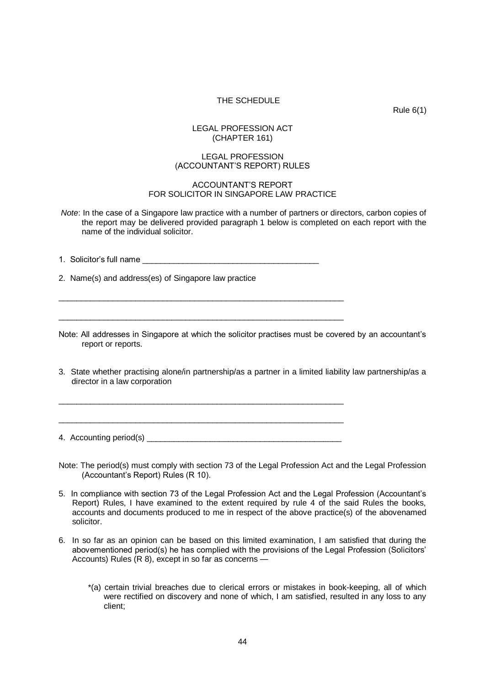#### THE SCHEDULE

Rule 6(1)

#### LEGAL PROFESSION ACT (CHAPTER 161)

#### LEGAL PROFESSION (ACCOUNTANT'S REPORT) RULES

#### ACCOUNTANT'S REPORT FOR SOLICITOR IN SINGAPORE LAW PRACTICE

*Note*: In the case of a Singapore law practice with a number of partners or directors, carbon copies of the report may be delivered provided paragraph 1 below is completed on each report with the name of the individual solicitor.

1. Solicitor's full name

2. Name(s) and address(es) of Singapore law practice

\_\_\_\_\_\_\_\_\_\_\_\_\_\_\_\_\_\_\_\_\_\_\_\_\_\_\_\_\_\_\_\_\_\_\_\_\_\_\_\_\_\_\_\_\_\_\_\_\_\_\_\_\_\_\_\_\_\_\_\_\_\_\_

\_\_\_\_\_\_\_\_\_\_\_\_\_\_\_\_\_\_\_\_\_\_\_\_\_\_\_\_\_\_\_\_\_\_\_\_\_\_\_\_\_\_\_\_\_\_\_\_\_\_\_\_\_\_\_\_\_\_\_\_\_\_\_

\_\_\_\_\_\_\_\_\_\_\_\_\_\_\_\_\_\_\_\_\_\_\_\_\_\_\_\_\_\_\_\_\_\_\_\_\_\_\_\_\_\_\_\_\_\_\_\_\_\_\_\_\_\_\_\_\_\_\_\_\_\_\_

\_\_\_\_\_\_\_\_\_\_\_\_\_\_\_\_\_\_\_\_\_\_\_\_\_\_\_\_\_\_\_\_\_\_\_\_\_\_\_\_\_\_\_\_\_\_\_\_\_\_\_\_\_\_\_\_\_\_\_\_\_\_\_

Note: All addresses in Singapore at which the solicitor practises must be covered by an accountant's report or reports.

3. State whether practising alone/in partnership/as a partner in a limited liability law partnership/as a director in a law corporation

4. Accounting period(s) \_\_\_\_\_\_\_\_\_\_\_\_\_\_\_\_\_\_\_\_\_\_\_\_\_\_\_\_\_\_\_\_\_\_\_\_\_\_\_\_\_\_\_

- Note: The period(s) must comply with section 73 of the Legal Profession Act and the Legal Profession (Accountant's Report) Rules (R 10).
- 5. In compliance with section 73 of the Legal Profession Act and the Legal Profession (Accountant's Report) Rules, I have examined to the extent required by rule 4 of the said Rules the books, accounts and documents produced to me in respect of the above practice(s) of the abovenamed solicitor.
- 6. In so far as an opinion can be based on this limited examination, I am satisfied that during the abovementioned period(s) he has complied with the provisions of the Legal Profession (Solicitors' Accounts) Rules (R 8), except in so far as concerns —
	- \*(a) certain trivial breaches due to clerical errors or mistakes in book-keeping, all of which were rectified on discovery and none of which, I am satisfied, resulted in any loss to any client;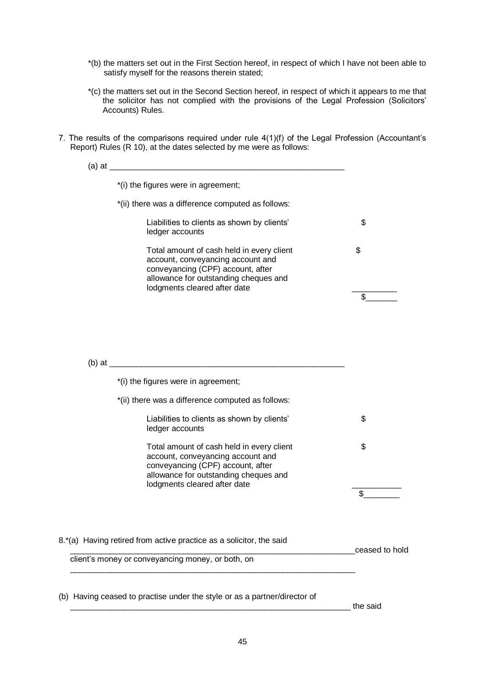- \*(b) the matters set out in the First Section hereof, in respect of which I have not been able to satisfy myself for the reasons therein stated;
- \*(c) the matters set out in the Second Section hereof, in respect of which it appears to me that the solicitor has not complied with the provisions of the Legal Profession (Solicitors' Accounts) Rules.
- 7. The results of the comparisons required under rule 4(1)(f) of the Legal Profession (Accountant's Report) Rules (R 10), at the dates selected by me were as follows:

| (a) at |                                                                                                                                                                                              |    |
|--------|----------------------------------------------------------------------------------------------------------------------------------------------------------------------------------------------|----|
|        | *(i) the figures were in agreement;                                                                                                                                                          |    |
|        | *(ii) there was a difference computed as follows:                                                                                                                                            |    |
|        | Liabilities to clients as shown by clients'<br>ledger accounts                                                                                                                               | \$ |
|        | Total amount of cash held in every client<br>account, conveyancing account and<br>conveyancing (CPF) account, after<br>allowance for outstanding cheques and<br>lodgments cleared after date | S  |
|        |                                                                                                                                                                                              |    |

| *(i) the figures were in agreement;                                                                                                                                                          |                |
|----------------------------------------------------------------------------------------------------------------------------------------------------------------------------------------------|----------------|
| *(ii) there was a difference computed as follows:                                                                                                                                            |                |
| Liabilities to clients as shown by clients'<br>ledger accounts                                                                                                                               | \$             |
| Total amount of cash held in every client<br>account, conveyancing account and<br>conveyancing (CPF) account, after<br>allowance for outstanding cheques and<br>lodgments cleared after date | \$<br>\$.      |
| 8.*(a) Having retired from active practice as a solicitor, the said<br>client's money or conveyancing money, or both, on                                                                     | ceased to hold |
| (b) Having ceased to practise under the style or as a partner/director of                                                                                                                    | the said       |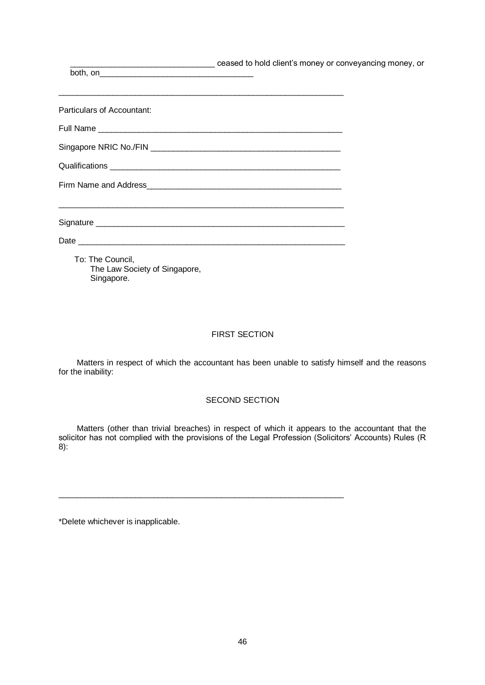|                                                                 | ________________________________ ceased to hold client's money or conveyancing money, or |  |
|-----------------------------------------------------------------|------------------------------------------------------------------------------------------|--|
|                                                                 |                                                                                          |  |
|                                                                 |                                                                                          |  |
| Particulars of Accountant:                                      |                                                                                          |  |
|                                                                 |                                                                                          |  |
|                                                                 |                                                                                          |  |
|                                                                 |                                                                                          |  |
|                                                                 |                                                                                          |  |
|                                                                 |                                                                                          |  |
|                                                                 |                                                                                          |  |
|                                                                 |                                                                                          |  |
| To: The Council,<br>The Law Society of Singapore,<br>Singapore. |                                                                                          |  |

### FIRST SECTION

 Matters in respect of which the accountant has been unable to satisfy himself and the reasons for the inability:

#### SECOND SECTION

 Matters (other than trivial breaches) in respect of which it appears to the accountant that the solicitor has not complied with the provisions of the Legal Profession (Solicitors' Accounts) Rules (R 8):

\_\_\_\_\_\_\_\_\_\_\_\_\_\_\_\_\_\_\_\_\_\_\_\_\_\_\_\_\_\_\_\_\_\_\_\_\_\_\_\_\_\_\_\_\_\_\_\_\_\_\_\_\_\_\_\_\_\_\_\_\_\_\_

\*Delete whichever is inapplicable.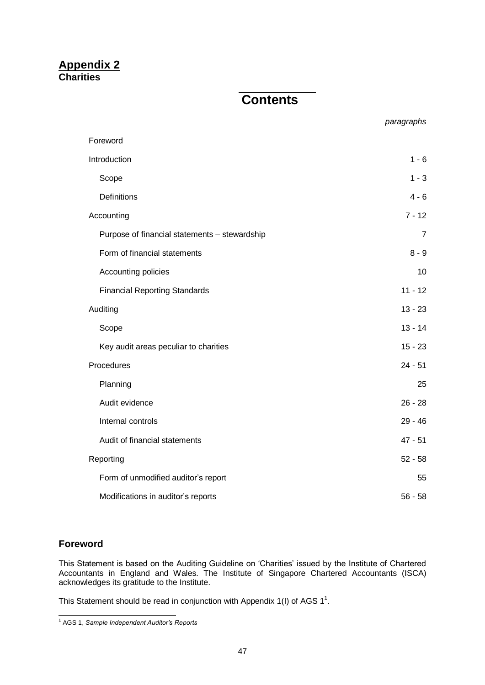## **Appendix 2 Charities**

## **Contents**

|                                               | paragraphs     |
|-----------------------------------------------|----------------|
| Foreword                                      |                |
| Introduction                                  | $1 - 6$        |
| Scope                                         | $1 - 3$        |
| Definitions                                   | $4 - 6$        |
| Accounting                                    | $7 - 12$       |
| Purpose of financial statements - stewardship | $\overline{7}$ |
| Form of financial statements                  | $8 - 9$        |
| Accounting policies                           | 10             |
| <b>Financial Reporting Standards</b>          | $11 - 12$      |
| Auditing                                      | $13 - 23$      |
| Scope                                         | $13 - 14$      |
| Key audit areas peculiar to charities         | $15 - 23$      |
| Procedures                                    | $24 - 51$      |
| Planning                                      | 25             |
| Audit evidence                                | $26 - 28$      |
| Internal controls                             | $29 - 46$      |
| Audit of financial statements                 | $47 - 51$      |
| Reporting                                     | $52 - 58$      |
| Form of unmodified auditor's report           | 55             |
| Modifications in auditor's reports            | $56 - 58$      |

## **Foreword**

This Statement is based on the Auditing Guideline on 'Charities' issued by the Institute of Chartered Accountants in England and Wales. The Institute of Singapore Chartered Accountants (ISCA) acknowledges its gratitude to the Institute.

This Statement should be read in conjunction with Appendix 1(I) of AGS  $1^1$ .

 1 AGS 1, *Sample Independent Auditor's Reports*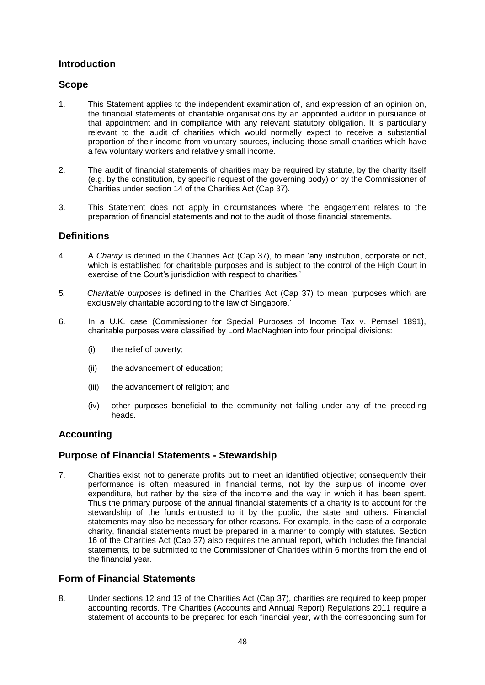## **Introduction**

## **Scope**

- 1. This Statement applies to the independent examination of, and expression of an opinion on, the financial statements of charitable organisations by an appointed auditor in pursuance of that appointment and in compliance with any relevant statutory obligation. It is particularly relevant to the audit of charities which would normally expect to receive a substantial proportion of their income from voluntary sources, including those small charities which have a few voluntary workers and relatively small income.
- 2. The audit of financial statements of charities may be required by statute, by the charity itself (e.g. by the constitution, by specific request of the governing body) or by the Commissioner of Charities under section 14 of the Charities Act (Cap 37).
- 3. This Statement does not apply in circumstances where the engagement relates to the preparation of financial statements and not to the audit of those financial statements.

## **Definitions**

- 4. A *Charity* is defined in the Charities Act (Cap 37), to mean 'any institution, corporate or not, which is established for charitable purposes and is subject to the control of the High Court in exercise of the Court's jurisdiction with respect to charities.'
- 5*. Charitable purposes* is defined in the Charities Act (Cap 37) to mean 'purposes which are exclusively charitable according to the law of Singapore.'
- 6. In a U.K. case (Commissioner for Special Purposes of Income Tax v. Pemsel 1891), charitable purposes were classified by Lord MacNaghten into four principal divisions:
	- (i) the relief of poverty;
	- (ii) the advancement of education;
	- (iii) the advancement of religion; and
	- (iv) other purposes beneficial to the community not falling under any of the preceding heads.

## **Accounting**

## **Purpose of Financial Statements - Stewardship**

7. Charities exist not to generate profits but to meet an identified objective; consequently their performance is often measured in financial terms, not by the surplus of income over expenditure, but rather by the size of the income and the way in which it has been spent. Thus the primary purpose of the annual financial statements of a charity is to account for the stewardship of the funds entrusted to it by the public, the state and others. Financial statements may also be necessary for other reasons. For example, in the case of a corporate charity, financial statements must be prepared in a manner to comply with statutes. Section 16 of the Charities Act (Cap 37) also requires the annual report, which includes the financial statements, to be submitted to the Commissioner of Charities within 6 months from the end of the financial year.

## **Form of Financial Statements**

8. Under sections 12 and 13 of the Charities Act (Cap 37), charities are required to keep proper accounting records. The Charities (Accounts and Annual Report) Regulations 2011 require a statement of accounts to be prepared for each financial year, with the corresponding sum for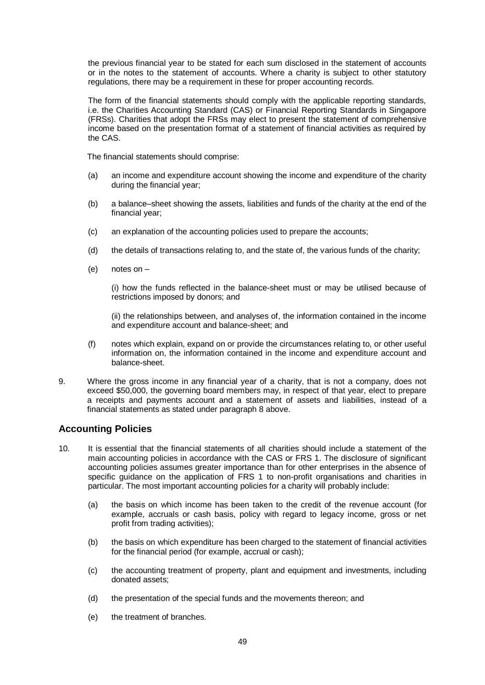the previous financial year to be stated for each sum disclosed in the statement of accounts or in the notes to the statement of accounts. Where a charity is subject to other statutory regulations, there may be a requirement in these for proper accounting records.

The form of the financial statements should comply with the applicable reporting standards, i.e. the Charities Accounting Standard (CAS) or Financial Reporting Standards in Singapore (FRSs). Charities that adopt the FRSs may elect to present the statement of comprehensive income based on the presentation format of a statement of financial activities as required by the CAS.

The financial statements should comprise:

- (a) an income and expenditure account showing the income and expenditure of the charity during the financial year;
- (b) a balance–sheet showing the assets, liabilities and funds of the charity at the end of the financial year;
- (c) an explanation of the accounting policies used to prepare the accounts;
- (d) the details of transactions relating to, and the state of, the various funds of the charity;
- (e) notes on –

(i) how the funds reflected in the balance-sheet must or may be utilised because of restrictions imposed by donors; and

(ii) the relationships between, and analyses of, the information contained in the income and expenditure account and balance-sheet; and

- (f) notes which explain, expand on or provide the circumstances relating to, or other useful information on, the information contained in the income and expenditure account and balance-sheet.
- 9. Where the gross income in any financial year of a charity, that is not a company, does not exceed \$50,000, the governing board members may, in respect of that year, elect to prepare a receipts and payments account and a statement of assets and liabilities, instead of a financial statements as stated under paragraph 8 above.

## **Accounting Policies**

- 10. It is essential that the financial statements of all charities should include a statement of the main accounting policies in accordance with the CAS or FRS 1. The disclosure of significant accounting policies assumes greater importance than for other enterprises in the absence of specific guidance on the application of FRS 1 to non-profit organisations and charities in particular. The most important accounting policies for a charity will probably include:
	- (a) the basis on which income has been taken to the credit of the revenue account (for example, accruals or cash basis, policy with regard to legacy income, gross or net profit from trading activities);
	- (b) the basis on which expenditure has been charged to the statement of financial activities for the financial period (for example, accrual or cash);
	- (c) the accounting treatment of property, plant and equipment and investments, including donated assets;
	- (d) the presentation of the special funds and the movements thereon; and
	- (e) the treatment of branches.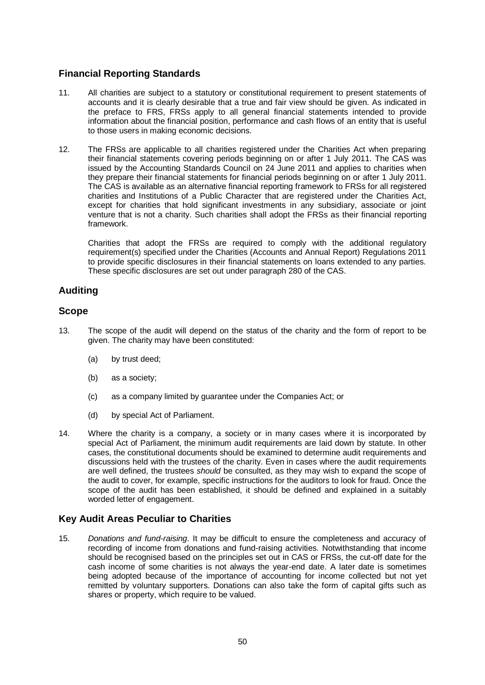## **Financial Reporting Standards**

- 11. All charities are subject to a statutory or constitutional requirement to present statements of accounts and it is clearly desirable that a true and fair view should be given. As indicated in the preface to FRS, FRSs apply to all general financial statements intended to provide information about the financial position, performance and cash flows of an entity that is useful to those users in making economic decisions.
- 12. The FRSs are applicable to all charities registered under the Charities Act when preparing their financial statements covering periods beginning on or after 1 July 2011. The CAS was issued by the Accounting Standards Council on 24 June 2011 and applies to charities when they prepare their financial statements for financial periods beginning on or after 1 July 2011. The CAS is available as an alternative financial reporting framework to FRSs for all registered charities and Institutions of a Public Character that are registered under the Charities Act, except for charities that hold significant investments in any subsidiary, associate or joint venture that is not a charity. Such charities shall adopt the FRSs as their financial reporting framework.

Charities that adopt the FRSs are required to comply with the additional regulatory requirement(s) specified under the Charities (Accounts and Annual Report) Regulations 2011 to provide specific disclosures in their financial statements on loans extended to any parties. These specific disclosures are set out under paragraph 280 of the CAS.

## **Auditing**

## **Scope**

- 13. The scope of the audit will depend on the status of the charity and the form of report to be given. The charity may have been constituted:
	- (a) by trust deed;
	- (b) as a society;
	- (c) as a company limited by guarantee under the Companies Act; or
	- (d) by special Act of Parliament.
- 14. Where the charity is a company, a society or in many cases where it is incorporated by special Act of Parliament, the minimum audit requirements are laid down by statute. In other cases, the constitutional documents should be examined to determine audit requirements and discussions held with the trustees of the charity. Even in cases where the audit requirements are well defined, the trustees *should* be consulted, as they may wish to expand the scope of the audit to cover, for example, specific instructions for the auditors to look for fraud. Once the scope of the audit has been established, it should be defined and explained in a suitably worded letter of engagement.

## **Key Audit Areas Peculiar to Charities**

15. *Donations and fund-raising*. It may be difficult to ensure the completeness and accuracy of recording of income from donations and fund-raising activities. Notwithstanding that income should be recognised based on the principles set out in CAS or FRSs, the cut-off date for the cash income of some charities is not always the year-end date. A later date is sometimes being adopted because of the importance of accounting for income collected but not yet remitted by voluntary supporters. Donations can also take the form of capital gifts such as shares or property, which require to be valued.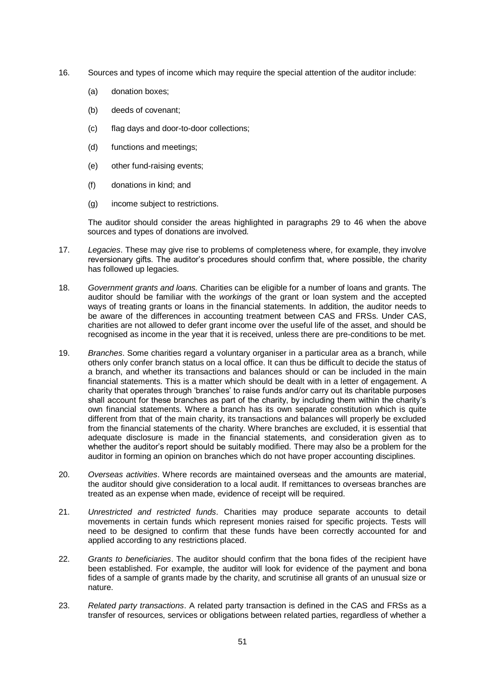- 16. Sources and types of income which may require the special attention of the auditor include:
	- (a) donation boxes;
	- (b) deeds of covenant;
	- (c) flag days and door-to-door collections;
	- (d) functions and meetings;
	- (e) other fund-raising events;
	- (f) donations in kind; and
	- (g) income subject to restrictions.

The auditor should consider the areas highlighted in paragraphs 29 to 46 when the above sources and types of donations are involved.

- 17. *Legacies*. These may give rise to problems of completeness where, for example, they involve reversionary gifts. The auditor's procedures should confirm that, where possible, the charity has followed up legacies.
- 18. *Government grants and loans.* Charities can be eligible for a number of loans and grants. The auditor should be familiar with the *workings* of the grant or loan system and the accepted ways of treating grants or loans in the financial statements. In addition, the auditor needs to be aware of the differences in accounting treatment between CAS and FRSs. Under CAS, charities are not allowed to defer grant income over the useful life of the asset, and should be recognised as income in the year that it is received, unless there are pre-conditions to be met.
- 19. *Branches*. Some charities regard a voluntary organiser in a particular area as a branch, while others only confer branch status on a local office. It can thus be difficult to decide the status of a branch, and whether its transactions and balances should or can be included in the main financial statements. This is a matter which should be dealt with in a letter of engagement. A charity that operates through 'branches' to raise funds and/or carry out its charitable purposes shall account for these branches as part of the charity, by including them within the charity's own financial statements. Where a branch has its own separate constitution which is quite different from that of the main charity, its transactions and balances will properly be excluded from the financial statements of the charity. Where branches are excluded, it is essential that adequate disclosure is made in the financial statements, and consideration given as to whether the auditor's report should be suitably modified. There may also be a problem for the auditor in forming an opinion on branches which do not have proper accounting disciplines.
- 20. *Overseas activities*. Where records are maintained overseas and the amounts are material, the auditor should give consideration to a local audit. If remittances to overseas branches are treated as an expense when made, evidence of receipt will be required.
- 21. *Unrestricted and restricted funds*. Charities may produce separate accounts to detail movements in certain funds which represent monies raised for specific projects. Tests will need to be designed to confirm that these funds have been correctly accounted for and applied according to any restrictions placed.
- 22. *Grants to beneficiaries*. The auditor should confirm that the bona fides of the recipient have been established. For example, the auditor will look for evidence of the payment and bona fides of a sample of grants made by the charity, and scrutinise all grants of an unusual size or nature.
- 23. *Related party transactions*. A related party transaction is defined in the CAS and FRSs as a transfer of resources, services or obligations between related parties, regardless of whether a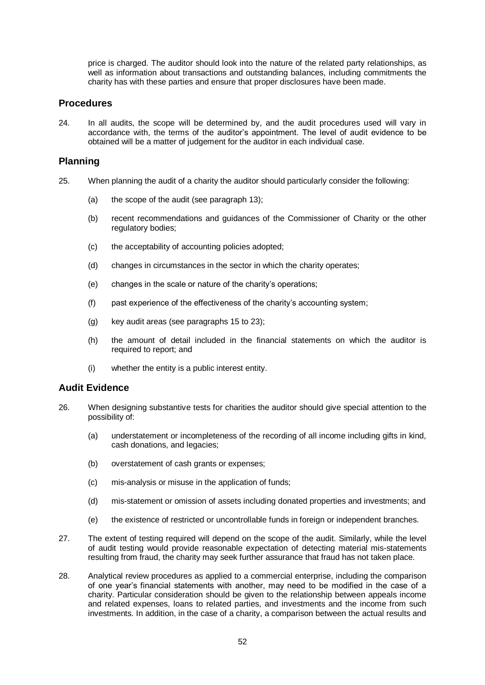price is charged. The auditor should look into the nature of the related party relationships, as well as information about transactions and outstanding balances, including commitments the charity has with these parties and ensure that proper disclosures have been made.

## **Procedures**

24. In all audits, the scope will be determined by, and the audit procedures used will vary in accordance with, the terms of the auditor's appointment. The level of audit evidence to be obtained will be a matter of judgement for the auditor in each individual case.

### **Planning**

- 25. When planning the audit of a charity the auditor should particularly consider the following:
	- (a) the scope of the audit (see paragraph 13);
	- (b) recent recommendations and guidances of the Commissioner of Charity or the other regulatory bodies;
	- (c) the acceptability of accounting policies adopted;
	- (d) changes in circumstances in the sector in which the charity operates;
	- (e) changes in the scale or nature of the charity's operations;
	- (f) past experience of the effectiveness of the charity's accounting system;
	- (g) key audit areas (see paragraphs 15 to 23);
	- (h) the amount of detail included in the financial statements on which the auditor is required to report; and
	- (i) whether the entity is a public interest entity.

## **Audit Evidence**

- 26. When designing substantive tests for charities the auditor should give special attention to the possibility of:
	- (a) understatement or incompleteness of the recording of all income including gifts in kind, cash donations, and legacies;
	- (b) overstatement of cash grants or expenses;
	- (c) mis-analysis or misuse in the application of funds;
	- (d) mis-statement or omission of assets including donated properties and investments; and
	- (e) the existence of restricted or uncontrollable funds in foreign or independent branches.
- 27. The extent of testing required will depend on the scope of the audit. Similarly, while the level of audit testing would provide reasonable expectation of detecting material mis-statements resulting from fraud, the charity may seek further assurance that fraud has not taken place.
- 28. Analytical review procedures as applied to a commercial enterprise, including the comparison of one year's financial statements with another, may need to be modified in the case of a charity. Particular consideration should be given to the relationship between appeals income and related expenses, loans to related parties, and investments and the income from such investments. In addition, in the case of a charity, a comparison between the actual results and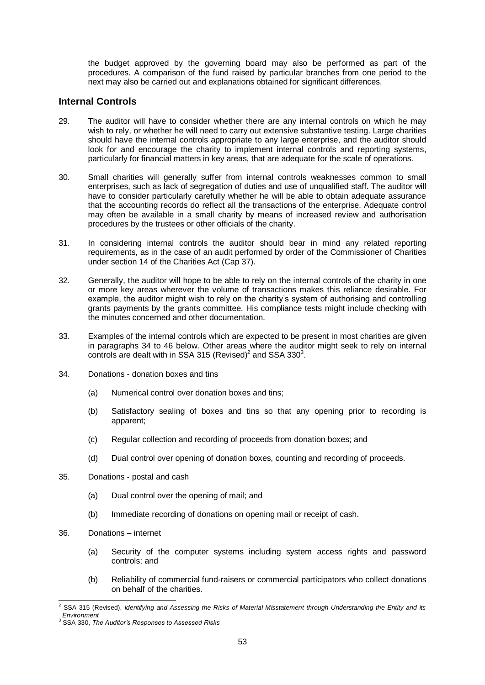the budget approved by the governing board may also be performed as part of the procedures. A comparison of the fund raised by particular branches from one period to the next may also be carried out and explanations obtained for significant differences.

### **Internal Controls**

- 29. The auditor will have to consider whether there are any internal controls on which he may wish to rely, or whether he will need to carry out extensive substantive testing. Large charities should have the internal controls appropriate to any large enterprise, and the auditor should look for and encourage the charity to implement internal controls and reporting systems, particularly for financial matters in key areas, that are adequate for the scale of operations.
- 30. Small charities will generally suffer from internal controls weaknesses common to small enterprises, such as lack of segregation of duties and use of unqualified staff. The auditor will have to consider particularly carefully whether he will be able to obtain adequate assurance that the accounting records do reflect all the transactions of the enterprise. Adequate control may often be available in a small charity by means of increased review and authorisation procedures by the trustees or other officials of the charity.
- 31. In considering internal controls the auditor should bear in mind any related reporting requirements, as in the case of an audit performed by order of the Commissioner of Charities under section 14 of the Charities Act (Cap 37).
- 32. Generally, the auditor will hope to be able to rely on the internal controls of the charity in one or more key areas wherever the volume of transactions makes this reliance desirable. For example, the auditor might wish to rely on the charity's system of authorising and controlling grants payments by the grants committee. His compliance tests might include checking with the minutes concerned and other documentation.
- 33. Examples of the internal controls which are expected to be present in most charities are given in paragraphs 34 to 46 below. Other areas where the auditor might seek to rely on internal controls are dealt with in SSA 315 (Revised) $^2$  and SSA 330 $^3$ .
- 34. Donations donation boxes and tins
	- (a) Numerical control over donation boxes and tins;
	- (b) Satisfactory sealing of boxes and tins so that any opening prior to recording is apparent;
	- (c) Regular collection and recording of proceeds from donation boxes; and
	- (d) Dual control over opening of donation boxes, counting and recording of proceeds.
- 35. Donations postal and cash
	- (a) Dual control over the opening of mail; and
	- (b) Immediate recording of donations on opening mail or receipt of cash.
- 36. Donations internet
	- (a) Security of the computer systems including system access rights and password controls; and
	- (b) Reliability of commercial fund-raisers or commercial participators who collect donations on behalf of the charities.

 2 SSA 315 (Revised), *Identifying and Assessing the Risks of Material Misstatement through Understanding the Entity and its Environment*

<sup>3</sup> SSA 330, *The Auditor's Responses to Assessed Risks*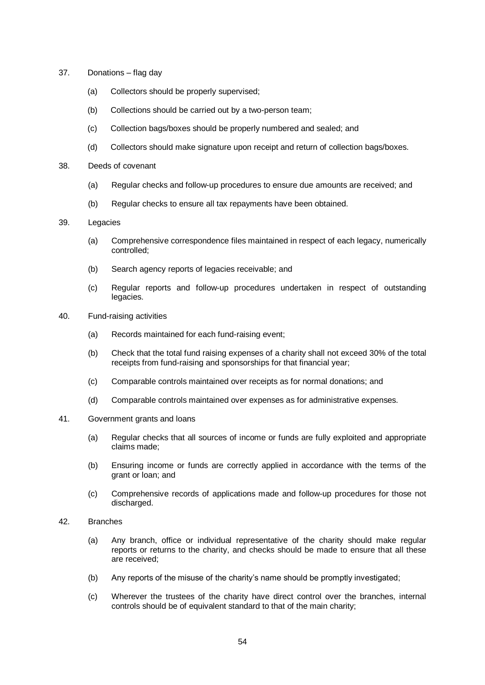- 37. Donations flag day
	- (a) Collectors should be properly supervised;
	- (b) Collections should be carried out by a two-person team;
	- (c) Collection bags/boxes should be properly numbered and sealed; and
	- (d) Collectors should make signature upon receipt and return of collection bags/boxes.
- 38. Deeds of covenant
	- (a) Regular checks and follow-up procedures to ensure due amounts are received; and
	- (b) Regular checks to ensure all tax repayments have been obtained.

#### 39. Legacies

- (a) Comprehensive correspondence files maintained in respect of each legacy, numerically controlled;
- (b) Search agency reports of legacies receivable; and
- (c) Regular reports and follow-up procedures undertaken in respect of outstanding legacies.
- 40. Fund-raising activities
	- (a) Records maintained for each fund-raising event;
	- (b) Check that the total fund raising expenses of a charity shall not exceed 30% of the total receipts from fund-raising and sponsorships for that financial year;
	- (c) Comparable controls maintained over receipts as for normal donations; and
	- (d) Comparable controls maintained over expenses as for administrative expenses.
- 41. Government grants and loans
	- (a) Regular checks that all sources of income or funds are fully exploited and appropriate claims made;
	- (b) Ensuring income or funds are correctly applied in accordance with the terms of the grant or loan; and
	- (c) Comprehensive records of applications made and follow-up procedures for those not discharged.
- 42. Branches
	- (a) Any branch, office or individual representative of the charity should make regular reports or returns to the charity, and checks should be made to ensure that all these are received;
	- (b) Any reports of the misuse of the charity's name should be promptly investigated;
	- (c) Wherever the trustees of the charity have direct control over the branches, internal controls should be of equivalent standard to that of the main charity;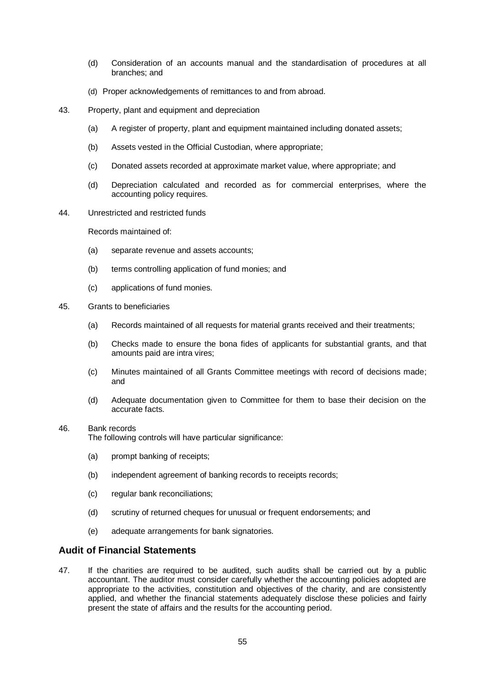- (d) Consideration of an accounts manual and the standardisation of procedures at all branches; and
- (d) Proper acknowledgements of remittances to and from abroad.
- 43. Property, plant and equipment and depreciation
	- (a) A register of property, plant and equipment maintained including donated assets;
	- (b) Assets vested in the Official Custodian, where appropriate;
	- (c) Donated assets recorded at approximate market value, where appropriate; and
	- (d) Depreciation calculated and recorded as for commercial enterprises, where the accounting policy requires.
- 44. Unrestricted and restricted funds

Records maintained of:

- (a) separate revenue and assets accounts;
- (b) terms controlling application of fund monies; and
- (c) applications of fund monies.
- 45. Grants to beneficiaries
	- (a) Records maintained of all requests for material grants received and their treatments;
	- (b) Checks made to ensure the bona fides of applicants for substantial grants, and that amounts paid are intra vires;
	- (c) Minutes maintained of all Grants Committee meetings with record of decisions made; and
	- (d) Adequate documentation given to Committee for them to base their decision on the accurate facts.

#### 46. Bank records

The following controls will have particular significance:

- (a) prompt banking of receipts;
- (b) independent agreement of banking records to receipts records;
- (c) regular bank reconciliations;
- (d) scrutiny of returned cheques for unusual or frequent endorsements; and
- (e) adequate arrangements for bank signatories.

### **Audit of Financial Statements**

47. If the charities are required to be audited, such audits shall be carried out by a public accountant. The auditor must consider carefully whether the accounting policies adopted are appropriate to the activities, constitution and objectives of the charity, and are consistently applied, and whether the financial statements adequately disclose these policies and fairly present the state of affairs and the results for the accounting period.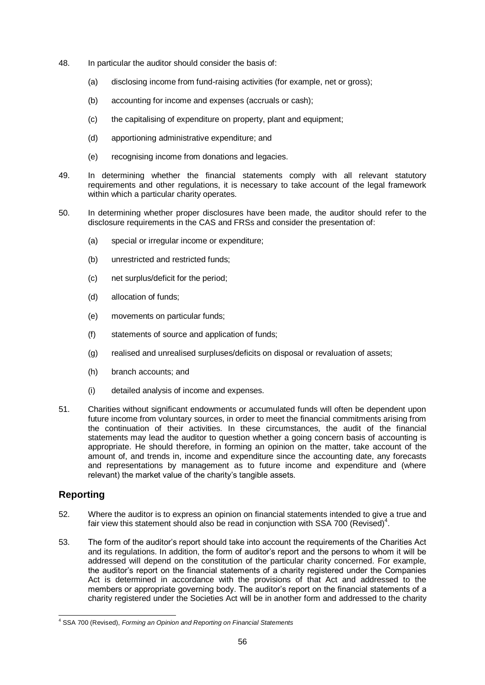- 48. In particular the auditor should consider the basis of:
	- (a) disclosing income from fund-raising activities (for example, net or gross);
	- (b) accounting for income and expenses (accruals or cash);
	- (c) the capitalising of expenditure on property, plant and equipment;
	- (d) apportioning administrative expenditure; and
	- (e) recognising income from donations and legacies.
- 49. In determining whether the financial statements comply with all relevant statutory requirements and other regulations, it is necessary to take account of the legal framework within which a particular charity operates.
- 50. In determining whether proper disclosures have been made, the auditor should refer to the disclosure requirements in the CAS and FRSs and consider the presentation of:
	- (a) special or irregular income or expenditure;
	- (b) unrestricted and restricted funds;
	- (c) net surplus/deficit for the period;
	- (d) allocation of funds;
	- (e) movements on particular funds;
	- (f) statements of source and application of funds;
	- (g) realised and unrealised surpluses/deficits on disposal or revaluation of assets;
	- (h) branch accounts; and
	- (i) detailed analysis of income and expenses.
- 51. Charities without significant endowments or accumulated funds will often be dependent upon future income from voluntary sources, in order to meet the financial commitments arising from the continuation of their activities. In these circumstances, the audit of the financial statements may lead the auditor to question whether a going concern basis of accounting is appropriate. He should therefore, in forming an opinion on the matter, take account of the amount of, and trends in, income and expenditure since the accounting date, any forecasts and representations by management as to future income and expenditure and (where relevant) the market value of the charity's tangible assets.

## **Reporting**

- 52. Where the auditor is to express an opinion on financial statements intended to give a true and fair view this statement should also be read in conjunction with SSA 700 (Revised)<sup>4</sup>.
- 53. The form of the auditor's report should take into account the requirements of the Charities Act and its regulations. In addition, the form of auditor's report and the persons to whom it will be addressed will depend on the constitution of the particular charity concerned. For example, the auditor's report on the financial statements of a charity registered under the Companies Act is determined in accordance with the provisions of that Act and addressed to the members or appropriate governing body. The auditor's report on the financial statements of a charity registered under the Societies Act will be in another form and addressed to the charity

 4 SSA 700 (Revised), *Forming an Opinion and Reporting on Financial Statements*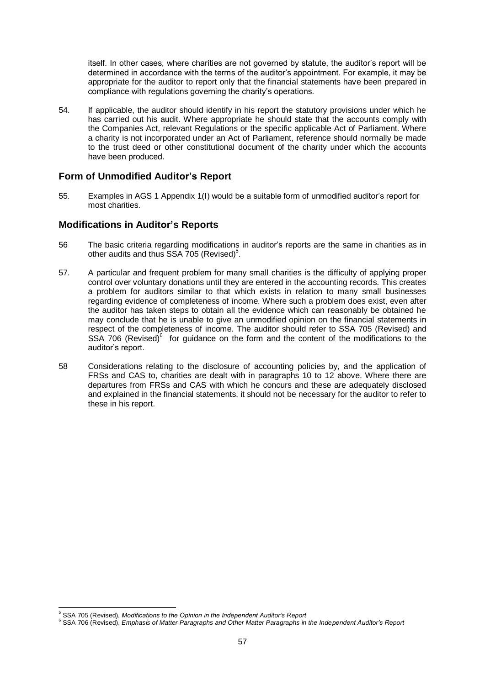itself. In other cases, where charities are not governed by statute, the auditor's report will be determined in accordance with the terms of the auditor's appointment. For example, it may be appropriate for the auditor to report only that the financial statements have been prepared in compliance with regulations governing the charity's operations.

54. If applicable, the auditor should identify in his report the statutory provisions under which he has carried out his audit. Where appropriate he should state that the accounts comply with the Companies Act, relevant Regulations or the specific applicable Act of Parliament. Where a charity is not incorporated under an Act of Parliament, reference should normally be made to the trust deed or other constitutional document of the charity under which the accounts have been produced.

## **Form of Unmodified Auditor's Report**

55. Examples in AGS 1 Appendix 1(I) would be a suitable form of unmodified auditor's report for most charities.

## **Modifications in Auditor's Reports**

- 56 The basic criteria regarding modifications in auditor's reports are the same in charities as in other audits and thus SSA 705 (Revised)<sup>5</sup>.
- 57. A particular and frequent problem for many small charities is the difficulty of applying proper control over voluntary donations until they are entered in the accounting records. This creates a problem for auditors similar to that which exists in relation to many small businesses regarding evidence of completeness of income. Where such a problem does exist, even after the auditor has taken steps to obtain all the evidence which can reasonably be obtained he may conclude that he is unable to give an unmodified opinion on the financial statements in respect of the completeness of income. The auditor should refer to SSA 705 (Revised) and SSA 706 (Revised) $6$  for guidance on the form and the content of the modifications to the auditor's report.
- 58 Considerations relating to the disclosure of accounting policies by, and the application of FRSs and CAS to, charities are dealt with in paragraphs 10 to 12 above. Where there are departures from FRSs and CAS with which he concurs and these are adequately disclosed and explained in the financial statements, it should not be necessary for the auditor to refer to these in his report.

 5 SSA 705 (Revised), *Modifications to the Opinion in the Independent Auditor's Report*

<sup>6</sup> SSA 706 (Revised), *Emphasis of Matter Paragraphs and Other Matter Paragraphs in the Independent Auditor's Report*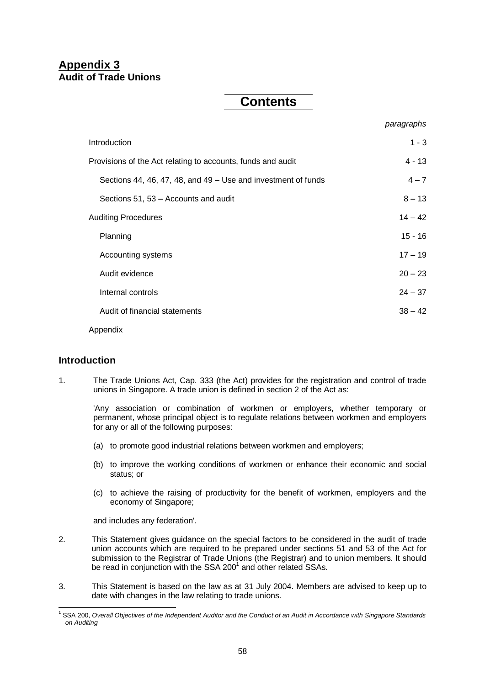## **Appendix 3 Audit of Trade Unions**

## **Contents**

|                                                               | paragraphs |
|---------------------------------------------------------------|------------|
| Introduction                                                  | $1 - 3$    |
| Provisions of the Act relating to accounts, funds and audit   | $4 - 13$   |
| Sections 44, 46, 47, 48, and 49 – Use and investment of funds | $4 - 7$    |
| Sections 51, 53 - Accounts and audit                          | $8 - 13$   |
| <b>Auditing Procedures</b>                                    | $14 - 42$  |
| Planning                                                      | $15 - 16$  |
| Accounting systems                                            | $17 - 19$  |
| Audit evidence                                                | $20 - 23$  |
| Internal controls                                             | $24 - 37$  |
| Audit of financial statements                                 | $38 - 42$  |
|                                                               |            |

Appendix

## **Introduction**

1. The Trade Unions Act, Cap. 333 (the Act) provides for the registration and control of trade unions in Singapore. A trade union is defined in section 2 of the Act as:

'Any association or combination of workmen or employers, whether temporary or permanent, whose principal object is to regulate relations between workmen and employers for any or all of the following purposes:

- (a) to promote good industrial relations between workmen and employers;
- (b) to improve the working conditions of workmen or enhance their economic and social status; or
- (c) to achieve the raising of productivity for the benefit of workmen, employers and the economy of Singapore;

and includes any federation'.

- 2. This Statement gives guidance on the special factors to be considered in the audit of trade union accounts which are required to be prepared under sections 51 and 53 of the Act for submission to the Registrar of Trade Unions (the Registrar) and to union members. It should be read in conjunction with the SSA 200<sup>1</sup> and other related SSAs.
- 3. This Statement is based on the law as at 31 July 2004. Members are advised to keep up to date with changes in the law relating to trade unions.

 1 SSA 200, *Overall Objectives of the Independent Auditor and the Conduct of an Audit in Accordance with Singapore Standards on Auditing*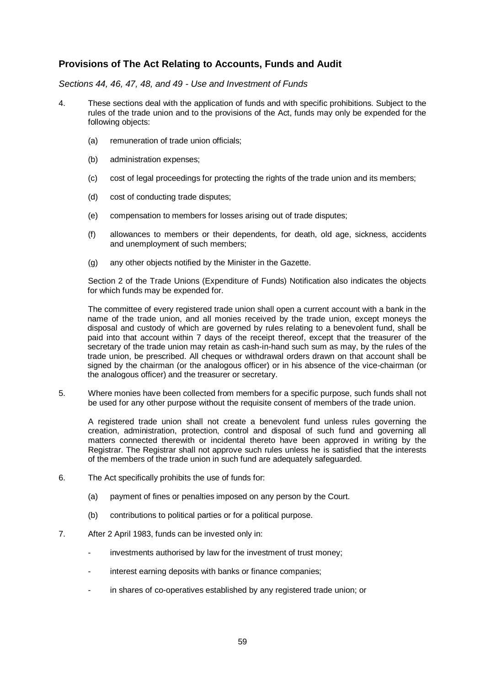## **Provisions of The Act Relating to Accounts, Funds and Audit**

*Sections 44, 46, 47, 48, and 49 - Use and Investment of Funds*

- 4. These sections deal with the application of funds and with specific prohibitions. Subject to the rules of the trade union and to the provisions of the Act, funds may only be expended for the following objects:
	- (a) remuneration of trade union officials;
	- (b) administration expenses;
	- (c) cost of legal proceedings for protecting the rights of the trade union and its members;
	- (d) cost of conducting trade disputes;
	- (e) compensation to members for losses arising out of trade disputes;
	- (f) allowances to members or their dependents, for death, old age, sickness, accidents and unemployment of such members;
	- (g) any other objects notified by the Minister in the Gazette.

Section 2 of the Trade Unions (Expenditure of Funds) Notification also indicates the objects for which funds may be expended for.

The committee of every registered trade union shall open a current account with a bank in the name of the trade union, and all monies received by the trade union, except moneys the disposal and custody of which are governed by rules relating to a benevolent fund, shall be paid into that account within 7 days of the receipt thereof, except that the treasurer of the secretary of the trade union may retain as cash-in-hand such sum as may, by the rules of the trade union, be prescribed. All cheques or withdrawal orders drawn on that account shall be signed by the chairman (or the analogous officer) or in his absence of the vice-chairman (or the analogous officer) and the treasurer or secretary.

5. Where monies have been collected from members for a specific purpose, such funds shall not be used for any other purpose without the requisite consent of members of the trade union.

A registered trade union shall not create a benevolent fund unless rules governing the creation, administration, protection, control and disposal of such fund and governing all matters connected therewith or incidental thereto have been approved in writing by the Registrar. The Registrar shall not approve such rules unless he is satisfied that the interests of the members of the trade union in such fund are adequately safeguarded.

- 6. The Act specifically prohibits the use of funds for:
	- (a) payment of fines or penalties imposed on any person by the Court.
	- (b) contributions to political parties or for a political purpose.
- 7. After 2 April 1983, funds can be invested only in:
	- investments authorised by law for the investment of trust money;
	- interest earning deposits with banks or finance companies;
	- in shares of co-operatives established by any registered trade union; or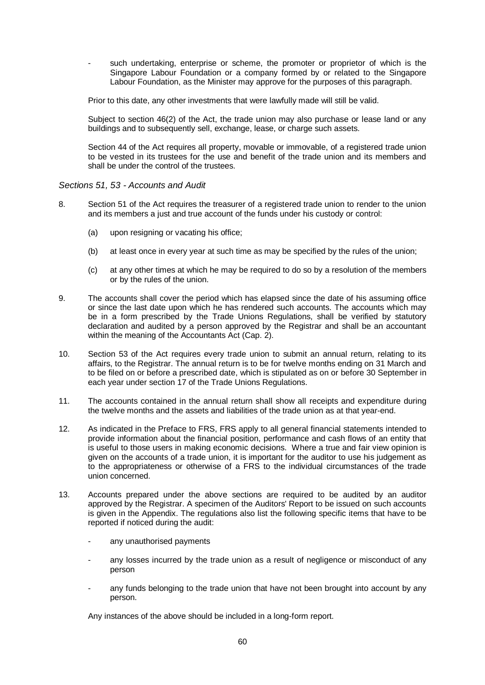such undertaking, enterprise or scheme, the promoter or proprietor of which is the Singapore Labour Foundation or a company formed by or related to the Singapore Labour Foundation, as the Minister may approve for the purposes of this paragraph.

Prior to this date, any other investments that were lawfully made will still be valid.

Subject to section 46(2) of the Act, the trade union may also purchase or lease land or any buildings and to subsequently sell, exchange, lease, or charge such assets.

Section 44 of the Act requires all property, movable or immovable, of a registered trade union to be vested in its trustees for the use and benefit of the trade union and its members and shall be under the control of the trustees.

#### *Sections 51, 53 - Accounts and Audit*

- 8. Section 51 of the Act requires the treasurer of a registered trade union to render to the union and its members a just and true account of the funds under his custody or control:
	- (a) upon resigning or vacating his office;
	- (b) at least once in every year at such time as may be specified by the rules of the union;
	- (c) at any other times at which he may be required to do so by a resolution of the members or by the rules of the union.
- 9. The accounts shall cover the period which has elapsed since the date of his assuming office or since the last date upon which he has rendered such accounts. The accounts which may be in a form prescribed by the Trade Unions Regulations, shall be verified by statutory declaration and audited by a person approved by the Registrar and shall be an accountant within the meaning of the Accountants Act (Cap. 2).
- 10. Section 53 of the Act requires every trade union to submit an annual return, relating to its affairs, to the Registrar. The annual return is to be for twelve months ending on 31 March and to be filed on or before a prescribed date, which is stipulated as on or before 30 September in each year under section 17 of the Trade Unions Regulations.
- 11. The accounts contained in the annual return shall show all receipts and expenditure during the twelve months and the assets and liabilities of the trade union as at that year-end.
- 12. As indicated in the Preface to FRS, FRS apply to all general financial statements intended to provide information about the financial position, performance and cash flows of an entity that is useful to those users in making economic decisions. Where a true and fair view opinion is given on the accounts of a trade union, it is important for the auditor to use his judgement as to the appropriateness or otherwise of a FRS to the individual circumstances of the trade union concerned.
- 13. Accounts prepared under the above sections are required to be audited by an auditor approved by the Registrar. A specimen of the Auditors' Report to be issued on such accounts is given in the Appendix. The regulations also list the following specific items that have to be reported if noticed during the audit:
	- any unauthorised payments
	- any losses incurred by the trade union as a result of negligence or misconduct of any person
	- any funds belonging to the trade union that have not been brought into account by any person.

Any instances of the above should be included in a long-form report.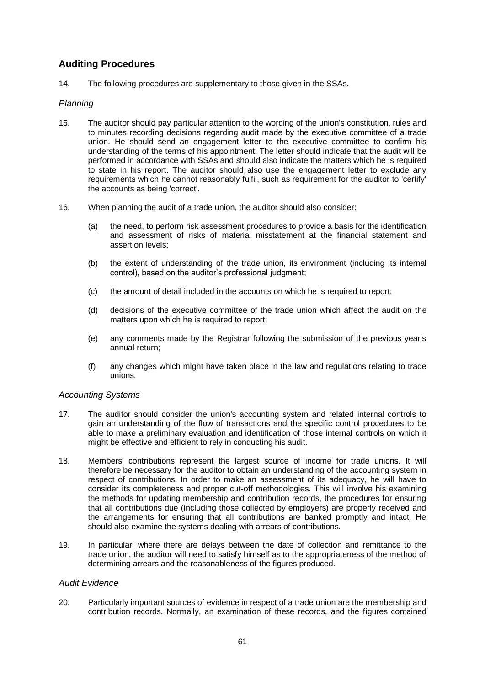## **Auditing Procedures**

14. The following procedures are supplementary to those given in the SSAs.

### *Planning*

- 15. The auditor should pay particular attention to the wording of the union's constitution, rules and to minutes recording decisions regarding audit made by the executive committee of a trade union. He should send an engagement letter to the executive committee to confirm his understanding of the terms of his appointment. The letter should indicate that the audit will be performed in accordance with SSAs and should also indicate the matters which he is required to state in his report. The auditor should also use the engagement letter to exclude any requirements which he cannot reasonably fulfil, such as requirement for the auditor to 'certify' the accounts as being 'correct'.
- 16. When planning the audit of a trade union, the auditor should also consider:
	- (a) the need, to perform risk assessment procedures to provide a basis for the identification and assessment of risks of material misstatement at the financial statement and assertion levels;
	- (b) the extent of understanding of the trade union, its environment (including its internal control), based on the auditor's professional judgment;
	- (c) the amount of detail included in the accounts on which he is required to report;
	- (d) decisions of the executive committee of the trade union which affect the audit on the matters upon which he is required to report:
	- (e) any comments made by the Registrar following the submission of the previous year's annual return;
	- (f) any changes which might have taken place in the law and regulations relating to trade unions.

#### *Accounting Systems*

- 17. The auditor should consider the union's accounting system and related internal controls to gain an understanding of the flow of transactions and the specific control procedures to be able to make a preliminary evaluation and identification of those internal controls on which it might be effective and efficient to rely in conducting his audit.
- 18. Members' contributions represent the largest source of income for trade unions. It will therefore be necessary for the auditor to obtain an understanding of the accounting system in respect of contributions. In order to make an assessment of its adequacy, he will have to consider its completeness and proper cut-off methodologies. This will involve his examining the methods for updating membership and contribution records, the procedures for ensuring that all contributions due (including those collected by employers) are properly received and the arrangements for ensuring that all contributions are banked promptly and intact. He should also examine the systems dealing with arrears of contributions.
- 19. In particular, where there are delays between the date of collection and remittance to the trade union, the auditor will need to satisfy himself as to the appropriateness of the method of determining arrears and the reasonableness of the figures produced.

#### *Audit Evidence*

20. Particularly important sources of evidence in respect of a trade union are the membership and contribution records. Normally, an examination of these records, and the figures contained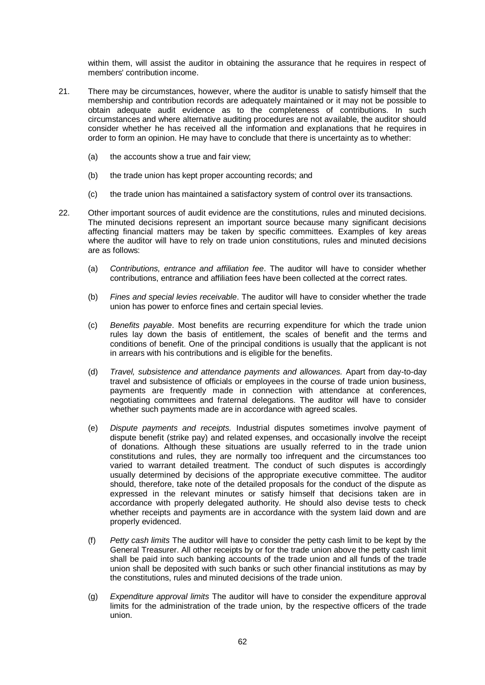within them, will assist the auditor in obtaining the assurance that he requires in respect of members' contribution income.

- 21. There may be circumstances, however, where the auditor is unable to satisfy himself that the membership and contribution records are adequately maintained or it may not be possible to obtain adequate audit evidence as to the completeness of contributions. In such circumstances and where alternative auditing procedures are not available, the auditor should consider whether he has received all the information and explanations that he requires in order to form an opinion. He may have to conclude that there is uncertainty as to whether:
	- (a) the accounts show a true and fair view;
	- (b) the trade union has kept proper accounting records; and
	- (c) the trade union has maintained a satisfactory system of control over its transactions.
- 22. Other important sources of audit evidence are the constitutions, rules and minuted decisions. The minuted decisions represent an important source because many significant decisions affecting financial matters may be taken by specific committees. Examples of key areas where the auditor will have to rely on trade union constitutions, rules and minuted decisions are as follows:
	- (a) *Contributions, entrance and affiliation fee*. The auditor will have to consider whether contributions, entrance and affiliation fees have been collected at the correct rates.
	- (b) *Fines and special levies receivable*. The auditor will have to consider whether the trade union has power to enforce fines and certain special levies.
	- (c) *Benefits payable*. Most benefits are recurring expenditure for which the trade union rules lay down the basis of entitlement, the scales of benefit and the terms and conditions of benefit. One of the principal conditions is usually that the applicant is not in arrears with his contributions and is eligible for the benefits.
	- (d) *Travel, subsistence and attendance payments and allowances.* Apart from day-to-day travel and subsistence of officials or employees in the course of trade union business, payments are frequently made in connection with attendance at conferences, negotiating committees and fraternal delegations. The auditor will have to consider whether such payments made are in accordance with agreed scales.
	- (e) *Dispute payments and receipts.* Industrial disputes sometimes involve payment of dispute benefit (strike pay) and related expenses, and occasionally involve the receipt of donations. Although these situations are usually referred to in the trade union constitutions and rules, they are normally too infrequent and the circumstances too varied to warrant detailed treatment. The conduct of such disputes is accordingly usually determined by decisions of the appropriate executive committee. The auditor should, therefore, take note of the detailed proposals for the conduct of the dispute as expressed in the relevant minutes or satisfy himself that decisions taken are in accordance with properly delegated authority. He should also devise tests to check whether receipts and payments are in accordance with the system laid down and are properly evidenced.
	- (f) *Petty cash limits* The auditor will have to consider the petty cash limit to be kept by the General Treasurer. All other receipts by or for the trade union above the petty cash limit shall be paid into such banking accounts of the trade union and all funds of the trade union shall be deposited with such banks or such other financial institutions as may by the constitutions, rules and minuted decisions of the trade union.
	- (g) *Expenditure approval limits* The auditor will have to consider the expenditure approval limits for the administration of the trade union, by the respective officers of the trade union.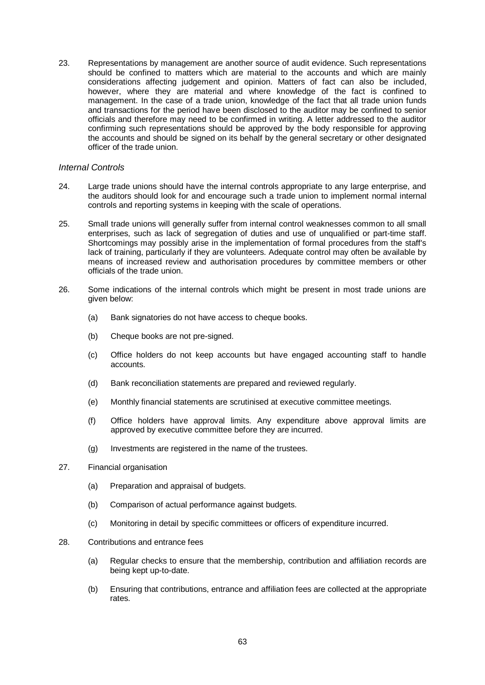23. Representations by management are another source of audit evidence. Such representations should be confined to matters which are material to the accounts and which are mainly considerations affecting judgement and opinion. Matters of fact can also be included, however, where they are material and where knowledge of the fact is confined to management. In the case of a trade union, knowledge of the fact that all trade union funds and transactions for the period have been disclosed to the auditor may be confined to senior officials and therefore may need to be confirmed in writing. A letter addressed to the auditor confirming such representations should be approved by the body responsible for approving the accounts and should be signed on its behalf by the general secretary or other designated officer of the trade union.

#### *Internal Controls*

- 24. Large trade unions should have the internal controls appropriate to any large enterprise, and the auditors should look for and encourage such a trade union to implement normal internal controls and reporting systems in keeping with the scale of operations.
- 25. Small trade unions will generally suffer from internal control weaknesses common to all small enterprises, such as lack of segregation of duties and use of unqualified or part-time staff. Shortcomings may possibly arise in the implementation of formal procedures from the staff's lack of training, particularly if they are volunteers. Adequate control may often be available by means of increased review and authorisation procedures by committee members or other officials of the trade union.
- 26. Some indications of the internal controls which might be present in most trade unions are given below:
	- (a) Bank signatories do not have access to cheque books.
	- (b) Cheque books are not pre-signed.
	- (c) Office holders do not keep accounts but have engaged accounting staff to handle accounts.
	- (d) Bank reconciliation statements are prepared and reviewed regularly.
	- (e) Monthly financial statements are scrutinised at executive committee meetings.
	- (f) Office holders have approval limits. Any expenditure above approval limits are approved by executive committee before they are incurred.
	- (g) Investments are registered in the name of the trustees.
- 27. Financial organisation
	- (a) Preparation and appraisal of budgets.
	- (b) Comparison of actual performance against budgets.
	- (c) Monitoring in detail by specific committees or officers of expenditure incurred.
- 28. Contributions and entrance fees
	- (a) Regular checks to ensure that the membership, contribution and affiliation records are being kept up-to-date.
	- (b) Ensuring that contributions, entrance and affiliation fees are collected at the appropriate rates.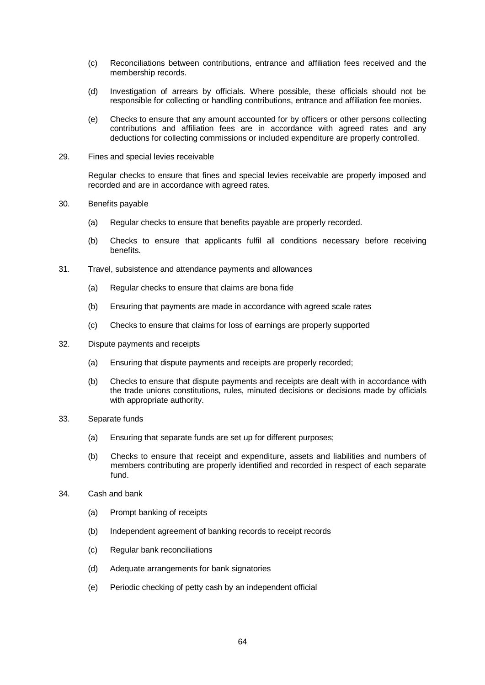- (c) Reconciliations between contributions, entrance and affiliation fees received and the membership records.
- (d) Investigation of arrears by officials. Where possible, these officials should not be responsible for collecting or handling contributions, entrance and affiliation fee monies.
- (e) Checks to ensure that any amount accounted for by officers or other persons collecting contributions and affiliation fees are in accordance with agreed rates and any deductions for collecting commissions or included expenditure are properly controlled.
- 29. Fines and special levies receivable

Regular checks to ensure that fines and special levies receivable are properly imposed and recorded and are in accordance with agreed rates.

- 30. Benefits payable
	- (a) Regular checks to ensure that benefits payable are properly recorded.
	- (b) Checks to ensure that applicants fulfil all conditions necessary before receiving benefits.
- 31. Travel, subsistence and attendance payments and allowances
	- (a) Regular checks to ensure that claims are bona fide
	- (b) Ensuring that payments are made in accordance with agreed scale rates
	- (c) Checks to ensure that claims for loss of earnings are properly supported
- 32. Dispute payments and receipts
	- (a) Ensuring that dispute payments and receipts are properly recorded;
	- (b) Checks to ensure that dispute payments and receipts are dealt with in accordance with the trade unions constitutions, rules, minuted decisions or decisions made by officials with appropriate authority.
- 33. Separate funds
	- (a) Ensuring that separate funds are set up for different purposes;
	- (b) Checks to ensure that receipt and expenditure, assets and liabilities and numbers of members contributing are properly identified and recorded in respect of each separate fund.
- 34. Cash and bank
	- (a) Prompt banking of receipts
	- (b) Independent agreement of banking records to receipt records
	- (c) Regular bank reconciliations
	- (d) Adequate arrangements for bank signatories
	- (e) Periodic checking of petty cash by an independent official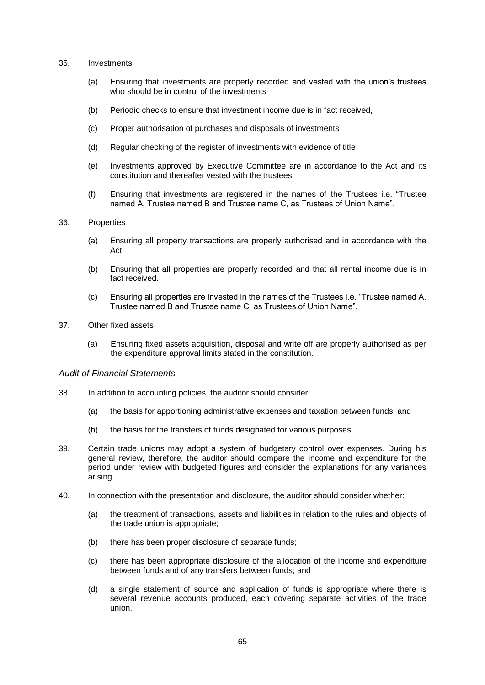#### 35. Investments

- (a) Ensuring that investments are properly recorded and vested with the union's trustees who should be in control of the investments
- (b) Periodic checks to ensure that investment income due is in fact received,
- (c) Proper authorisation of purchases and disposals of investments
- (d) Regular checking of the register of investments with evidence of title
- (e) Investments approved by Executive Committee are in accordance to the Act and its constitution and thereafter vested with the trustees.
- (f) Ensuring that investments are registered in the names of the Trustees i.e. "Trustee named A, Trustee named B and Trustee name C, as Trustees of Union Name".

#### 36. Properties

- (a) Ensuring all property transactions are properly authorised and in accordance with the Act
- (b) Ensuring that all properties are properly recorded and that all rental income due is in fact received.
- (c) Ensuring all properties are invested in the names of the Trustees i.e. "Trustee named A, Trustee named B and Trustee name C, as Trustees of Union Name".
- 37. Other fixed assets
	- (a) Ensuring fixed assets acquisition, disposal and write off are properly authorised as per the expenditure approval limits stated in the constitution.

#### *Audit of Financial Statements*

- 38. In addition to accounting policies, the auditor should consider:
	- (a) the basis for apportioning administrative expenses and taxation between funds; and
	- (b) the basis for the transfers of funds designated for various purposes.
- 39. Certain trade unions may adopt a system of budgetary control over expenses. During his general review, therefore, the auditor should compare the income and expenditure for the period under review with budgeted figures and consider the explanations for any variances arising.
- 40. In connection with the presentation and disclosure, the auditor should consider whether:
	- (a) the treatment of transactions, assets and liabilities in relation to the rules and objects of the trade union is appropriate;
	- (b) there has been proper disclosure of separate funds;
	- (c) there has been appropriate disclosure of the allocation of the income and expenditure between funds and of any transfers between funds; and
	- (d) a single statement of source and application of funds is appropriate where there is several revenue accounts produced, each covering separate activities of the trade union.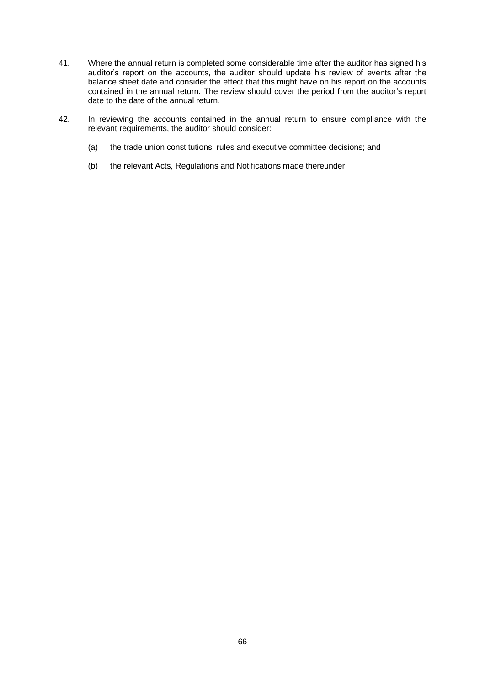- 41. Where the annual return is completed some considerable time after the auditor has signed his auditor's report on the accounts, the auditor should update his review of events after the balance sheet date and consider the effect that this might have on his report on the accounts contained in the annual return. The review should cover the period from the auditor's report date to the date of the annual return.
- 42. In reviewing the accounts contained in the annual return to ensure compliance with the relevant requirements, the auditor should consider:
	- (a) the trade union constitutions, rules and executive committee decisions; and
	- (b) the relevant Acts, Regulations and Notifications made thereunder.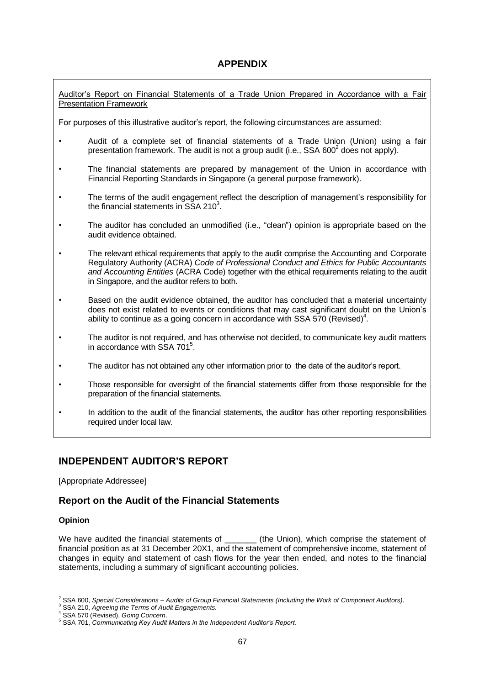## **APPENDIX**

Auditor's Report on Financial Statements of a Trade Union Prepared in Accordance with a Fair Presentation Framework

For purposes of this illustrative auditor's report, the following circumstances are assumed:

- Audit of a complete set of financial statements of a Trade Union (Union) using a fair presentation framework. The audit is not a group audit (i.e., SSA 600 $^2$  does not apply).
- The financial statements are prepared by management of the Union in accordance with Financial Reporting Standards in Singapore (a general purpose framework).
- The terms of the audit engagement reflect the description of management's responsibility for the financial statements in  $S\tilde{S}A$  210<sup>3</sup>.
- The auditor has concluded an unmodified (i.e., "clean") opinion is appropriate based on the audit evidence obtained.
- The relevant ethical requirements that apply to the audit comprise the Accounting and Corporate Regulatory Authority (ACRA) *Code of Professional Conduct and Ethics for Public Accountants and Accounting Entities* (ACRA Code) together with the ethical requirements relating to the audit in Singapore, and the auditor refers to both.
- Based on the audit evidence obtained, the auditor has concluded that a material uncertainty does not exist related to events or conditions that may cast significant doubt on the Union's ability to continue as a going concern in accordance with SSA 570 (Revised)<sup>4</sup>.
- The auditor is not required, and has otherwise not decided, to communicate key audit matters in accordance with SSA 701<sup>5</sup>.
- The auditor has not obtained any other information prior to the date of the auditor's report.
- Those responsible for oversight of the financial statements differ from those responsible for the preparation of the financial statements.
- In addition to the audit of the financial statements, the auditor has other reporting responsibilities required under local law.

## **INDEPENDENT AUDITOR'S REPORT**

[Appropriate Addressee]

## **Report on the Audit of the Financial Statements**

#### **Opinion**

-

We have audited the financial statements of  $\qquad \qquad$  (the Union), which comprise the statement of financial position as at 31 December 20X1, and the statement of comprehensive income, statement of changes in equity and statement of cash flows for the year then ended, and notes to the financial statements, including a summary of significant accounting policies.

<sup>2</sup> SSA 600, *Special Considerations – Audits of Group Financial Statements (Including the Work of Component Auditors)*.

<sup>3</sup> SSA 210, *Agreeing the Terms of Audit Engagements.*

<sup>4</sup> SSA 570 (Revised), *Going Concern*.

<sup>5</sup> SSA 701, *Communicating Key Audit Matters in the Independent Auditor's Report*.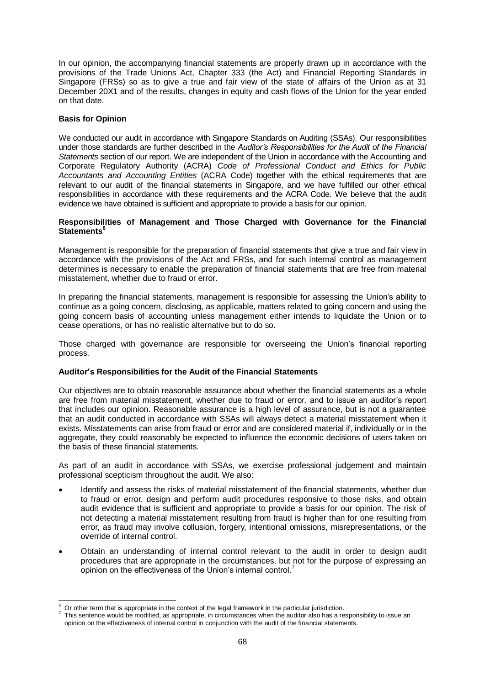In our opinion, the accompanying financial statements are properly drawn up in accordance with the provisions of the Trade Unions Act, Chapter 333 (the Act) and Financial Reporting Standards in Singapore (FRSs) so as to give a true and fair view of the state of affairs of the Union as at 31 December 20X1 and of the results, changes in equity and cash flows of the Union for the year ended on that date.

#### **Basis for Opinion**

-

We conducted our audit in accordance with Singapore Standards on Auditing (SSAs). Our responsibilities under those standards are further described in the *Auditor's Responsibilities for the Audit of the Financial Statements* section of our report. We are independent of the Union in accordance with the Accounting and Corporate Regulatory Authority (ACRA) *Code of Professional Conduct and Ethics for Public Accountants and Accounting Entities* (ACRA Code) together with the ethical requirements that are relevant to our audit of the financial statements in Singapore, and we have fulfilled our other ethical responsibilities in accordance with these requirements and the ACRA Code. We believe that the audit evidence we have obtained is sufficient and appropriate to provide a basis for our opinion.

#### **Responsibilities of Management and Those Charged with Governance for the Financial Statements<sup>6</sup>**

Management is responsible for the preparation of financial statements that give a true and fair view in accordance with the provisions of the Act and FRSs, and for such internal control as management determines is necessary to enable the preparation of financial statements that are free from material misstatement, whether due to fraud or error.

In preparing the financial statements, management is responsible for assessing the Union's ability to continue as a going concern, disclosing, as applicable, matters related to going concern and using the going concern basis of accounting unless management either intends to liquidate the Union or to cease operations, or has no realistic alternative but to do so.

Those charged with governance are responsible for overseeing the Union's financial reporting process.

#### **Auditor's Responsibilities for the Audit of the Financial Statements**

Our objectives are to obtain reasonable assurance about whether the financial statements as a whole are free from material misstatement, whether due to fraud or error, and to issue an auditor's report that includes our opinion. Reasonable assurance is a high level of assurance, but is not a guarantee that an audit conducted in accordance with SSAs will always detect a material misstatement when it exists. Misstatements can arise from fraud or error and are considered material if, individually or in the aggregate, they could reasonably be expected to influence the economic decisions of users taken on the basis of these financial statements.

As part of an audit in accordance with SSAs, we exercise professional judgement and maintain professional scepticism throughout the audit. We also:

- Identify and assess the risks of material misstatement of the financial statements, whether due to fraud or error, design and perform audit procedures responsive to those risks, and obtain audit evidence that is sufficient and appropriate to provide a basis for our opinion. The risk of not detecting a material misstatement resulting from fraud is higher than for one resulting from error, as fraud may involve collusion, forgery, intentional omissions, misrepresentations, or the override of internal control.
- Obtain an understanding of internal control relevant to the audit in order to design audit procedures that are appropriate in the circumstances, but not for the purpose of expressing an opinion on the effectiveness of the Union's internal control.<sup>7</sup>

<sup>6</sup> Or other term that is appropriate in the context of the legal framework in the particular jurisdiction.

<sup>7</sup> This sentence would be modified, as appropriate, in circumstances when the auditor also has a responsibility to issue an opinion on the effectiveness of internal control in conjunction with the audit of the financial statements.